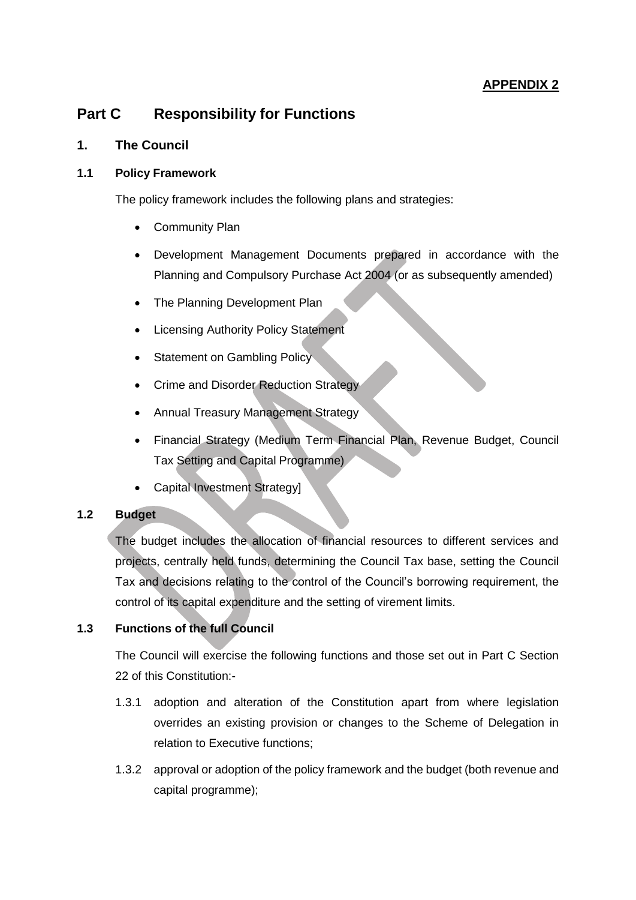## **APPENDIX 2**

# **Part C Responsibility for Functions**

## **1. The Council**

### **1.1 Policy Framework**

The policy framework includes the following plans and strategies:

- Community Plan
- Development Management Documents prepared in accordance with the Planning and Compulsory Purchase Act 2004 (or as subsequently amended)
- The Planning Development Plan
- Licensing Authority Policy Statement
- Statement on Gambling Policy
- Crime and Disorder Reduction Strategy
- Annual Treasury Management Strategy
- Financial Strategy (Medium Term Financial Plan, Revenue Budget, Council Tax Setting and Capital Programme)
- Capital Investment Strategy]

## **1.2 Budget**

The budget includes the allocation of financial resources to different services and projects, centrally held funds, determining the Council Tax base, setting the Council Tax and decisions relating to the control of the Council's borrowing requirement, the control of its capital expenditure and the setting of virement limits.

## **1.3 Functions of the full Council**

The Council will exercise the following functions and those set out in Part C Section 22 of this Constitution:-

- 1.3.1 adoption and alteration of the Constitution apart from where legislation overrides an existing provision or changes to the Scheme of Delegation in relation to Executive functions;
- 1.3.2 approval or adoption of the policy framework and the budget (both revenue and capital programme);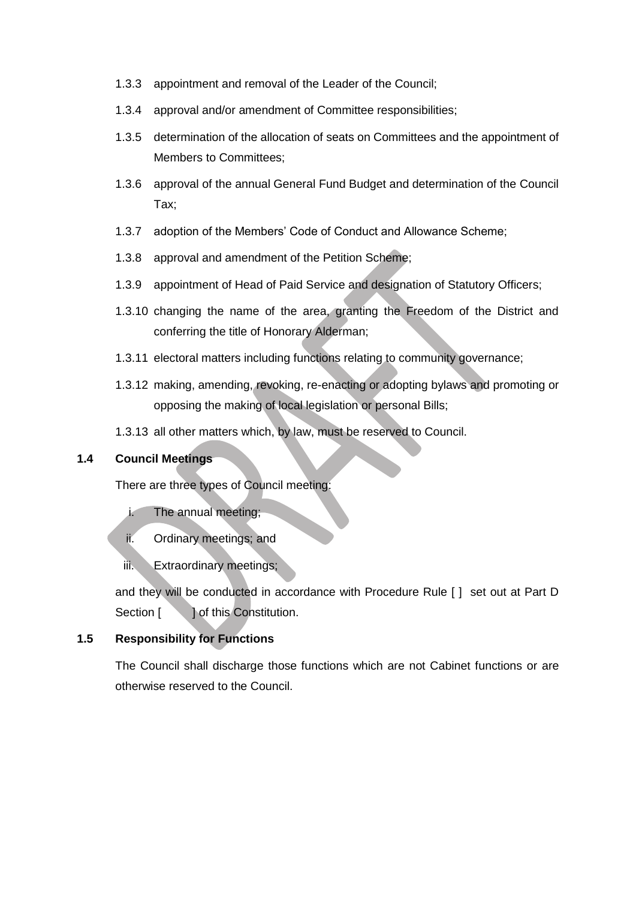- 1.3.3 appointment and removal of the Leader of the Council;
- 1.3.4 approval and/or amendment of Committee responsibilities;
- 1.3.5 determination of the allocation of seats on Committees and the appointment of Members to Committees;
- 1.3.6 approval of the annual General Fund Budget and determination of the Council Tax;
- 1.3.7 adoption of the Members' Code of Conduct and Allowance Scheme;
- 1.3.8 approval and amendment of the Petition Scheme;
- 1.3.9 appointment of Head of Paid Service and designation of Statutory Officers;
- 1.3.10 changing the name of the area, granting the Freedom of the District and conferring the title of Honorary Alderman;
- 1.3.11 electoral matters including functions relating to community governance;
- 1.3.12 making, amending, revoking, re-enacting or adopting bylaws and promoting or opposing the making of local legislation or personal Bills;
- 1.3.13 all other matters which, by law, must be reserved to Council.

#### **1.4 Council Meetings**

There are three types of Council meeting:

- i. The annual meeting;
- ii. Ordinary meetings; and
- iii. Extraordinary meetings;

and they will be conducted in accordance with Procedure Rule [ ] set out at Part D Section [ ] ] of this Constitution.

### **1.5 Responsibility for Functions**

The Council shall discharge those functions which are not Cabinet functions or are otherwise reserved to the Council.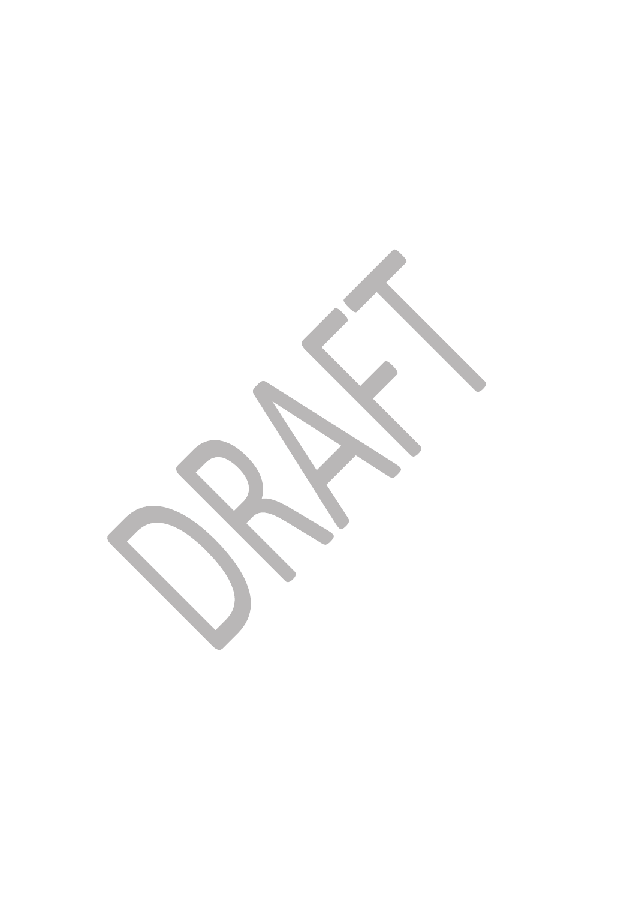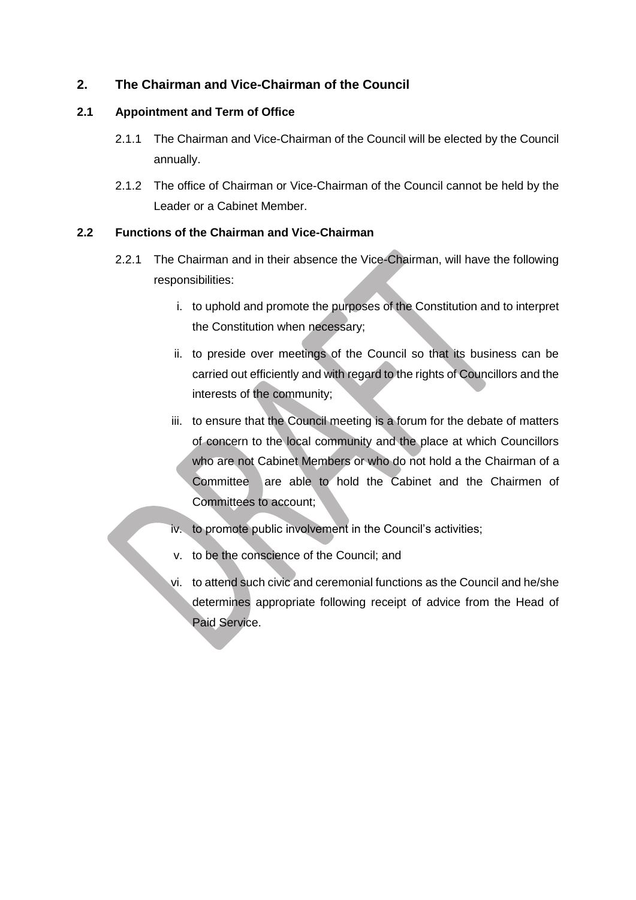## **2. The Chairman and Vice-Chairman of the Council**

### **2.1 Appointment and Term of Office**

- 2.1.1 The Chairman and Vice-Chairman of the Council will be elected by the Council annually.
- 2.1.2 The office of Chairman or Vice-Chairman of the Council cannot be held by the Leader or a Cabinet Member.

### **2.2 Functions of the Chairman and Vice-Chairman**

- 2.2.1 The Chairman and in their absence the Vice-Chairman, will have the following responsibilities:
	- i. to uphold and promote the purposes of the Constitution and to interpret the Constitution when necessary;
	- ii. to preside over meetings of the Council so that its business can be carried out efficiently and with regard to the rights of Councillors and the interests of the community;
	- iii. to ensure that the Council meeting is a forum for the debate of matters of concern to the local community and the place at which Councillors who are not Cabinet Members or who do not hold a the Chairman of a Committee are able to hold the Cabinet and the Chairmen of Committees to account;
	- iv. to promote public involvement in the Council's activities;
	- v. to be the conscience of the Council; and
	- vi. to attend such civic and ceremonial functions as the Council and he/she determines appropriate following receipt of advice from the Head of Paid Service.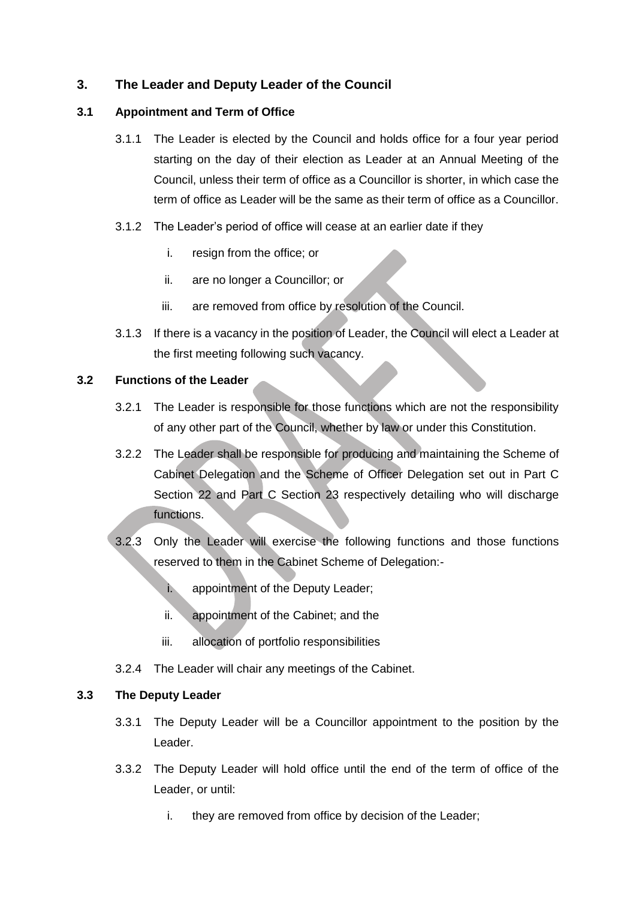## **3. The Leader and Deputy Leader of the Council**

### **3.1 Appointment and Term of Office**

- 3.1.1 The Leader is elected by the Council and holds office for a four year period starting on the day of their election as Leader at an Annual Meeting of the Council, unless their term of office as a Councillor is shorter, in which case the term of office as Leader will be the same as their term of office as a Councillor.
- 3.1.2 The Leader's period of office will cease at an earlier date if they
	- i. resign from the office; or
	- ii. are no longer a Councillor; or
	- iii. are removed from office by resolution of the Council.
- 3.1.3 If there is a vacancy in the position of Leader, the Council will elect a Leader at the first meeting following such vacancy.

### **3.2 Functions of the Leader**

- 3.2.1 The Leader is responsible for those functions which are not the responsibility of any other part of the Council, whether by law or under this Constitution.
- 3.2.2 The Leader shall be responsible for producing and maintaining the Scheme of Cabinet Delegation and the Scheme of Officer Delegation set out in Part C Section 22 and Part C Section 23 respectively detailing who will discharge functions.
- 3.2.3 Only the Leader will exercise the following functions and those functions reserved to them in the Cabinet Scheme of Delegation:
	- i. appointment of the Deputy Leader;
	- ii. appointment of the Cabinet; and the
	- iii. allocation of portfolio responsibilities
- 3.2.4 The Leader will chair any meetings of the Cabinet.

### **3.3 The Deputy Leader**

- 3.3.1 The Deputy Leader will be a Councillor appointment to the position by the Leader.
- 3.3.2 The Deputy Leader will hold office until the end of the term of office of the Leader, or until:
	- i. they are removed from office by decision of the Leader;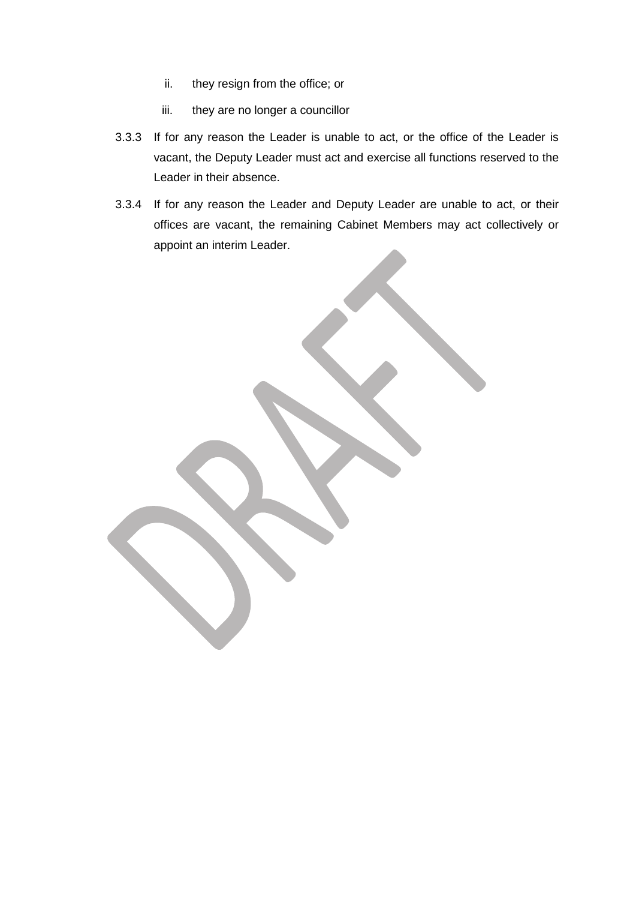- ii. they resign from the office; or
- iii. they are no longer a councillor
- 3.3.3 If for any reason the Leader is unable to act, or the office of the Leader is vacant, the Deputy Leader must act and exercise all functions reserved to the Leader in their absence.
- 3.3.4 If for any reason the Leader and Deputy Leader are unable to act, or their offices are vacant, the remaining Cabinet Members may act collectively or appoint an interim Leader.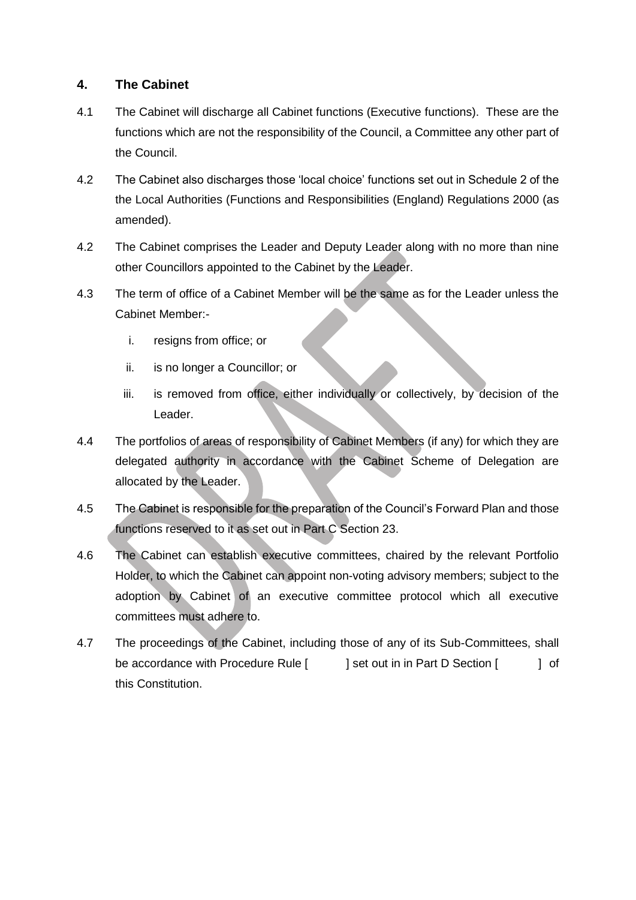## **4. The Cabinet**

- 4.1 The Cabinet will discharge all Cabinet functions (Executive functions). These are the functions which are not the responsibility of the Council, a Committee any other part of the Council.
- 4.2 The Cabinet also discharges those 'local choice' functions set out in Schedule 2 of the the Local Authorities (Functions and Responsibilities (England) Regulations 2000 (as amended).
- 4.2 The Cabinet comprises the Leader and Deputy Leader along with no more than nine other Councillors appointed to the Cabinet by the Leader.
- 4.3 The term of office of a Cabinet Member will be the same as for the Leader unless the Cabinet Member:
	- i. resigns from office; or
	- ii. is no longer a Councillor; or
	- iii. is removed from office, either individually or collectively, by decision of the Leader.
- 4.4 The portfolios of areas of responsibility of Cabinet Members (if any) for which they are delegated authority in accordance with the Cabinet Scheme of Delegation are allocated by the Leader.
- 4.5 The Cabinet is responsible for the preparation of the Council's Forward Plan and those functions reserved to it as set out in Part C Section 23.
- 4.6 The Cabinet can establish executive committees, chaired by the relevant Portfolio Holder, to which the Cabinet can appoint non-voting advisory members; subject to the adoption by Cabinet of an executive committee protocol which all executive committees must adhere to.
- 4.7 The proceedings of the Cabinet, including those of any of its Sub-Committees, shall be accordance with Procedure Rule [ ] set out in in Part D Section [ ] of this Constitution.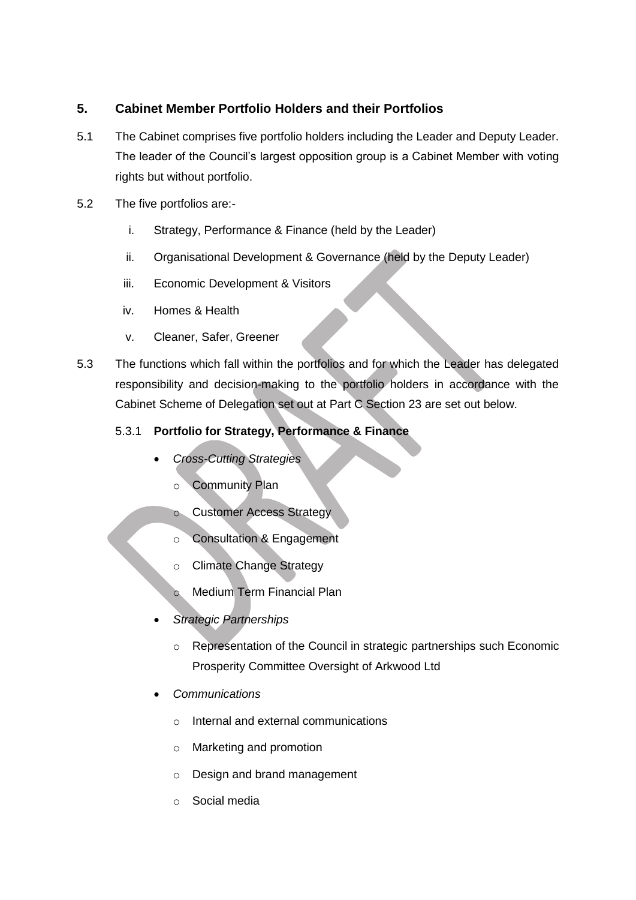## **5. Cabinet Member Portfolio Holders and their Portfolios**

- 5.1 The Cabinet comprises five portfolio holders including the Leader and Deputy Leader. The leader of the Council's largest opposition group is a Cabinet Member with voting rights but without portfolio.
- 5.2 The five portfolios are:
	- i. Strategy, Performance & Finance (held by the Leader)
	- ii. Organisational Development & Governance (held by the Deputy Leader)
	- iii. Economic Development & Visitors
	- iv. Homes & Health
	- v. Cleaner, Safer, Greener
- 5.3 The functions which fall within the portfolios and for which the Leader has delegated responsibility and decision-making to the portfolio holders in accordance with the Cabinet Scheme of Delegation set out at Part C Section 23 are set out below.
	- 5.3.1 **Portfolio for Strategy, Performance & Finance**
		- *Cross-Cutting Strategies*
			- o Community Plan
			- o Customer Access Strategy
			- o Consultation & Engagement
			- o Climate Change Strategy
			- o Medium Term Financial Plan
		- *Strategic Partnerships*
			- o Representation of the Council in strategic partnerships such Economic Prosperity Committee Oversight of Arkwood Ltd
		- *Communications*
			- o Internal and external communications
			- o Marketing and promotion
			- o Design and brand management
			- o Social media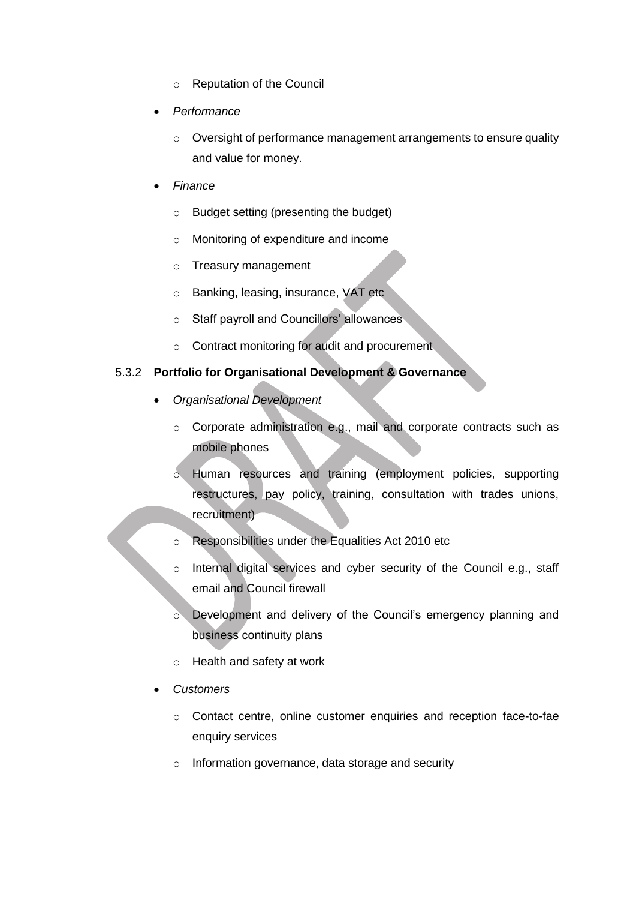- o Reputation of the Council
- *Performance*
	- o Oversight of performance management arrangements to ensure quality and value for money.
- *Finance*
	- o Budget setting (presenting the budget)
	- o Monitoring of expenditure and income
	- o Treasury management
	- o Banking, leasing, insurance, VAT etc
	- o Staff payroll and Councillors' allowances
	- o Contract monitoring for audit and procurement

### 5.3.2 **Portfolio for Organisational Development & Governance**

- *Organisational Development*
	- o Corporate administration e.g., mail and corporate contracts such as mobile phones
	- o Human resources and training (employment policies, supporting restructures, pay policy, training, consultation with trades unions, recruitment)
	- o Responsibilities under the Equalities Act 2010 etc
	- o Internal digital services and cyber security of the Council e.g., staff email and Council firewall
	- o Development and delivery of the Council's emergency planning and business continuity plans
	- o Health and safety at work
- *Customers*
	- o Contact centre, online customer enquiries and reception face-to-fae enquiry services
	- o Information governance, data storage and security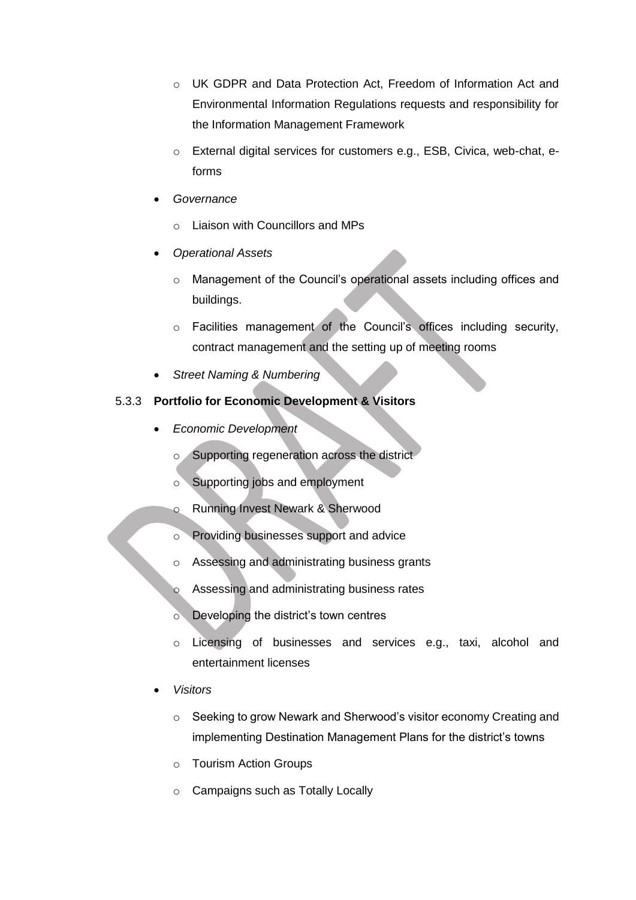- o UK GDPR and Data Protection Act, Freedom of Information Act and Environmental Information Regulations requests and responsibility for the Information Management Framework
- o External digital services for customers e.g., ESB, Civica, web-chat, eforms
- *Governance*
	- o Liaison with Councillors and MPs
- *Operational Assets*
	- o Management of the Council's operational assets including offices and buildings.
	- o Facilities management of the Council's offices including security, contract management and the setting up of meeting rooms
- *Street Naming & Numbering*

## 5.3.3 **Portfolio for Economic Development & Visitors**

- *Economic Development*
	- o Supporting regeneration across the district
	- o Supporting jobs and employment
	- o Running Invest Newark & Sherwood
	- o Providing businesses support and advice
	- o Assessing and administrating business grants
	- o Assessing and administrating business rates
	- o Developing the district's town centres
	- o Licensing of businesses and services e.g., taxi, alcohol and entertainment licenses
- *Visitors*
	- o Seeking to grow Newark and Sherwood's visitor economy Creating and implementing Destination Management Plans for the district's towns
	- o Tourism Action Groups
	- o Campaigns such as Totally Locally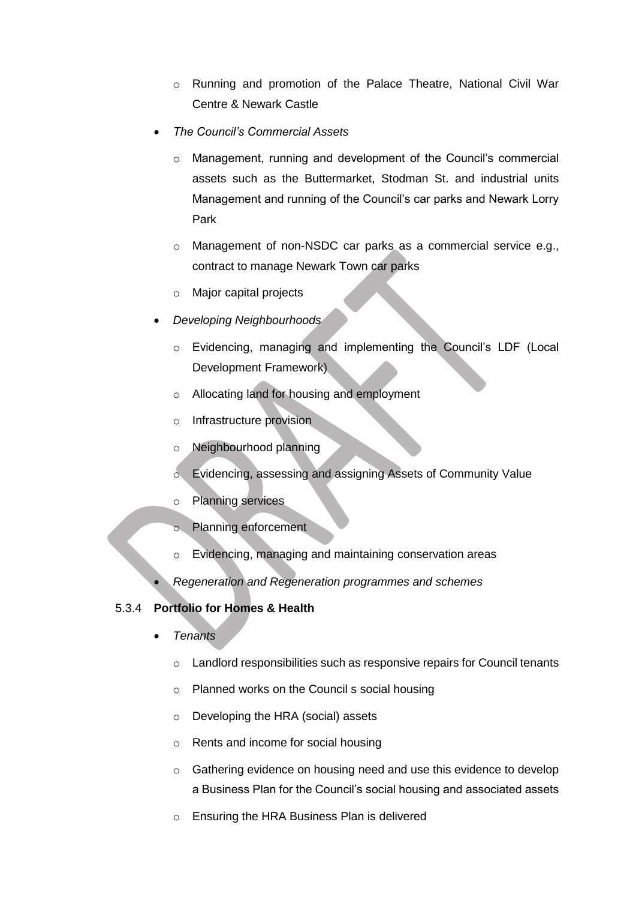- o Running and promotion of the Palace Theatre, National Civil War Centre & Newark Castle
- *The Council's Commercial Assets*
	- o Management, running and development of the Council's commercial assets such as the Buttermarket, Stodman St. and industrial units Management and running of the Council's car parks and Newark Lorry Park
	- o Management of non-NSDC car parks as a commercial service e.g., contract to manage Newark Town car parks
	- o Major capital projects
- *Developing Neighbourhoods*
	- o Evidencing, managing and implementing the Council's LDF (Local Development Framework)
	- o Allocating land for housing and employment
	- o Infrastructure provision
	- o Neighbourhood planning
	- o Evidencing, assessing and assigning Assets of Community Value
	- o Planning services
	- o Planning enforcement
	- o Evidencing, managing and maintaining conservation areas
	- *Regeneration and Regeneration programmes and schemes*

### 5.3.4 **Portfolio for Homes & Health**

- *Tenants* 
	- o Landlord responsibilities such as responsive repairs for Council tenants
	- o Planned works on the Council s social housing
	- o Developing the HRA (social) assets
	- o Rents and income for social housing
	- o Gathering evidence on housing need and use this evidence to develop a Business Plan for the Council's social housing and associated assets
	- o Ensuring the HRA Business Plan is delivered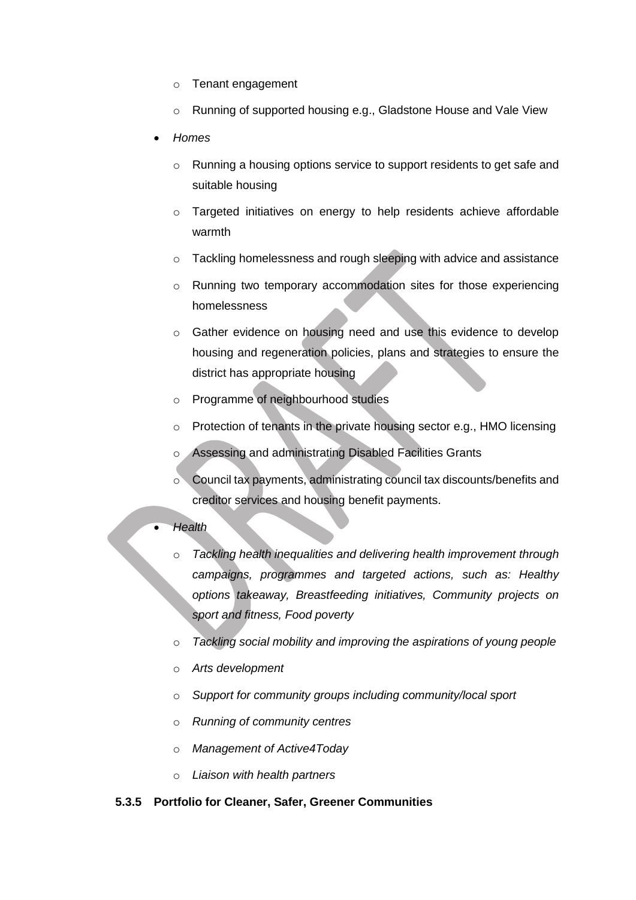- o Tenant engagement
- o Running of supported housing e.g., Gladstone House and Vale View
- *Homes*
	- o Running a housing options service to support residents to get safe and suitable housing
	- o Targeted initiatives on energy to help residents achieve affordable warmth
	- o Tackling homelessness and rough sleeping with advice and assistance
	- o Running two temporary accommodation sites for those experiencing homelessness
	- o Gather evidence on housing need and use this evidence to develop housing and regeneration policies, plans and strategies to ensure the district has appropriate housing
	- o Programme of neighbourhood studies
	- o Protection of tenants in the private housing sector e.g., HMO licensing
	- o Assessing and administrating Disabled Facilities Grants
	- o Council tax payments, administrating council tax discounts/benefits and creditor services and housing benefit payments.
- *Health*
	- o *Tackling health inequalities and delivering health improvement through campaigns, programmes and targeted actions, such as: Healthy options takeaway, Breastfeeding initiatives, Community projects on sport and fitness, Food poverty*
	- o *Tackling social mobility and improving the aspirations of young people*
	- o *Arts development*
	- o *Support for community groups including community/local sport*
	- o *Running of community centres*
	- o *Management of Active4Today*
	- o *Liaison with health partners*

### **5.3.5 Portfolio for Cleaner, Safer, Greener Communities**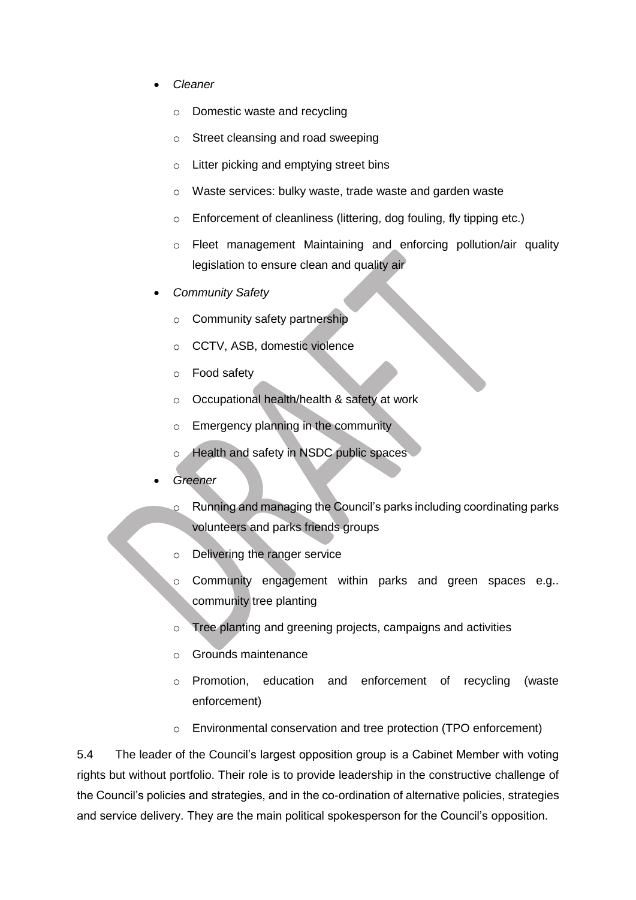- *Cleaner*
	- o Domestic waste and recycling
	- o Street cleansing and road sweeping
	- o Litter picking and emptying street bins
	- o Waste services: bulky waste, trade waste and garden waste
	- o Enforcement of cleanliness (littering, dog fouling, fly tipping etc.)
	- o Fleet management Maintaining and enforcing pollution/air quality legislation to ensure clean and quality air
- *Community Safety*
	- o Community safety partnership
	- o CCTV, ASB, domestic violence
	- o Food safety
	- o Occupational health/health & safety at work
	- o Emergency planning in the community
	- o Health and safety in NSDC public spaces
- *Greener*
	- o Running and managing the Council's parks including coordinating parks volunteers and parks friends groups
	- o Delivering the ranger service
	- o Community engagement within parks and green spaces e.g.. community tree planting
	- o Tree planting and greening projects, campaigns and activities
	- o Grounds maintenance
	- $\circ$  Promotion, education and enforcement of recycling (waste enforcement)
	- o Environmental conservation and tree protection (TPO enforcement)

5.4 The leader of the Council's largest opposition group is a Cabinet Member with voting rights but without portfolio. Their role is to provide leadership in the constructive challenge of the Council's policies and strategies, and in the co-ordination of alternative policies, strategies and service delivery. They are the main political spokesperson for the Council's opposition.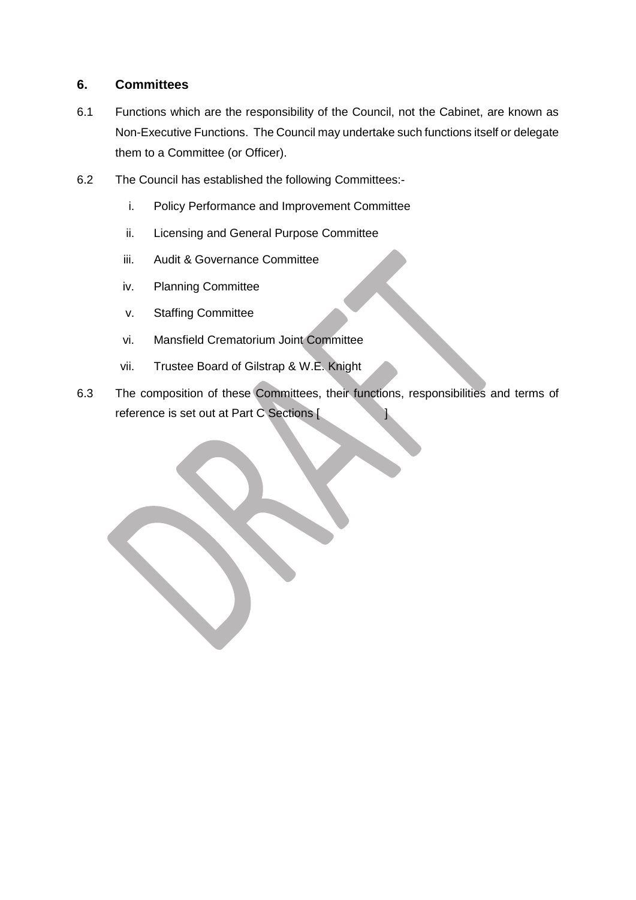## **6. Committees**

- 6.1 Functions which are the responsibility of the Council, not the Cabinet, are known as Non-Executive Functions. The Council may undertake such functions itself or delegate them to a Committee (or Officer).
- 6.2 The Council has established the following Committees:
	- i. Policy Performance and Improvement Committee
	- ii. Licensing and General Purpose Committee
	- iii. Audit & Governance Committee
	- iv. Planning Committee
	- v. Staffing Committee
	- vi. Mansfield Crematorium Joint Committee
	- vii. Trustee Board of Gilstrap & W.E. Knight
- 6.3 The composition of these Committees, their functions, responsibilities and terms of reference is set out at Part C Sections [ ]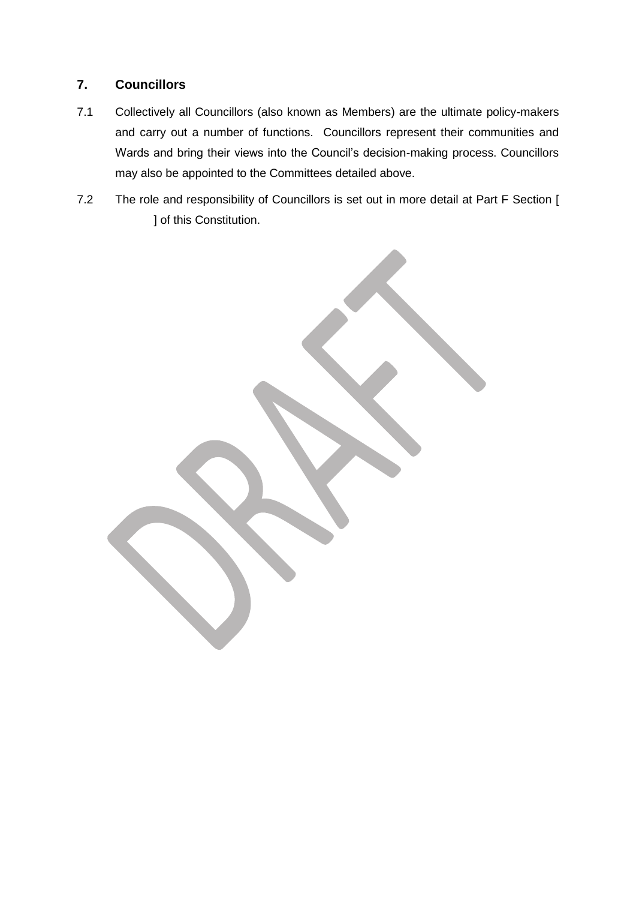## **7. Councillors**

- 7.1 Collectively all Councillors (also known as Members) are the ultimate policy-makers and carry out a number of functions. Councillors represent their communities and Wards and bring their views into the Council's decision-making process. Councillors may also be appointed to the Committees detailed above.
- 7.2 The role and responsibility of Councillors is set out in more detail at Part F Section [ ] of this Constitution.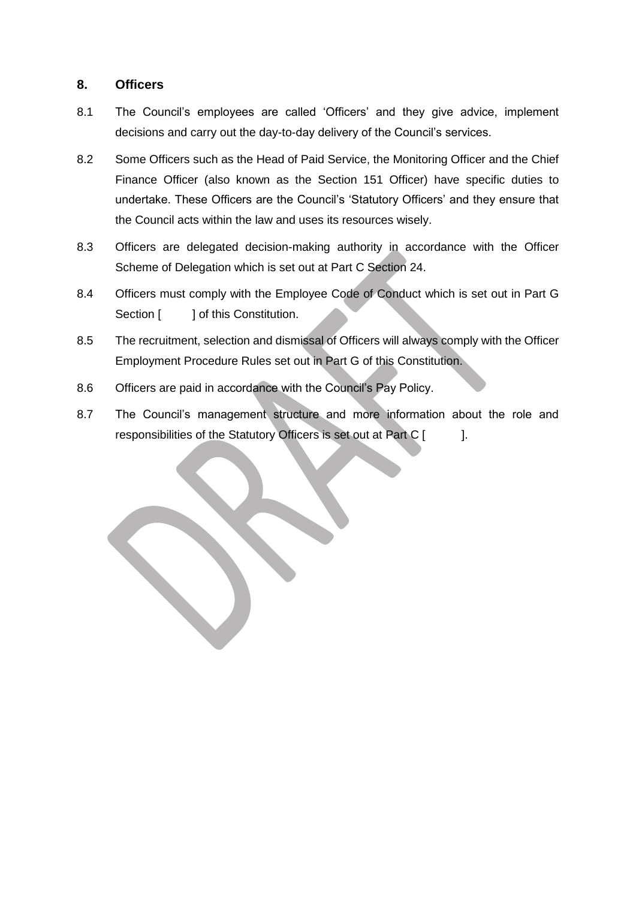### **8. Officers**

- 8.1 The Council's employees are called 'Officers' and they give advice, implement decisions and carry out the day-to-day delivery of the Council's services.
- 8.2 Some Officers such as the Head of Paid Service, the Monitoring Officer and the Chief Finance Officer (also known as the Section 151 Officer) have specific duties to undertake. These Officers are the Council's 'Statutory Officers' and they ensure that the Council acts within the law and uses its resources wisely.
- 8.3 Officers are delegated decision-making authority in accordance with the Officer Scheme of Delegation which is set out at Part C Section 24.
- 8.4 Officers must comply with the Employee Code of Conduct which is set out in Part G Section [ ] of this Constitution.
- 8.5 The recruitment, selection and dismissal of Officers will always comply with the Officer Employment Procedure Rules set out in Part G of this Constitution.
- 8.6 Officers are paid in accordance with the Council's Pay Policy.
- 8.7 The Council's management structure and more information about the role and responsibilities of the Statutory Officers is set out at Part C [  $\qquad$  ].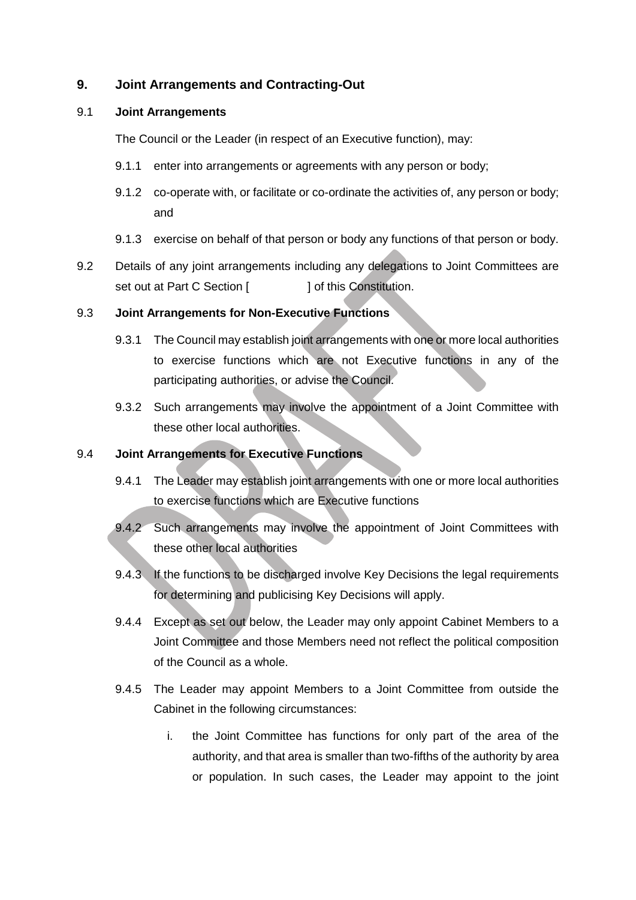## **9. Joint Arrangements and Contracting-Out**

### 9.1 **Joint Arrangements**

The Council or the Leader (in respect of an Executive function), may:

- 9.1.1 enter into arrangements or agreements with any person or body;
- 9.1.2 co-operate with, or facilitate or co-ordinate the activities of, any person or body; and
- 9.1.3 exercise on behalf of that person or body any functions of that person or body.
- 9.2 Details of any joint arrangements including any delegations to Joint Committees are set out at Part C Section [  $\qquad$  ] of this Constitution.

### 9.3 **Joint Arrangements for Non-Executive Functions**

- 9.3.1 The Council may establish joint arrangements with one or more local authorities to exercise functions which are not Executive functions in any of the participating authorities, or advise the Council.
- 9.3.2 Such arrangements may involve the appointment of a Joint Committee with these other local authorities.

### 9.4 **Joint Arrangements for Executive Functions**

- 9.4.1 The Leader may establish joint arrangements with one or more local authorities to exercise functions which are Executive functions
- 9.4.2 Such arrangements may involve the appointment of Joint Committees with these other local authorities
- 9.4.3 If the functions to be discharged involve Key Decisions the legal requirements for determining and publicising Key Decisions will apply.
- 9.4.4 Except as set out below, the Leader may only appoint Cabinet Members to a Joint Committee and those Members need not reflect the political composition of the Council as a whole.
- 9.4.5 The Leader may appoint Members to a Joint Committee from outside the Cabinet in the following circumstances:
	- i. the Joint Committee has functions for only part of the area of the authority, and that area is smaller than two-fifths of the authority by area or population. In such cases, the Leader may appoint to the joint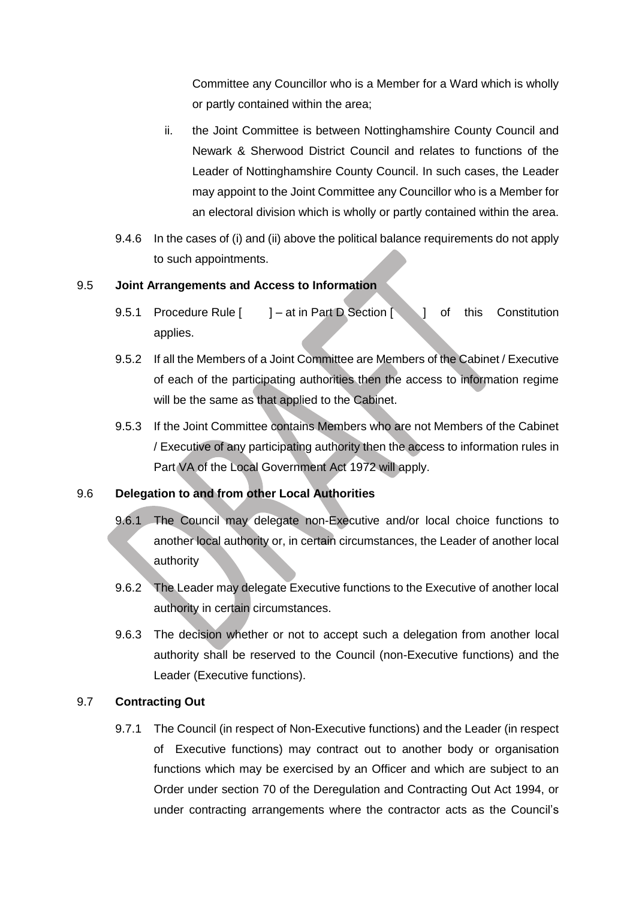Committee any Councillor who is a Member for a Ward which is wholly or partly contained within the area;

- ii. the Joint Committee is between Nottinghamshire County Council and Newark & Sherwood District Council and relates to functions of the Leader of Nottinghamshire County Council. In such cases, the Leader may appoint to the Joint Committee any Councillor who is a Member for an electoral division which is wholly or partly contained within the area.
- 9.4.6 In the cases of (i) and (ii) above the political balance requirements do not apply to such appointments.

### 9.5 **Joint Arrangements and Access to Information**

- 9.5.1 Procedure Rule [ ] at in Part D Section [ ] of this Constitution applies.
- 9.5.2 If all the Members of a Joint Committee are Members of the Cabinet / Executive of each of the participating authorities then the access to information regime will be the same as that applied to the Cabinet.
- 9.5.3 If the Joint Committee contains Members who are not Members of the Cabinet / Executive of any participating authority then the access to information rules in Part VA of the Local Government Act 1972 will apply.

## 9.6 **Delegation to and from other Local Authorities**

- 9.6.1 The Council may delegate non-Executive and/or local choice functions to another local authority or, in certain circumstances, the Leader of another local authority
- 9.6.2 The Leader may delegate Executive functions to the Executive of another local authority in certain circumstances.
- 9.6.3 The decision whether or not to accept such a delegation from another local authority shall be reserved to the Council (non-Executive functions) and the Leader (Executive functions).

### 9.7 **Contracting Out**

9.7.1 The Council (in respect of Non-Executive functions) and the Leader (in respect of Executive functions) may contract out to another body or organisation functions which may be exercised by an Officer and which are subject to an Order under section 70 of the Deregulation and Contracting Out Act 1994, or under contracting arrangements where the contractor acts as the Council's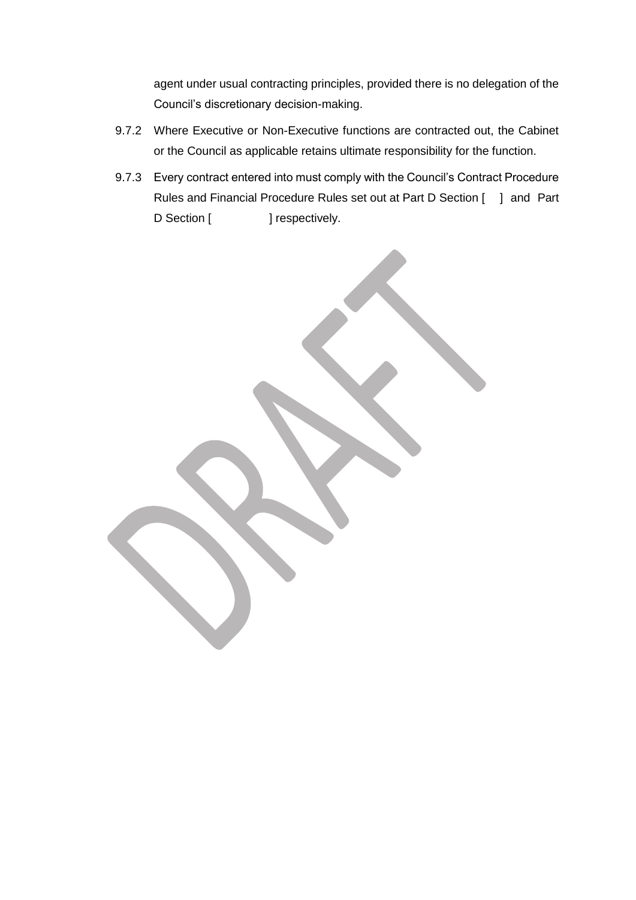agent under usual contracting principles, provided there is no delegation of the Council's discretionary decision-making.

- 9.7.2 Where Executive or Non-Executive functions are contracted out, the Cabinet or the Council as applicable retains ultimate responsibility for the function.
- 9.7.3 Every contract entered into must comply with the Council's Contract Procedure Rules and Financial Procedure Rules set out at Part D Section [ ] and Part D Section [ ] respectively.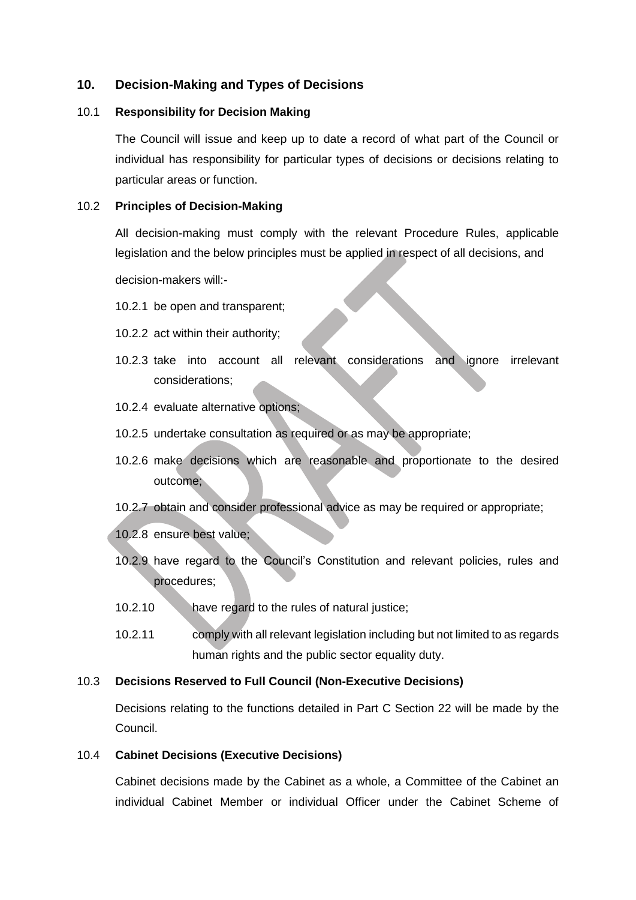### **10. Decision-Making and Types of Decisions**

#### 10.1 **Responsibility for Decision Making**

The Council will issue and keep up to date a record of what part of the Council or individual has responsibility for particular types of decisions or decisions relating to particular areas or function.

### 10.2 **Principles of Decision-Making**

All decision-making must comply with the relevant Procedure Rules, applicable legislation and the below principles must be applied in respect of all decisions, and

decision-makers will:-

- 10.2.1 be open and transparent;
- 10.2.2 act within their authority;
- 10.2.3 take into account all relevant considerations and ignore irrelevant considerations;
- 10.2.4 evaluate alternative options;
- 10.2.5 undertake consultation as required or as may be appropriate;
- 10.2.6 make decisions which are reasonable and proportionate to the desired outcome;
- 10.2.7 obtain and consider professional advice as may be required or appropriate;
- 10.2.8 ensure best value;
- 10.2.9 have regard to the Council's Constitution and relevant policies, rules and procedures;
- 10.2.10 have regard to the rules of natural justice;
- 10.2.11 comply with all relevant legislation including but not limited to as regards human rights and the public sector equality duty.

#### 10.3 **Decisions Reserved to Full Council (Non-Executive Decisions)**

Decisions relating to the functions detailed in Part C Section 22 will be made by the Council.

### 10.4 **Cabinet Decisions (Executive Decisions)**

Cabinet decisions made by the Cabinet as a whole, a Committee of the Cabinet an individual Cabinet Member or individual Officer under the Cabinet Scheme of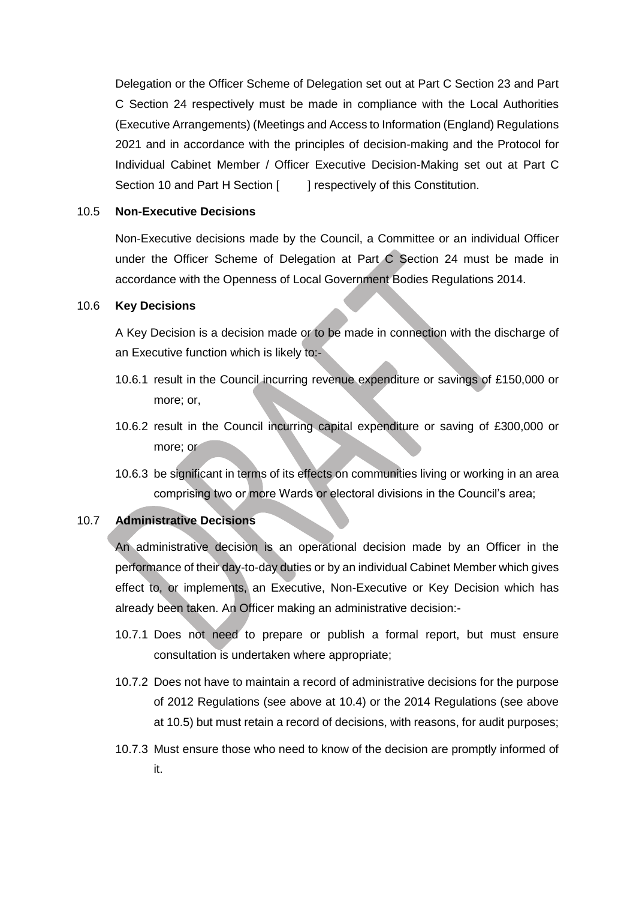Delegation or the Officer Scheme of Delegation set out at Part C Section 23 and Part C Section 24 respectively must be made in compliance with the Local Authorities (Executive Arrangements) (Meetings and Access to Information (England) Regulations 2021 and in accordance with the principles of decision-making and the Protocol for Individual Cabinet Member / Officer Executive Decision-Making set out at Part C Section 10 and Part H Section [ ] respectively of this Constitution.

#### 10.5 **Non-Executive Decisions**

Non-Executive decisions made by the Council, a Committee or an individual Officer under the Officer Scheme of Delegation at Part C Section 24 must be made in accordance with the Openness of Local Government Bodies Regulations 2014.

#### 10.6 **Key Decisions**

A Key Decision is a decision made or to be made in connection with the discharge of an Executive function which is likely to:-

- 10.6.1 result in the Council incurring revenue expenditure or savings of £150,000 or more; or,
- 10.6.2 result in the Council incurring capital expenditure or saving of £300,000 or more; or
- 10.6.3 be significant in terms of its effects on communities living or working in an area comprising two or more Wards or electoral divisions in the Council's area;

### 10.7 **Administrative Decisions**

An administrative decision is an operational decision made by an Officer in the performance of their day-to-day duties or by an individual Cabinet Member which gives effect to, or implements, an Executive, Non-Executive or Key Decision which has already been taken. An Officer making an administrative decision:-

- 10.7.1 Does not need to prepare or publish a formal report, but must ensure consultation is undertaken where appropriate;
- 10.7.2 Does not have to maintain a record of administrative decisions for the purpose of 2012 Regulations (see above at 10.4) or the 2014 Regulations (see above at 10.5) but must retain a record of decisions, with reasons, for audit purposes;
- 10.7.3 Must ensure those who need to know of the decision are promptly informed of it.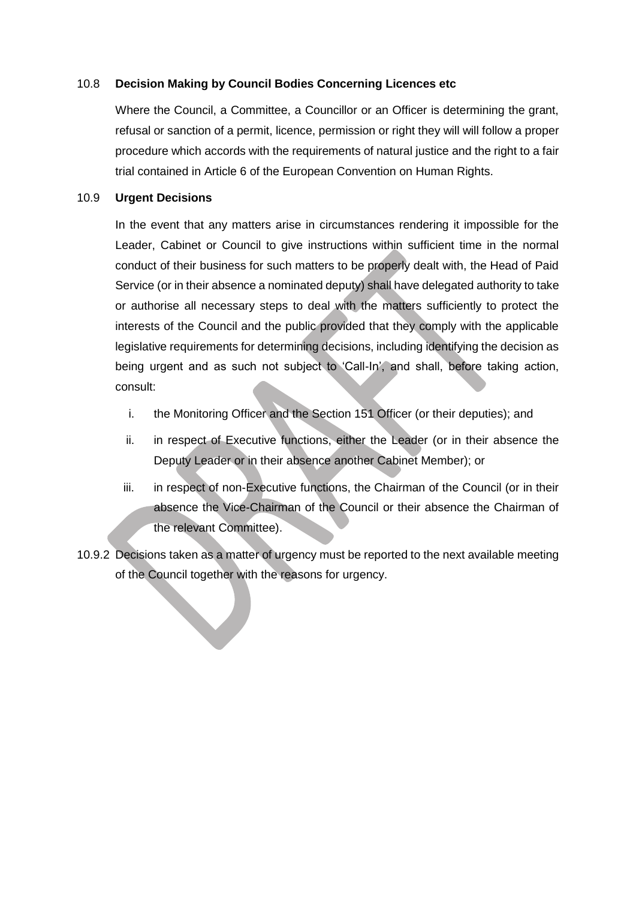### 10.8 **Decision Making by Council Bodies Concerning Licences etc**

Where the Council, a Committee, a Councillor or an Officer is determining the grant, refusal or sanction of a permit, licence, permission or right they will will follow a proper procedure which accords with the requirements of natural justice and the right to a fair trial contained in Article 6 of the European Convention on Human Rights.

### 10.9 **Urgent Decisions**

In the event that any matters arise in circumstances rendering it impossible for the Leader, Cabinet or Council to give instructions within sufficient time in the normal conduct of their business for such matters to be properly dealt with, the Head of Paid Service (or in their absence a nominated deputy) shall have delegated authority to take or authorise all necessary steps to deal with the matters sufficiently to protect the interests of the Council and the public provided that they comply with the applicable legislative requirements for determining decisions, including identifying the decision as being urgent and as such not subject to 'Call-In', and shall, before taking action, consult:

- i. the Monitoring Officer and the Section 151 Officer (or their deputies); and
- ii. in respect of Executive functions, either the Leader (or in their absence the Deputy Leader or in their absence another Cabinet Member); or
- iii. in respect of non-Executive functions, the Chairman of the Council (or in their absence the Vice-Chairman of the Council or their absence the Chairman of the relevant Committee).
- 10.9.2 Decisions taken as a matter of urgency must be reported to the next available meeting of the Council together with the reasons for urgency.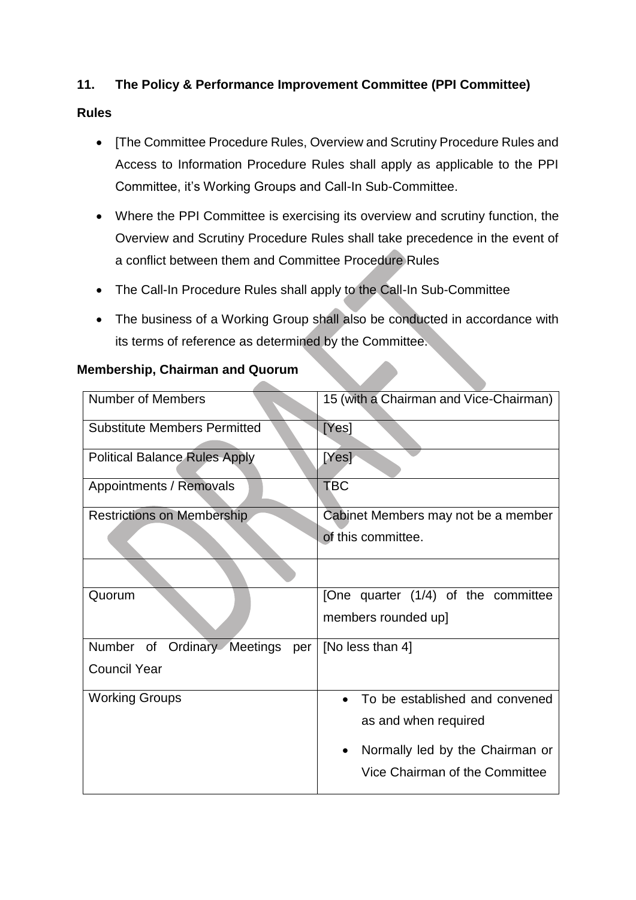## **11. The Policy & Performance Improvement Committee (PPI Committee)**

## **Rules**

- [The Committee Procedure Rules, Overview and Scrutiny Procedure Rules and Access to Information Procedure Rules shall apply as applicable to the PPI Committee, it's Working Groups and Call-In Sub-Committee.
- Where the PPI Committee is exercising its overview and scrutiny function, the Overview and Scrutiny Procedure Rules shall take precedence in the event of a conflict between them and Committee Procedure Rules
- The Call-In Procedure Rules shall apply to the Call-In Sub-Committee
- The business of a Working Group shall also be conducted in accordance with its terms of reference as determined by the Committee.

| <b>Number of Members</b>             | 15 (with a Chairman and Vice-Chairman)       |
|--------------------------------------|----------------------------------------------|
| <b>Substitute Members Permitted</b>  | [Yes]                                        |
| <b>Political Balance Rules Apply</b> | [Yes]                                        |
| Appointments / Removals              | <b>TBC</b>                                   |
| Restrictions on Membership           | Cabinet Members may not be a member          |
|                                      | of this committee.                           |
|                                      |                                              |
| Quorum                               | [One quarter (1/4) of the committee          |
|                                      | members rounded up]                          |
| Number of Ordinary Meetings per      | [No less than 4]                             |
| <b>Council Year</b>                  |                                              |
| <b>Working Groups</b>                | To be established and convened               |
|                                      | as and when required                         |
|                                      | Normally led by the Chairman or<br>$\bullet$ |
|                                      | Vice Chairman of the Committee               |

### **Membership, Chairman and Quorum**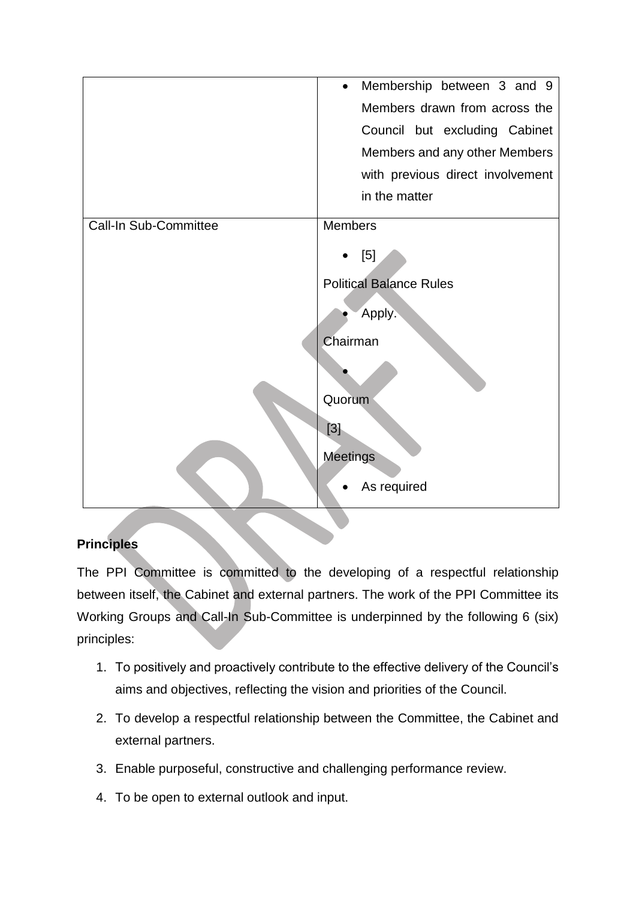

# **Principles**

The PPI Committee is committed to the developing of a respectful relationship between itself, the Cabinet and external partners. The work of the PPI Committee its Working Groups and Call-In Sub-Committee is underpinned by the following 6 (six) principles:

- 1. To positively and proactively contribute to the effective delivery of the Council's aims and objectives, reflecting the vision and priorities of the Council.
- 2. To develop a respectful relationship between the Committee, the Cabinet and external partners.
- 3. Enable purposeful, constructive and challenging performance review.
- 4. To be open to external outlook and input.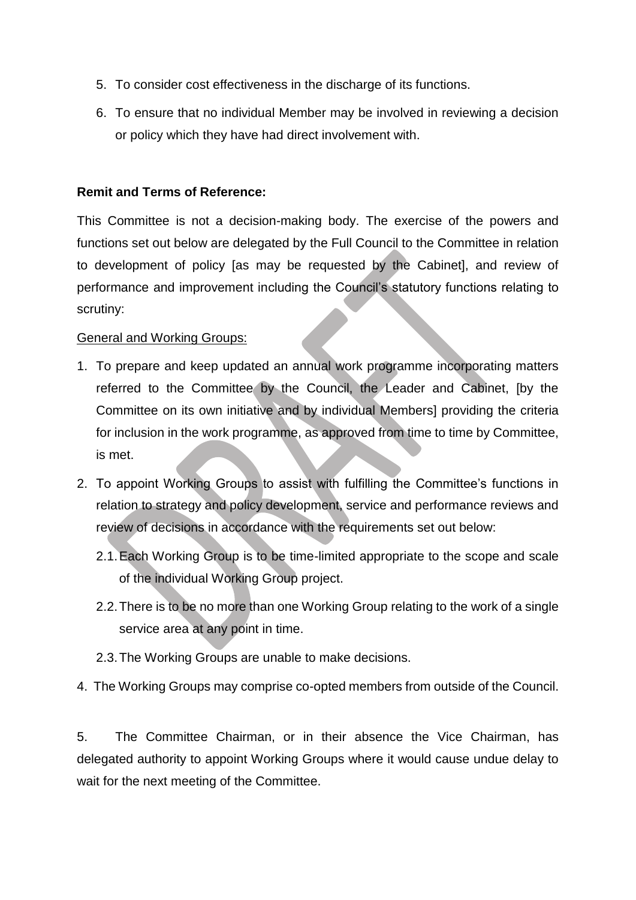- 5. To consider cost effectiveness in the discharge of its functions.
- 6. To ensure that no individual Member may be involved in reviewing a decision or policy which they have had direct involvement with.

## **Remit and Terms of Reference:**

This Committee is not a decision-making body. The exercise of the powers and functions set out below are delegated by the Full Council to the Committee in relation to development of policy [as may be requested by the Cabinet], and review of performance and improvement including the Council's statutory functions relating to scrutiny:

## General and Working Groups:

- 1. To prepare and keep updated an annual work programme incorporating matters referred to the Committee by the Council, the Leader and Cabinet, [by the Committee on its own initiative and by individual Members] providing the criteria for inclusion in the work programme, as approved from time to time by Committee, is met.
- 2. To appoint Working Groups to assist with fulfilling the Committee's functions in relation to strategy and policy development, service and performance reviews and review of decisions in accordance with the requirements set out below:
	- 2.1.Each Working Group is to be time-limited appropriate to the scope and scale of the individual Working Group project.
	- 2.2.There is to be no more than one Working Group relating to the work of a single service area at any point in time.
	- 2.3.The Working Groups are unable to make decisions.
- 4. The Working Groups may comprise co-opted members from outside of the Council.

5. The Committee Chairman, or in their absence the Vice Chairman, has delegated authority to appoint Working Groups where it would cause undue delay to wait for the next meeting of the Committee.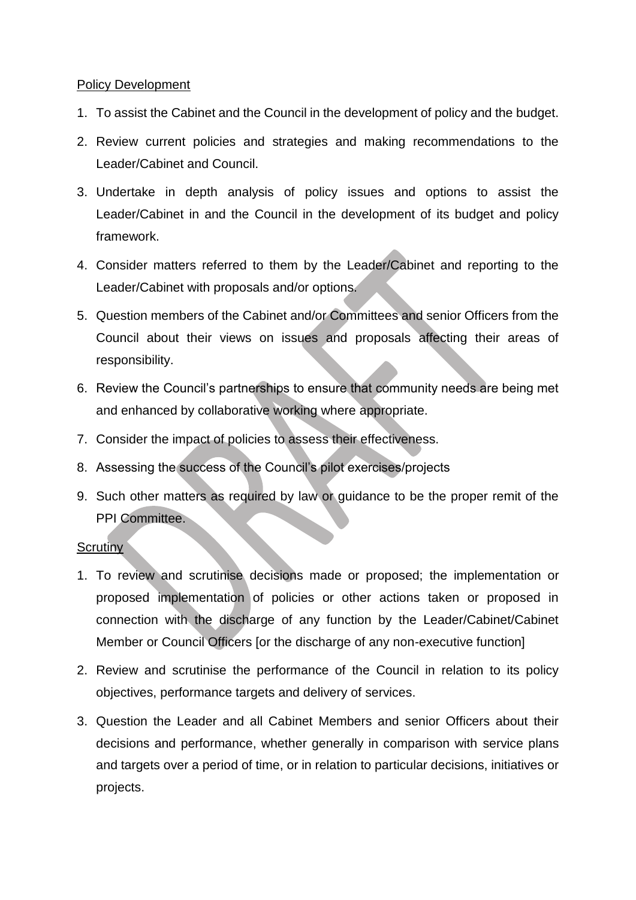## Policy Development

- 1. To assist the Cabinet and the Council in the development of policy and the budget.
- 2. Review current policies and strategies and making recommendations to the Leader/Cabinet and Council.
- 3. Undertake in depth analysis of policy issues and options to assist the Leader/Cabinet in and the Council in the development of its budget and policy framework.
- 4. Consider matters referred to them by the Leader/Cabinet and reporting to the Leader/Cabinet with proposals and/or options.
- 5. Question members of the Cabinet and/or Committees and senior Officers from the Council about their views on issues and proposals affecting their areas of responsibility.
- 6. Review the Council's partnerships to ensure that community needs are being met and enhanced by collaborative working where appropriate.
- 7. Consider the impact of policies to assess their effectiveness.
- 8. Assessing the success of the Council's pilot exercises/projects
- 9. Such other matters as required by law or guidance to be the proper remit of the PPI Committee.

### **Scrutiny**

- 1. To review and scrutinise decisions made or proposed; the implementation or proposed implementation of policies or other actions taken or proposed in connection with the discharge of any function by the Leader/Cabinet/Cabinet Member or Council Officers [or the discharge of any non-executive function]
- 2. Review and scrutinise the performance of the Council in relation to its policy objectives, performance targets and delivery of services.
- 3. Question the Leader and all Cabinet Members and senior Officers about their decisions and performance, whether generally in comparison with service plans and targets over a period of time, or in relation to particular decisions, initiatives or projects.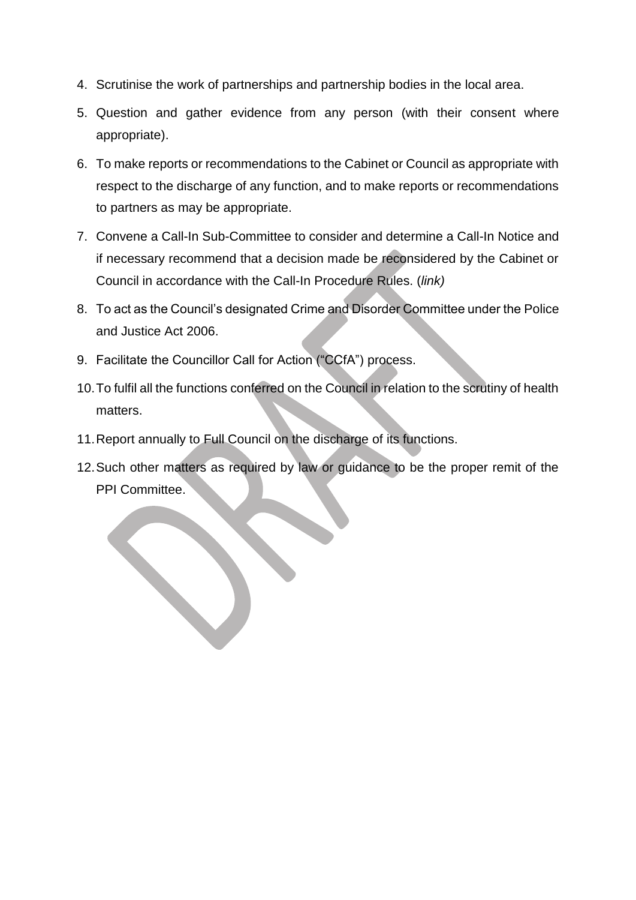- 4. Scrutinise the work of partnerships and partnership bodies in the local area.
- 5. Question and gather evidence from any person (with their consent where appropriate).
- 6. To make reports or recommendations to the Cabinet or Council as appropriate with respect to the discharge of any function, and to make reports or recommendations to partners as may be appropriate.
- 7. Convene a Call-In Sub-Committee to consider and determine a Call-In Notice and if necessary recommend that a decision made be reconsidered by the Cabinet or Council in accordance with the Call-In Procedure Rules. (*link)*
- 8. To act as the Council's designated Crime and Disorder Committee under the Police and Justice Act 2006.
- 9. Facilitate the Councillor Call for Action ("CCfA") process.
- 10.To fulfil all the functions conferred on the Council in relation to the scrutiny of health matters.
- 11.Report annually to Full Council on the discharge of its functions.
- 12.Such other matters as required by law or guidance to be the proper remit of the PPI Committee.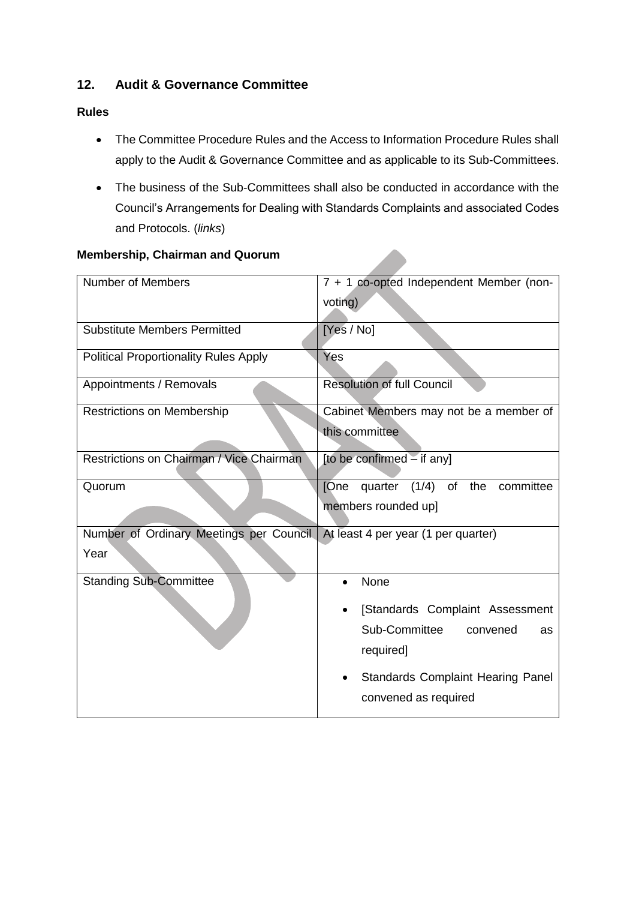## **12. Audit & Governance Committee**

## **Rules**

- The Committee Procedure Rules and the Access to Information Procedure Rules shall apply to the Audit & Governance Committee and as applicable to its Sub-Committees.
- The business of the Sub-Committees shall also be conducted in accordance with the Council's Arrangements for Dealing with Standards Complaints and associated Codes and Protocols. (*links*)

## **Membership, Chairman and Quorum**

| Number of Members                            | 7 + 1 co-opted Independent Member (non-                |
|----------------------------------------------|--------------------------------------------------------|
|                                              | voting)                                                |
| <b>Substitute Members Permitted</b>          | [Yes / No]                                             |
| <b>Political Proportionality Rules Apply</b> | Yes                                                    |
| Appointments / Removals                      | <b>Resolution of full Council</b>                      |
| <b>Restrictions on Membership</b>            | Cabinet Members may not be a member of                 |
|                                              | this committee                                         |
| Restrictions on Chairman / Vice Chairman     | [to be confirmed - if any]                             |
| Quorum                                       | <b>[One</b><br>quarter (1/4)<br>of<br>the<br>committee |
|                                              | members rounded up]                                    |
| Number of Ordinary Meetings per Council      | At least 4 per year (1 per quarter)                    |
| Year                                         |                                                        |
| <b>Standing Sub-Committee</b>                | None                                                   |
|                                              | [Standards Complaint Assessment                        |
|                                              | Sub-Committee<br>convened<br>as                        |
|                                              | required]                                              |
|                                              | <b>Standards Complaint Hearing Panel</b>               |
|                                              | convened as required                                   |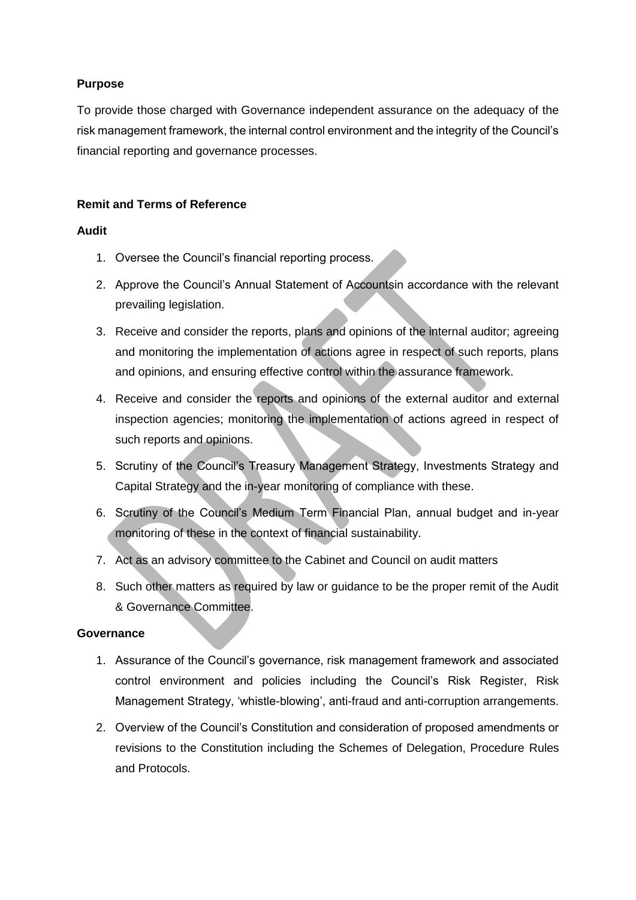## **Purpose**

To provide those charged with Governance independent assurance on the adequacy of the risk management framework, the internal control environment and the integrity of the Council's financial reporting and governance processes.

## **Remit and Terms of Reference**

## **Audit**

- 1. Oversee the Council's financial reporting process.
- 2. Approve the Council's Annual Statement of Accountsin accordance with the relevant prevailing legislation.
- 3. Receive and consider the reports, plans and opinions of the internal auditor; agreeing and monitoring the implementation of actions agree in respect of such reports, plans and opinions, and ensuring effective control within the assurance framework.
- 4. Receive and consider the reports and opinions of the external auditor and external inspection agencies; monitoring the implementation of actions agreed in respect of such reports and opinions.
- 5. Scrutiny of the Council's Treasury Management Strategy, Investments Strategy and Capital Strategy and the in-year monitoring of compliance with these.
- 6. Scrutiny of the Council's Medium Term Financial Plan, annual budget and in-year monitoring of these in the context of financial sustainability.
- 7. Act as an advisory committee to the Cabinet and Council on audit matters
- 8. Such other matters as required by law or guidance to be the proper remit of the Audit & Governance Committee.

### **Governance**

- 1. Assurance of the Council's governance, risk management framework and associated control environment and policies including the Council's Risk Register, Risk Management Strategy, 'whistle-blowing', anti-fraud and anti-corruption arrangements.
- 2. Overview of the Council's Constitution and consideration of proposed amendments or revisions to the Constitution including the Schemes of Delegation, Procedure Rules and Protocols.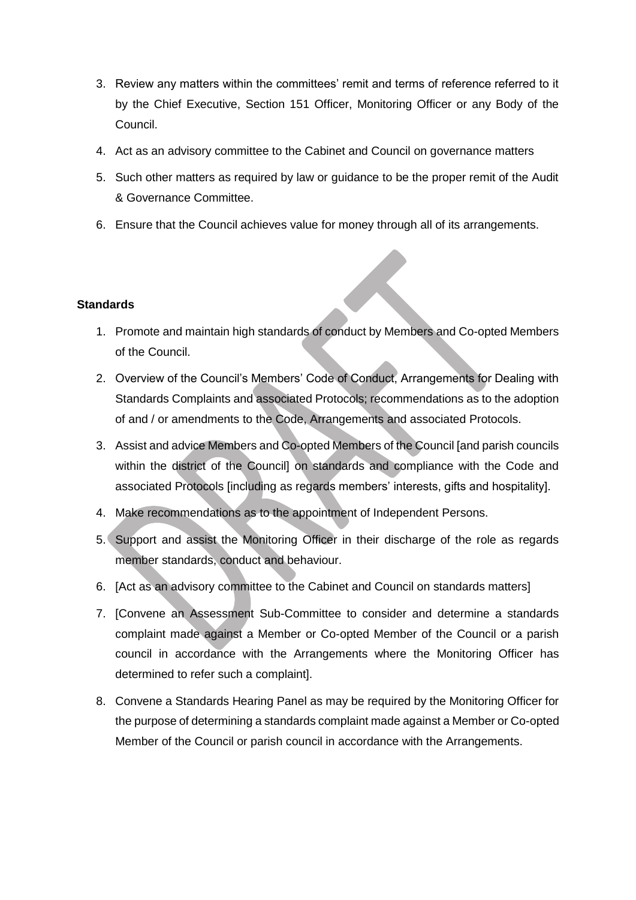- 3. Review any matters within the committees' remit and terms of reference referred to it by the Chief Executive, Section 151 Officer, Monitoring Officer or any Body of the Council.
- 4. Act as an advisory committee to the Cabinet and Council on governance matters
- 5. Such other matters as required by law or guidance to be the proper remit of the Audit & Governance Committee.
- 6. Ensure that the Council achieves value for money through all of its arrangements.

### **Standards**

- 1. Promote and maintain high standards of conduct by Members and Co-opted Members of the Council.
- 2. Overview of the Council's Members' Code of Conduct, Arrangements for Dealing with Standards Complaints and associated Protocols; recommendations as to the adoption of and / or amendments to the Code, Arrangements and associated Protocols.
- 3. Assist and advice Members and Co-opted Members of the Council [and parish councils within the district of the Council] on standards and compliance with the Code and associated Protocols [including as regards members' interests, gifts and hospitality].
- 4. Make recommendations as to the appointment of Independent Persons.
- 5. Support and assist the Monitoring Officer in their discharge of the role as regards member standards, conduct and behaviour.
- 6. [Act as an advisory committee to the Cabinet and Council on standards matters]
- 7. [Convene an Assessment Sub-Committee to consider and determine a standards complaint made against a Member or Co-opted Member of the Council or a parish council in accordance with the Arrangements where the Monitoring Officer has determined to refer such a complaint].
- 8. Convene a Standards Hearing Panel as may be required by the Monitoring Officer for the purpose of determining a standards complaint made against a Member or Co-opted Member of the Council or parish council in accordance with the Arrangements.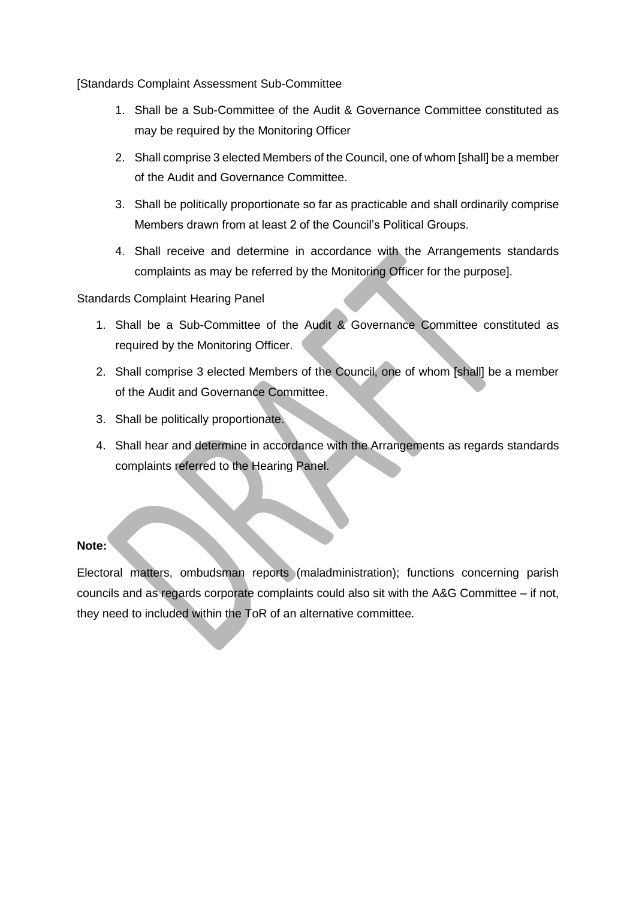[Standards Complaint Assessment Sub-Committee

- 1. Shall be a Sub-Committee of the Audit & Governance Committee constituted as may be required by the Monitoring Officer
- 2. Shall comprise 3 elected Members of the Council, one of whom [shall] be a member of the Audit and Governance Committee.
- 3. Shall be politically proportionate so far as practicable and shall ordinarily comprise Members drawn from at least 2 of the Council's Political Groups.
- 4. Shall receive and determine in accordance with the Arrangements standards complaints as may be referred by the Monitoring Officer for the purpose].

Standards Complaint Hearing Panel

- 1. Shall be a Sub-Committee of the Audit & Governance Committee constituted as required by the Monitoring Officer.
- 2. Shall comprise 3 elected Members of the Council, one of whom [shall] be a member of the Audit and Governance Committee.
- 3. Shall be politically proportionate.
- 4. Shall hear and determine in accordance with the Arrangements as regards standards complaints referred to the Hearing Panel.

### **Note:**

Electoral matters, ombudsman reports (maladministration); functions concerning parish councils and as regards corporate complaints could also sit with the A&G Committee – if not, they need to included within the ToR of an alternative committee.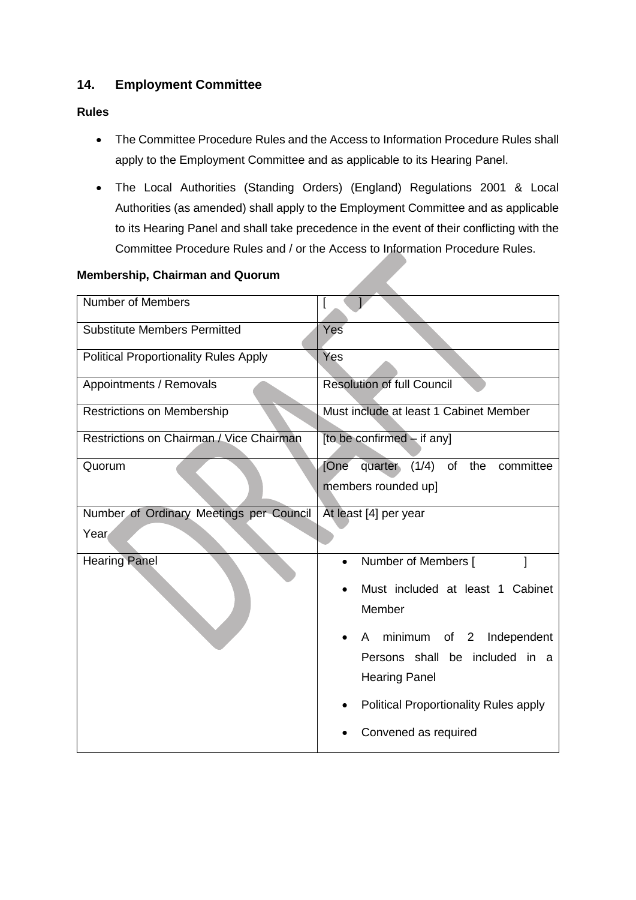## **14. Employment Committee**

### **Rules**

- The Committee Procedure Rules and the Access to Information Procedure Rules shall apply to the Employment Committee and as applicable to its Hearing Panel.
- The Local Authorities (Standing Orders) (England) Regulations 2001 & Local Authorities (as amended) shall apply to the Employment Committee and as applicable to its Hearing Panel and shall take precedence in the event of their conflicting with the Committee Procedure Rules and / or the Access to Information Procedure Rules.

### **Membership, Chairman and Quorum**

| <b>Number of Members</b>                        | I                                                                                                                                                                                                                                                                                 |
|-------------------------------------------------|-----------------------------------------------------------------------------------------------------------------------------------------------------------------------------------------------------------------------------------------------------------------------------------|
| <b>Substitute Members Permitted</b>             | Yes                                                                                                                                                                                                                                                                               |
| <b>Political Proportionality Rules Apply</b>    | Yes                                                                                                                                                                                                                                                                               |
| Appointments / Removals                         | <b>Resolution of full Council</b>                                                                                                                                                                                                                                                 |
| <b>Restrictions on Membership</b>               | Must include at least 1 Cabinet Member                                                                                                                                                                                                                                            |
| Restrictions on Chairman / Vice Chairman        | [to be confirmed - if any]                                                                                                                                                                                                                                                        |
| Quorum                                          | [One<br>quarter (1/4) of<br>the<br>committee<br>members rounded up]                                                                                                                                                                                                               |
| Number of Ordinary Meetings per Council<br>Year | At least [4] per year                                                                                                                                                                                                                                                             |
| <b>Hearing Panel</b>                            | Number of Members [<br>1<br>$\bullet$<br>Must included at least 1 Cabinet<br>Member<br>minimum<br>of<br>$\overline{2}$<br>Independent<br>A<br>Persons shall be included in<br>- a<br><b>Hearing Panel</b><br><b>Political Proportionality Rules apply</b><br>Convened as required |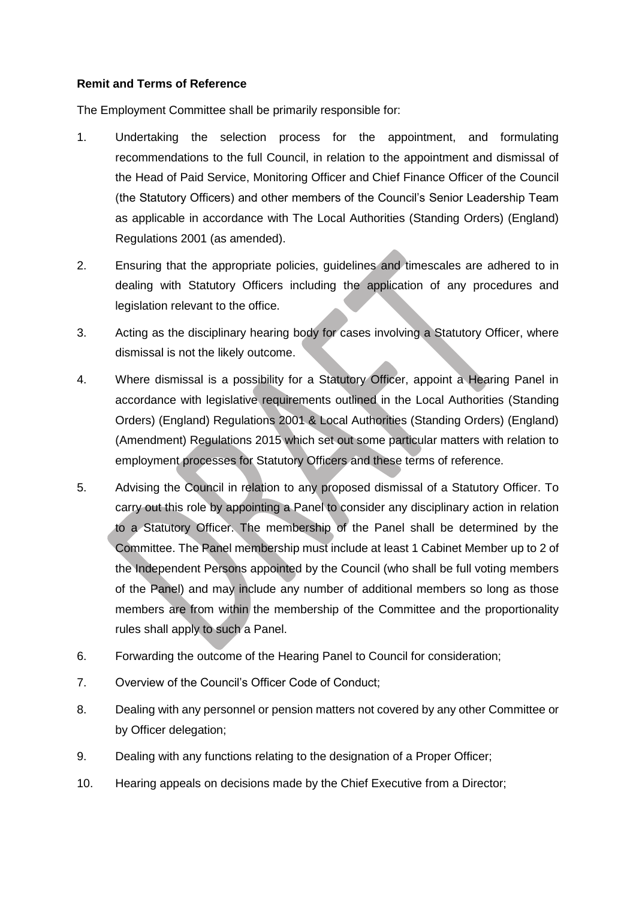### **Remit and Terms of Reference**

The Employment Committee shall be primarily responsible for:

- 1. Undertaking the selection process for the appointment, and formulating recommendations to the full Council, in relation to the appointment and dismissal of the Head of Paid Service, Monitoring Officer and Chief Finance Officer of the Council (the Statutory Officers) and other members of the Council's Senior Leadership Team as applicable in accordance with The Local Authorities (Standing Orders) (England) Regulations 2001 (as amended).
- 2. Ensuring that the appropriate policies, guidelines and timescales are adhered to in dealing with Statutory Officers including the application of any procedures and legislation relevant to the office.
- 3. Acting as the disciplinary hearing body for cases involving a Statutory Officer, where dismissal is not the likely outcome.
- 4. Where dismissal is a possibility for a Statutory Officer, appoint a Hearing Panel in accordance with legislative requirements outlined in the Local Authorities (Standing Orders) (England) Regulations 2001 & Local Authorities (Standing Orders) (England) (Amendment) Regulations 2015 which set out some particular matters with relation to employment processes for Statutory Officers and these terms of reference.
- 5. Advising the Council in relation to any proposed dismissal of a Statutory Officer. To carry out this role by appointing a Panel to consider any disciplinary action in relation to a Statutory Officer. The membership of the Panel shall be determined by the Committee. The Panel membership must include at least 1 Cabinet Member up to 2 of the Independent Persons appointed by the Council (who shall be full voting members of the Panel) and may include any number of additional members so long as those members are from within the membership of the Committee and the proportionality rules shall apply to such a Panel.
- 6. Forwarding the outcome of the Hearing Panel to Council for consideration;
- 7. Overview of the Council's Officer Code of Conduct;
- 8. Dealing with any personnel or pension matters not covered by any other Committee or by Officer delegation;
- 9. Dealing with any functions relating to the designation of a Proper Officer;
- 10. Hearing appeals on decisions made by the Chief Executive from a Director;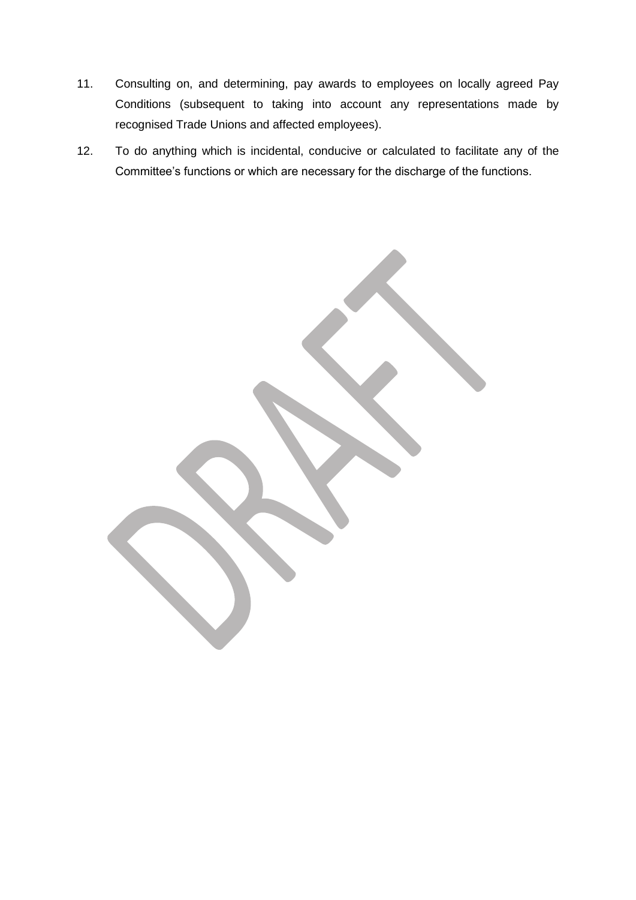- 11. Consulting on, and determining, pay awards to employees on locally agreed Pay Conditions (subsequent to taking into account any representations made by recognised Trade Unions and affected employees).
- 12. To do anything which is incidental, conducive or calculated to facilitate any of the Committee's functions or which are necessary for the discharge of the functions.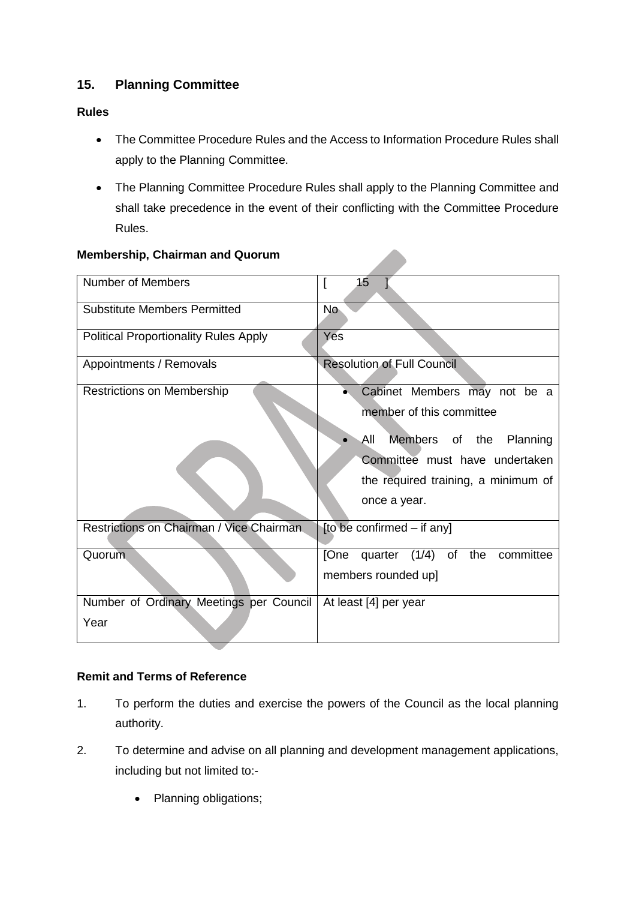## **15. Planning Committee**

## **Rules**

- The Committee Procedure Rules and the Access to Information Procedure Rules shall apply to the Planning Committee.
- The Planning Committee Procedure Rules shall apply to the Planning Committee and shall take precedence in the event of their conflicting with the Committee Procedure Rules.

## **Membership, Chairman and Quorum**

| <b>Number of Members</b>                        | 15                                                                                                                                                                                     |
|-------------------------------------------------|----------------------------------------------------------------------------------------------------------------------------------------------------------------------------------------|
| <b>Substitute Members Permitted</b>             | No.                                                                                                                                                                                    |
| <b>Political Proportionality Rules Apply</b>    | Yes                                                                                                                                                                                    |
| Appointments / Removals                         | <b>Resolution of Full Council</b>                                                                                                                                                      |
| Restrictions on Membership                      | Cabinet Members may not be a<br>member of this committee<br>Members of the<br>All<br>Planning<br>Committee must have undertaken<br>the required training, a minimum of<br>once a year. |
| Restrictions on Chairman / Vice Chairman        | $[to be confirmed - if any]$                                                                                                                                                           |
| Quorum                                          | [One<br>quarter (1/4) of<br>the<br>committee<br>members rounded up]                                                                                                                    |
| Number of Ordinary Meetings per Council<br>Year | At least [4] per year                                                                                                                                                                  |

## **Remit and Terms of Reference**

- 1. To perform the duties and exercise the powers of the Council as the local planning authority.
- 2. To determine and advise on all planning and development management applications, including but not limited to:-
	- Planning obligations;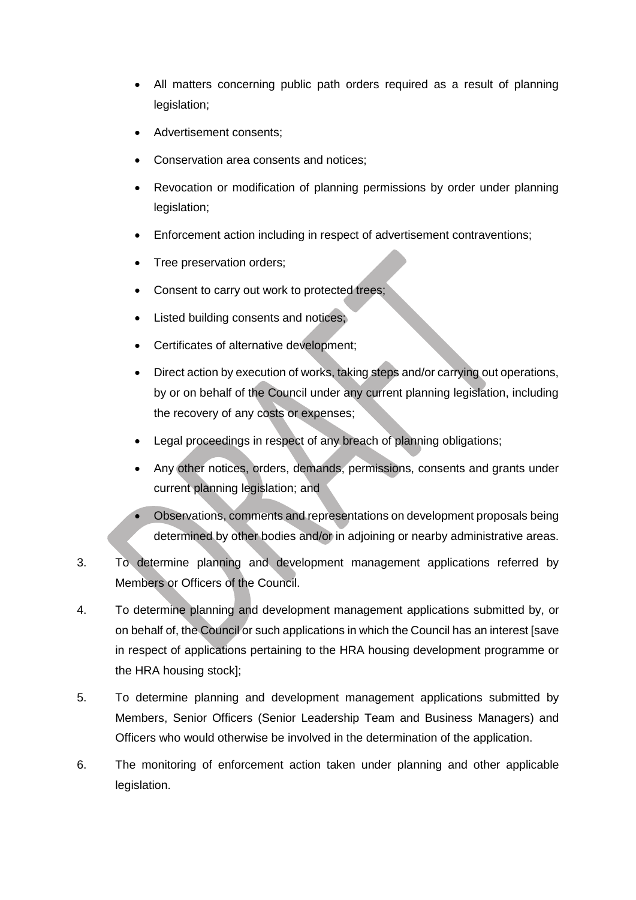- All matters concerning public path orders required as a result of planning legislation;
- Advertisement consents;
- Conservation area consents and notices;
- Revocation or modification of planning permissions by order under planning legislation;
- Enforcement action including in respect of advertisement contraventions;
- Tree preservation orders;
- Consent to carry out work to protected trees;
- Listed building consents and notices;
- Certificates of alternative development;
- Direct action by execution of works, taking steps and/or carrying out operations, by or on behalf of the Council under any current planning legislation, including the recovery of any costs or expenses;
- Legal proceedings in respect of any breach of planning obligations;
- Any other notices, orders, demands, permissions, consents and grants under current planning legislation; and
- Observations, comments and representations on development proposals being determined by other bodies and/or in adjoining or nearby administrative areas.
- 3. To determine planning and development management applications referred by Members or Officers of the Council.
- 4. To determine planning and development management applications submitted by, or on behalf of, the Council or such applications in which the Council has an interest [save in respect of applications pertaining to the HRA housing development programme or the HRA housing stock];
- 5. To determine planning and development management applications submitted by Members, Senior Officers (Senior Leadership Team and Business Managers) and Officers who would otherwise be involved in the determination of the application.
- 6. The monitoring of enforcement action taken under planning and other applicable legislation.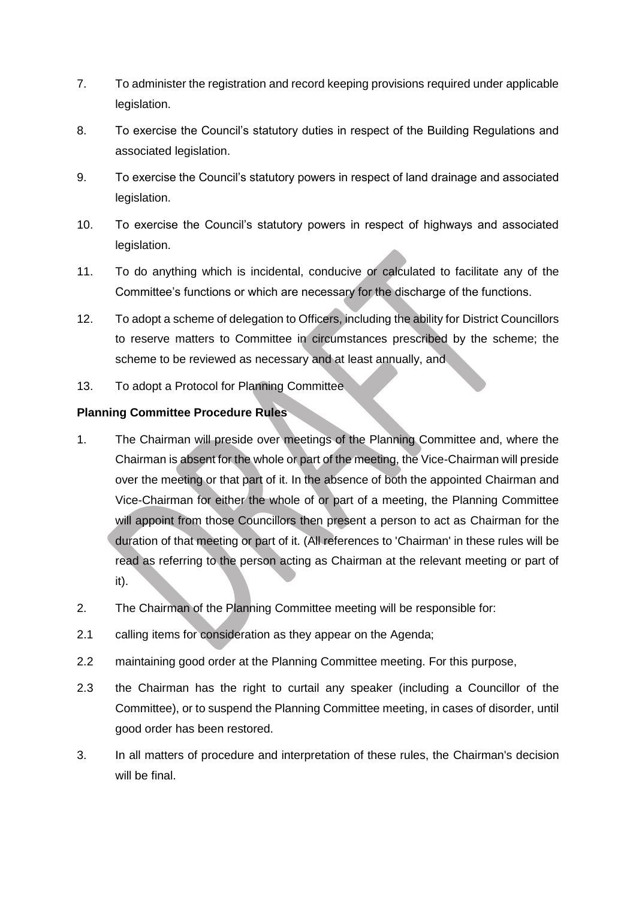- 7. To administer the registration and record keeping provisions required under applicable legislation.
- 8. To exercise the Council's statutory duties in respect of the Building Regulations and associated legislation.
- 9. To exercise the Council's statutory powers in respect of land drainage and associated legislation.
- 10. To exercise the Council's statutory powers in respect of highways and associated legislation.
- 11. To do anything which is incidental, conducive or calculated to facilitate any of the Committee's functions or which are necessary for the discharge of the functions.
- 12. To adopt a scheme of delegation to Officers, including the ability for District Councillors to reserve matters to Committee in circumstances prescribed by the scheme; the scheme to be reviewed as necessary and at least annually, and
- 13. To adopt a Protocol for Planning Committee

## **Planning Committee Procedure Rules**

- 1. The Chairman will preside over meetings of the Planning Committee and, where the Chairman is absent for the whole or part of the meeting, the Vice-Chairman will preside over the meeting or that part of it. In the absence of both the appointed Chairman and Vice-Chairman for either the whole of or part of a meeting, the Planning Committee will appoint from those Councillors then present a person to act as Chairman for the duration of that meeting or part of it. (All references to 'Chairman' in these rules will be read as referring to the person acting as Chairman at the relevant meeting or part of it).
- 2. The Chairman of the Planning Committee meeting will be responsible for:
- 2.1 calling items for consideration as they appear on the Agenda;
- 2.2 maintaining good order at the Planning Committee meeting. For this purpose,
- 2.3 the Chairman has the right to curtail any speaker (including a Councillor of the Committee), or to suspend the Planning Committee meeting, in cases of disorder, until good order has been restored.
- 3. In all matters of procedure and interpretation of these rules, the Chairman's decision will be final.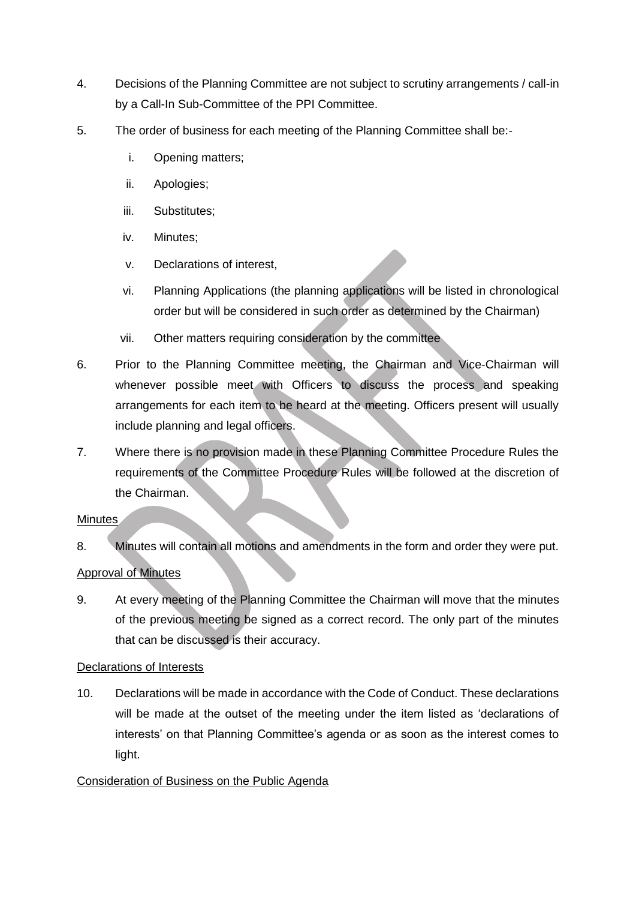- 4. Decisions of the Planning Committee are not subject to scrutiny arrangements / call-in by a Call-In Sub-Committee of the PPI Committee.
- 5. The order of business for each meeting of the Planning Committee shall be:
	- i. Opening matters;
	- ii. Apologies;
	- iii. Substitutes;
	- iv. Minutes;
	- v. Declarations of interest,
	- vi. Planning Applications (the planning applications will be listed in chronological order but will be considered in such order as determined by the Chairman)
	- vii. Other matters requiring consideration by the committee
- 6. Prior to the Planning Committee meeting, the Chairman and Vice-Chairman will whenever possible meet with Officers to discuss the process and speaking arrangements for each item to be heard at the meeting. Officers present will usually include planning and legal officers.
- 7. Where there is no provision made in these Planning Committee Procedure Rules the requirements of the Committee Procedure Rules will be followed at the discretion of the Chairman.

#### **Minutes**

8. Minutes will contain all motions and amendments in the form and order they were put.

## Approval of Minutes

9. At every meeting of the Planning Committee the Chairman will move that the minutes of the previous meeting be signed as a correct record. The only part of the minutes that can be discussed is their accuracy.

#### Declarations of Interests

10. Declarations will be made in accordance with the Code of Conduct. These declarations will be made at the outset of the meeting under the item listed as 'declarations of interests' on that Planning Committee's agenda or as soon as the interest comes to light.

## Consideration of Business on the Public Agenda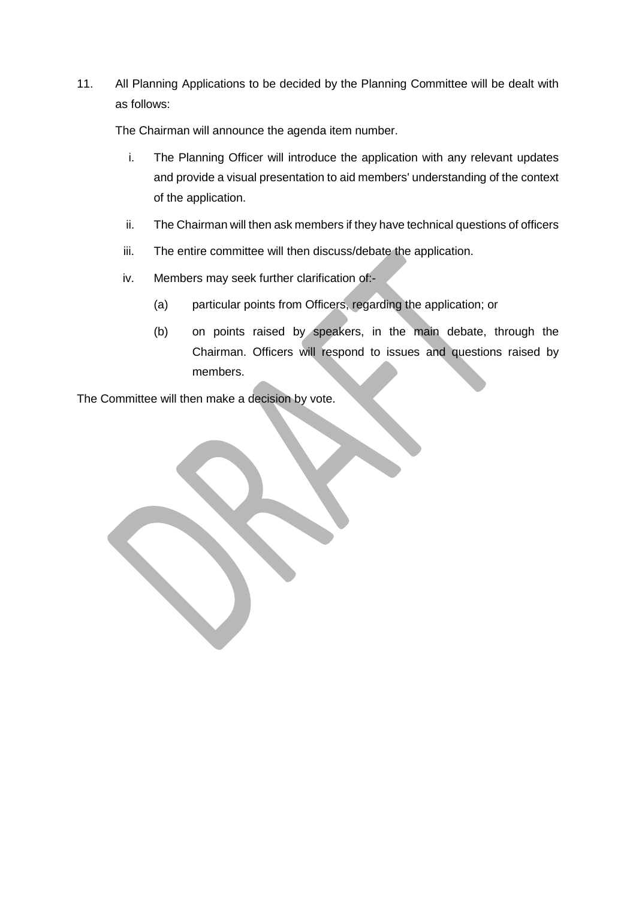11. All Planning Applications to be decided by the Planning Committee will be dealt with as follows:

The Chairman will announce the agenda item number.

- i. The Planning Officer will introduce the application with any relevant updates and provide a visual presentation to aid members' understanding of the context of the application.
- ii. The Chairman will then ask members if they have technical questions of officers
- iii. The entire committee will then discuss/debate the application.
- iv. Members may seek further clarification of:-
	- (a) particular points from Officers, regarding the application; or
	- (b) on points raised by speakers, in the main debate, through the Chairman. Officers will respond to issues and questions raised by members.

The Committee will then make a decision by vote.

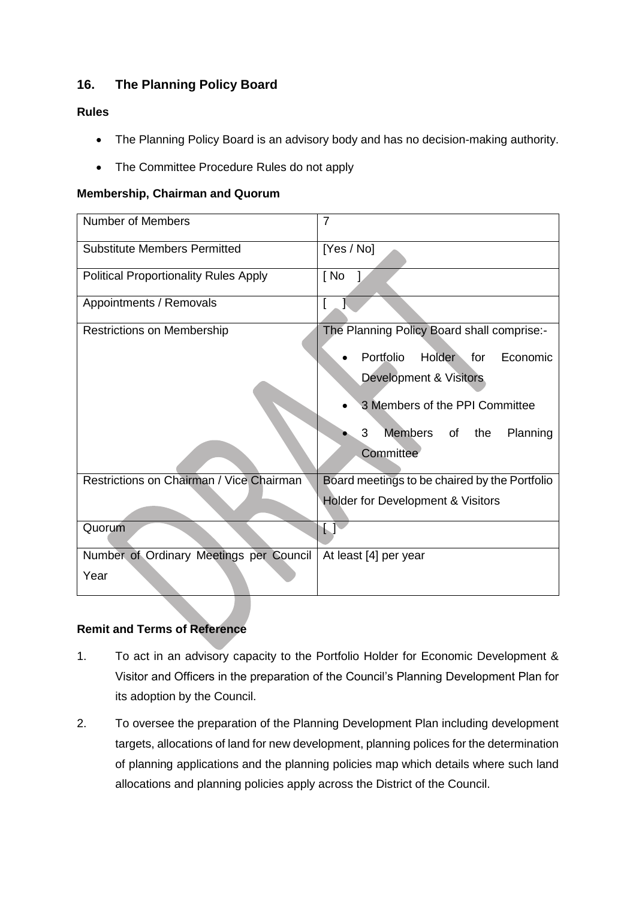# **16. The Planning Policy Board**

## **Rules**

- The Planning Policy Board is an advisory body and has no decision-making authority.
- The Committee Procedure Rules do not apply

#### **Membership, Chairman and Quorum**

| Number of Members                            | $\overline{7}$                                |
|----------------------------------------------|-----------------------------------------------|
| <b>Substitute Members Permitted</b>          | [Yes / No]                                    |
| <b>Political Proportionality Rules Apply</b> | [ No                                          |
| Appointments / Removals                      |                                               |
| Restrictions on Membership                   | The Planning Policy Board shall comprise:-    |
|                                              | Portfolio<br>Holder \<br>for<br>Economic      |
|                                              | <b>Development &amp; Visitors</b>             |
|                                              | 3 Members of the PPI Committee                |
|                                              | 3<br><b>Members</b><br>Planning<br>of<br>the  |
|                                              | Committee                                     |
| Restrictions on Chairman / Vice Chairman     | Board meetings to be chaired by the Portfolio |
|                                              | <b>Holder for Development &amp; Visitors</b>  |
| Quorum                                       | $\Box$                                        |
| Number of Ordinary Meetings per Council      | At least [4] per year                         |
| Year                                         |                                               |

## **Remit and Terms of Reference**

- 1. To act in an advisory capacity to the Portfolio Holder for Economic Development & Visitor and Officers in the preparation of the Council's Planning Development Plan for its adoption by the Council.
- 2. To oversee the preparation of the Planning Development Plan including development targets, allocations of land for new development, planning polices for the determination of planning applications and the planning policies map which details where such land allocations and planning policies apply across the District of the Council.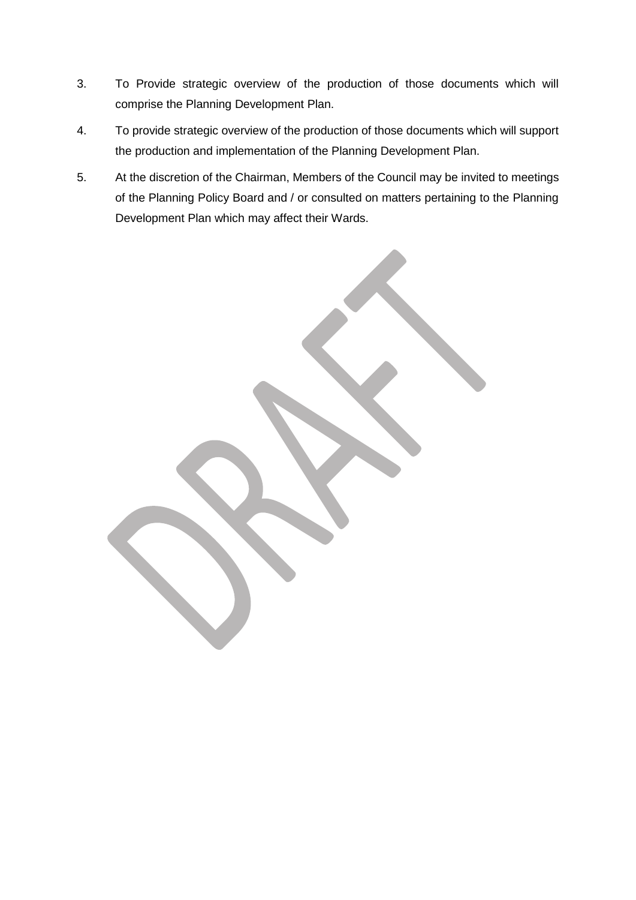- 3. To Provide strategic overview of the production of those documents which will comprise the Planning Development Plan.
- 4. To provide strategic overview of the production of those documents which will support the production and implementation of the Planning Development Plan.
- 5. At the discretion of the Chairman, Members of the Council may be invited to meetings of the Planning Policy Board and / or consulted on matters pertaining to the Planning Development Plan which may affect their Wards.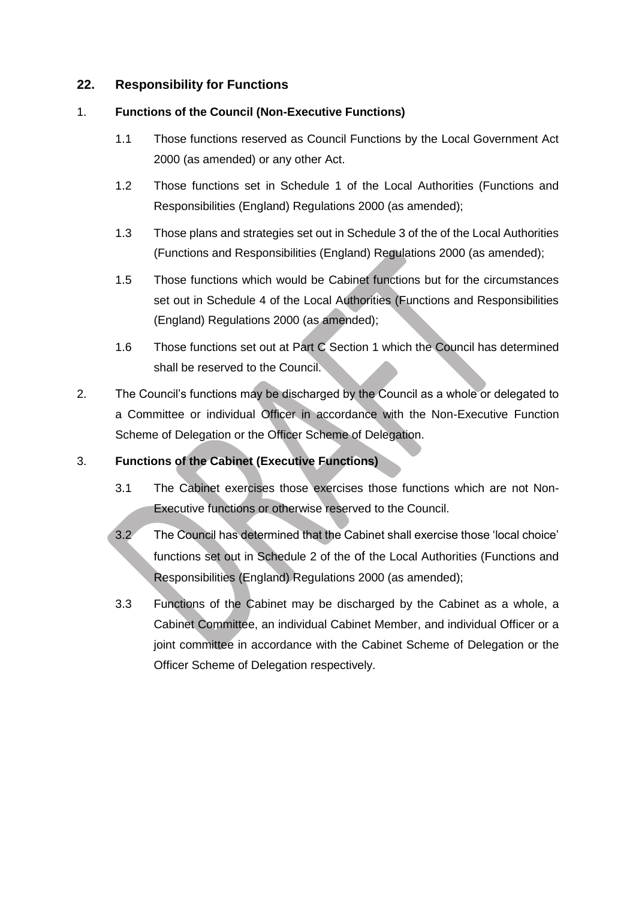# **22. Responsibility for Functions**

## 1. **Functions of the Council (Non-Executive Functions)**

- 1.1 Those functions reserved as Council Functions by the Local Government Act 2000 (as amended) or any other Act.
- 1.2 Those functions set in Schedule 1 of the Local Authorities (Functions and Responsibilities (England) Regulations 2000 (as amended);
- 1.3 Those plans and strategies set out in Schedule 3 of the of the Local Authorities (Functions and Responsibilities (England) Regulations 2000 (as amended);
- 1.5 Those functions which would be Cabinet functions but for the circumstances set out in Schedule 4 of the Local Authorities (Functions and Responsibilities (England) Regulations 2000 (as amended);
- 1.6 Those functions set out at Part C Section 1 which the Council has determined shall be reserved to the Council.
- 2. The Council's functions may be discharged by the Council as a whole or delegated to a Committee or individual Officer in accordance with the Non-Executive Function Scheme of Delegation or the Officer Scheme of Delegation.

## 3. **Functions of the Cabinet (Executive Functions)**

- 3.1 The Cabinet exercises those exercises those functions which are not Non-Executive functions or otherwise reserved to the Council.
- 3.2 The Council has determined that the Cabinet shall exercise those 'local choice' functions set out in Schedule 2 of the of the Local Authorities (Functions and Responsibilities (England) Regulations 2000 (as amended);
- 3.3 Functions of the Cabinet may be discharged by the Cabinet as a whole, a Cabinet Committee, an individual Cabinet Member, and individual Officer or a joint committee in accordance with the Cabinet Scheme of Delegation or the Officer Scheme of Delegation respectively.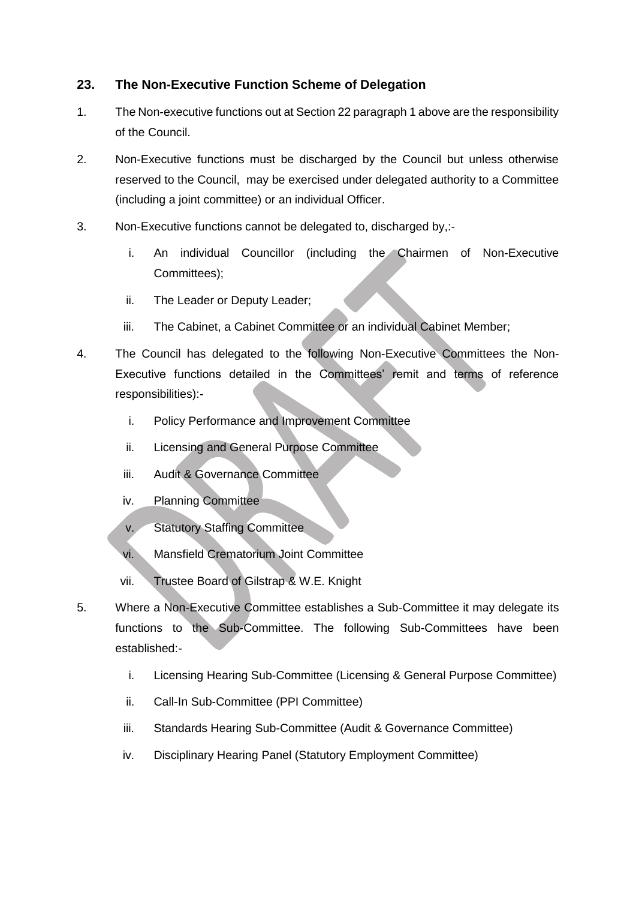# **23. The Non-Executive Function Scheme of Delegation**

- 1. The Non-executive functions out at Section 22 paragraph 1 above are the responsibility of the Council.
- 2. Non-Executive functions must be discharged by the Council but unless otherwise reserved to the Council, may be exercised under delegated authority to a Committee (including a joint committee) or an individual Officer.
- 3. Non-Executive functions cannot be delegated to, discharged by,:
	- i. An individual Councillor (including the Chairmen of Non-Executive Committees);
	- ii. The Leader or Deputy Leader;
	- iii. The Cabinet, a Cabinet Committee or an individual Cabinet Member;
- 4. The Council has delegated to the following Non-Executive Committees the Non-Executive functions detailed in the Committees' remit and terms of reference responsibilities):
	- i. Policy Performance and Improvement Committee
	- ii. Licensing and General Purpose Committee
	- iii. Audit & Governance Committee
	- iv. Planning Committee
	- v. Statutory Staffing Committee
	- vi. Mansfield Crematorium Joint Committee
	- vii. Trustee Board of Gilstrap & W.E. Knight
- 5. Where a Non-Executive Committee establishes a Sub-Committee it may delegate its functions to the Sub-Committee. The following Sub-Committees have been established:
	- i. Licensing Hearing Sub-Committee (Licensing & General Purpose Committee)
	- ii. Call-In Sub-Committee (PPI Committee)
	- iii. Standards Hearing Sub-Committee (Audit & Governance Committee)
	- iv. Disciplinary Hearing Panel (Statutory Employment Committee)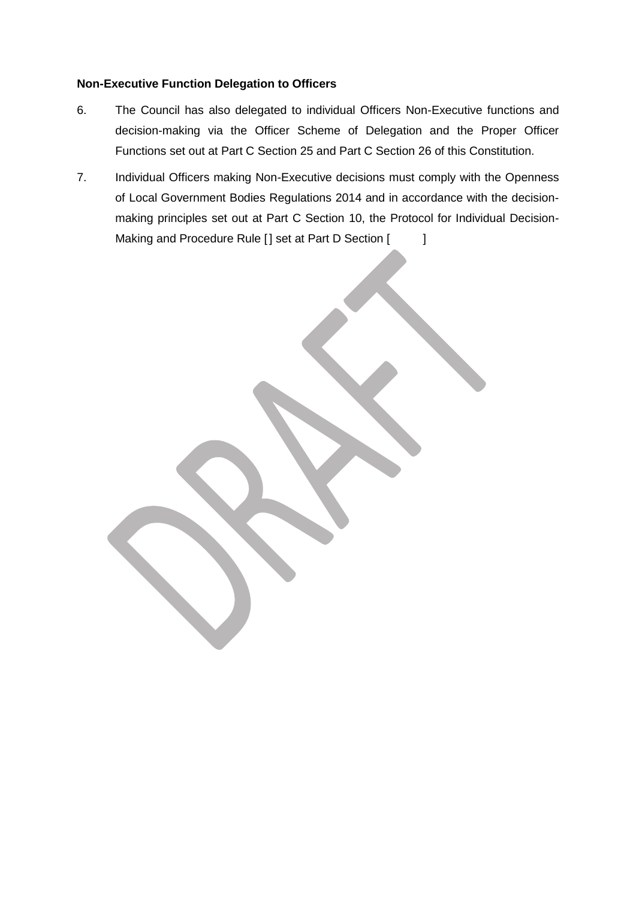#### **Non-Executive Function Delegation to Officers**

- 6. The Council has also delegated to individual Officers Non-Executive functions and decision-making via the Officer Scheme of Delegation and the Proper Officer Functions set out at Part C Section 25 and Part C Section 26 of this Constitution.
- 7. Individual Officers making Non-Executive decisions must comply with the Openness of Local Government Bodies Regulations 2014 and in accordance with the decisionmaking principles set out at Part C Section 10, the Protocol for Individual Decision-Making and Procedure Rule [] set at Part D Section [ ]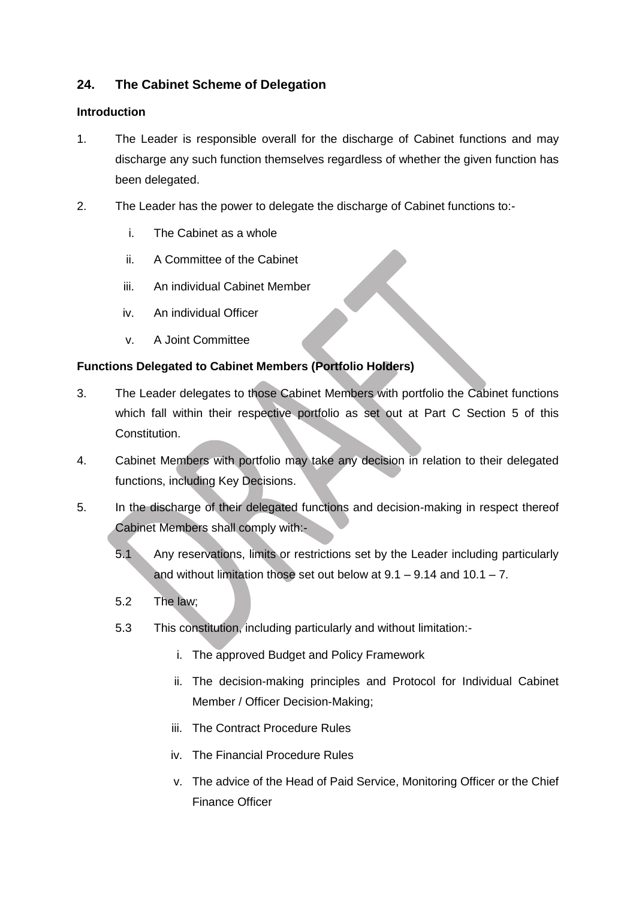# **24. The Cabinet Scheme of Delegation**

#### **Introduction**

- 1. The Leader is responsible overall for the discharge of Cabinet functions and may discharge any such function themselves regardless of whether the given function has been delegated.
- 2. The Leader has the power to delegate the discharge of Cabinet functions to:
	- i. The Cabinet as a whole
	- ii. A Committee of the Cabinet
	- iii. An individual Cabinet Member
	- iv. An individual Officer
	- v. A Joint Committee

# **Functions Delegated to Cabinet Members (Portfolio Holders)**

- 3. The Leader delegates to those Cabinet Members with portfolio the Cabinet functions which fall within their respective portfolio as set out at Part C Section 5 of this Constitution.
- 4. Cabinet Members with portfolio may take any decision in relation to their delegated functions, including Key Decisions.
- 5. In the discharge of their delegated functions and decision-making in respect thereof Cabinet Members shall comply with:-
	- 5.1 Any reservations, limits or restrictions set by the Leader including particularly and without limitation those set out below at  $9.1 - 9.14$  and  $10.1 - 7$ .
	- 5.2 The law;
	- 5.3 This constitution, including particularly and without limitation:
		- i. The approved Budget and Policy Framework
		- ii. The decision-making principles and Protocol for Individual Cabinet Member / Officer Decision-Making;
		- iii. The Contract Procedure Rules
		- iv. The Financial Procedure Rules
		- v. The advice of the Head of Paid Service, Monitoring Officer or the Chief Finance Officer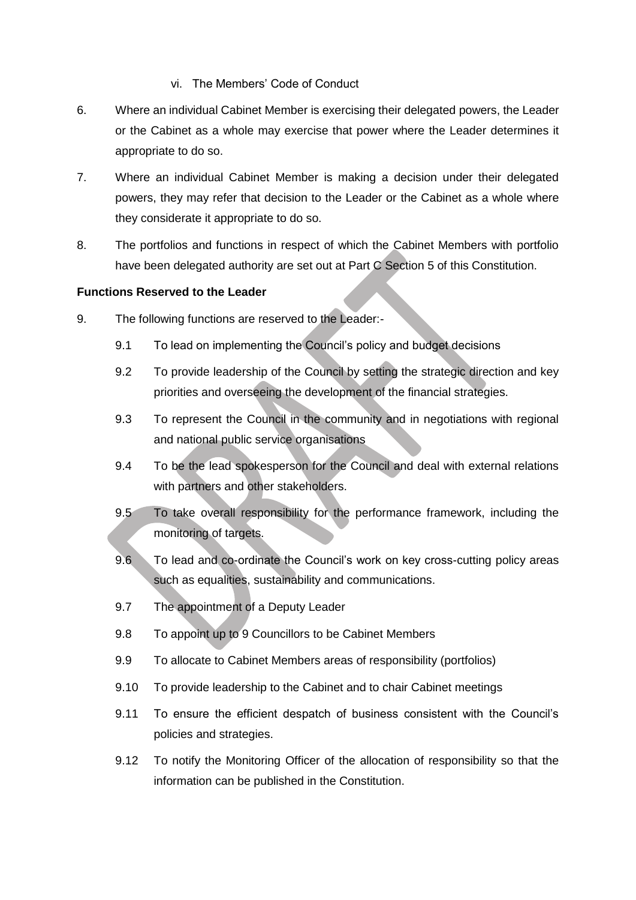#### vi. The Members' Code of Conduct

- 6. Where an individual Cabinet Member is exercising their delegated powers, the Leader or the Cabinet as a whole may exercise that power where the Leader determines it appropriate to do so.
- 7. Where an individual Cabinet Member is making a decision under their delegated powers, they may refer that decision to the Leader or the Cabinet as a whole where they considerate it appropriate to do so.
- 8. The portfolios and functions in respect of which the Cabinet Members with portfolio have been delegated authority are set out at Part C Section 5 of this Constitution.

#### **Functions Reserved to the Leader**

- 9. The following functions are reserved to the Leader:-
	- 9.1 To lead on implementing the Council's policy and budget decisions
	- 9.2 To provide leadership of the Council by setting the strategic direction and key priorities and overseeing the development of the financial strategies.
	- 9.3 To represent the Council in the community and in negotiations with regional and national public service organisations
	- 9.4 To be the lead spokesperson for the Council and deal with external relations with partners and other stakeholders.
	- 9.5 To take overall responsibility for the performance framework, including the monitoring of targets.
	- 9.6 To lead and co-ordinate the Council's work on key cross-cutting policy areas such as equalities, sustainability and communications.
	- 9.7 The appointment of a Deputy Leader
	- 9.8 To appoint up to 9 Councillors to be Cabinet Members
	- 9.9 To allocate to Cabinet Members areas of responsibility (portfolios)
	- 9.10 To provide leadership to the Cabinet and to chair Cabinet meetings
	- 9.11 To ensure the efficient despatch of business consistent with the Council's policies and strategies.
	- 9.12 To notify the Monitoring Officer of the allocation of responsibility so that the information can be published in the Constitution.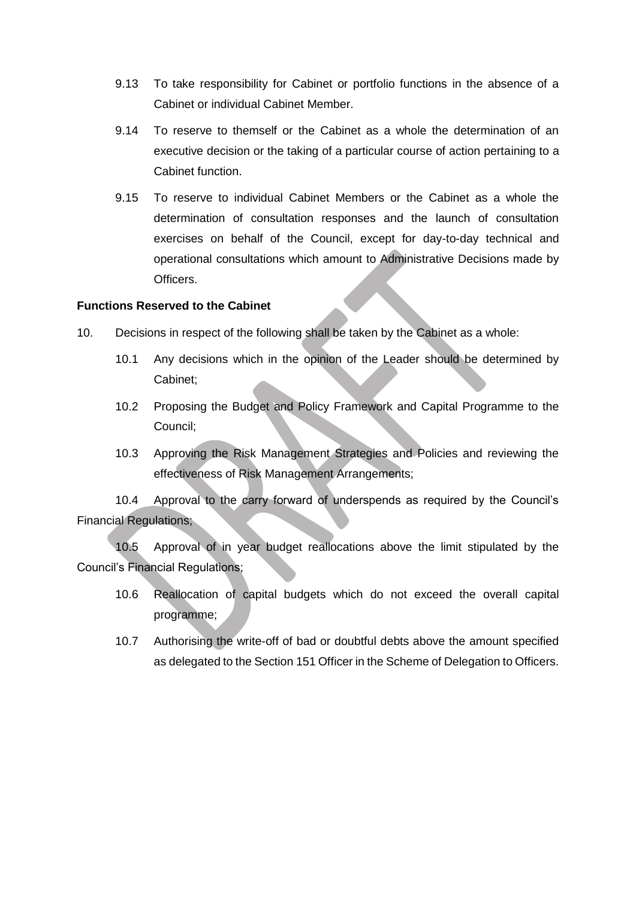- 9.13 To take responsibility for Cabinet or portfolio functions in the absence of a Cabinet or individual Cabinet Member.
- 9.14 To reserve to themself or the Cabinet as a whole the determination of an executive decision or the taking of a particular course of action pertaining to a Cabinet function.
- 9.15 To reserve to individual Cabinet Members or the Cabinet as a whole the determination of consultation responses and the launch of consultation exercises on behalf of the Council, except for day-to-day technical and operational consultations which amount to Administrative Decisions made by **Officers**

#### **Functions Reserved to the Cabinet**

- 10. Decisions in respect of the following shall be taken by the Cabinet as a whole:
	- 10.1 Any decisions which in the opinion of the Leader should be determined by Cabinet;
	- 10.2 Proposing the Budget and Policy Framework and Capital Programme to the Council;
	- 10.3 Approving the Risk Management Strategies and Policies and reviewing the effectiveness of Risk Management Arrangements;

10.4 Approval to the carry forward of underspends as required by the Council's Financial Regulations;

10.5 Approval of in year budget reallocations above the limit stipulated by the Council's Financial Regulations;

- 10.6 Reallocation of capital budgets which do not exceed the overall capital programme;
- 10.7 Authorising the write-off of bad or doubtful debts above the amount specified as delegated to the Section 151 Officer in the Scheme of Delegation to Officers.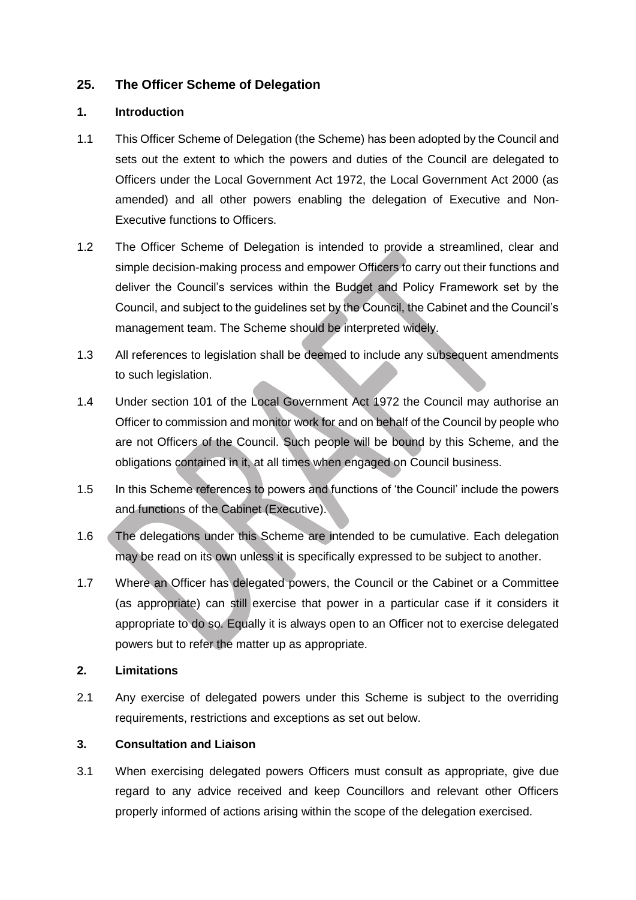# **25. The Officer Scheme of Delegation**

#### **1. Introduction**

- 1.1 This Officer Scheme of Delegation (the Scheme) has been adopted by the Council and sets out the extent to which the powers and duties of the Council are delegated to Officers under the Local Government Act 1972, the Local Government Act 2000 (as amended) and all other powers enabling the delegation of Executive and Non-Executive functions to Officers.
- 1.2 The Officer Scheme of Delegation is intended to provide a streamlined, clear and simple decision-making process and empower Officers to carry out their functions and deliver the Council's services within the Budget and Policy Framework set by the Council, and subject to the guidelines set by the Council, the Cabinet and the Council's management team. The Scheme should be interpreted widely.
- 1.3 All references to legislation shall be deemed to include any subsequent amendments to such legislation.
- 1.4 Under section 101 of the Local Government Act 1972 the Council may authorise an Officer to commission and monitor work for and on behalf of the Council by people who are not Officers of the Council. Such people will be bound by this Scheme, and the obligations contained in it, at all times when engaged on Council business.
- 1.5 In this Scheme references to powers and functions of 'the Council' include the powers and functions of the Cabinet (Executive).
- 1.6 The delegations under this Scheme are intended to be cumulative. Each delegation may be read on its own unless it is specifically expressed to be subject to another.
- 1.7 Where an Officer has delegated powers, the Council or the Cabinet or a Committee (as appropriate) can still exercise that power in a particular case if it considers it appropriate to do so. Equally it is always open to an Officer not to exercise delegated powers but to refer the matter up as appropriate.

## **2. Limitations**

2.1 Any exercise of delegated powers under this Scheme is subject to the overriding requirements, restrictions and exceptions as set out below.

## **3. Consultation and Liaison**

3.1 When exercising delegated powers Officers must consult as appropriate, give due regard to any advice received and keep Councillors and relevant other Officers properly informed of actions arising within the scope of the delegation exercised.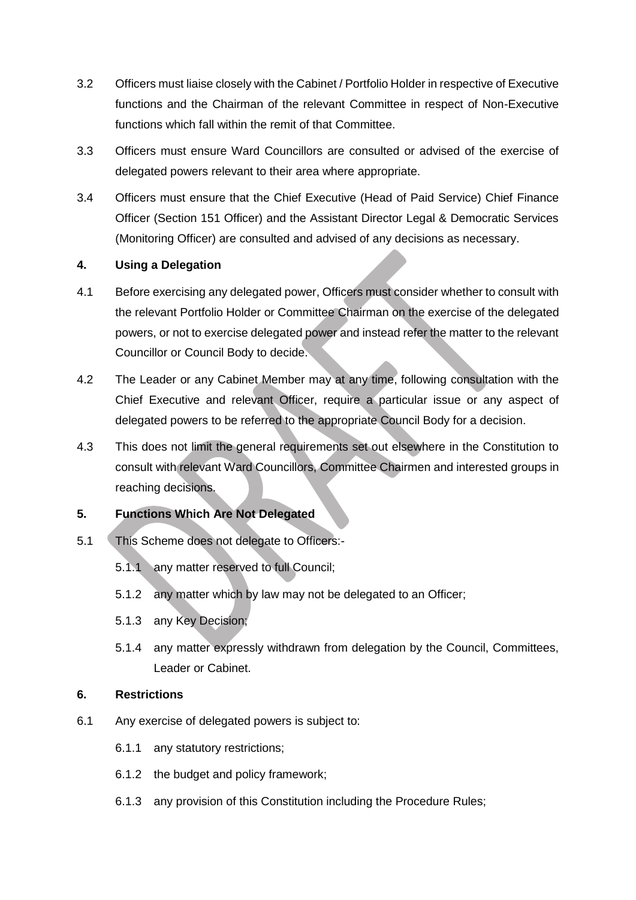- 3.2 Officers must liaise closely with the Cabinet / Portfolio Holder in respective of Executive functions and the Chairman of the relevant Committee in respect of Non-Executive functions which fall within the remit of that Committee.
- 3.3 Officers must ensure Ward Councillors are consulted or advised of the exercise of delegated powers relevant to their area where appropriate.
- 3.4 Officers must ensure that the Chief Executive (Head of Paid Service) Chief Finance Officer (Section 151 Officer) and the Assistant Director Legal & Democratic Services (Monitoring Officer) are consulted and advised of any decisions as necessary.

## **4. Using a Delegation**

- 4.1 Before exercising any delegated power, Officers must consider whether to consult with the relevant Portfolio Holder or Committee Chairman on the exercise of the delegated powers, or not to exercise delegated power and instead refer the matter to the relevant Councillor or Council Body to decide.
- 4.2 The Leader or any Cabinet Member may at any time, following consultation with the Chief Executive and relevant Officer, require a particular issue or any aspect of delegated powers to be referred to the appropriate Council Body for a decision.
- 4.3 This does not limit the general requirements set out elsewhere in the Constitution to consult with relevant Ward Councillors, Committee Chairmen and interested groups in reaching decisions.

## **5. Functions Which Are Not Delegated**

- 5.1 This Scheme does not delegate to Officers:-
	- 5.1.1 any matter reserved to full Council;
	- 5.1.2 any matter which by law may not be delegated to an Officer;
	- 5.1.3 any Key Decision;
	- 5.1.4 any matter expressly withdrawn from delegation by the Council, Committees, Leader or Cabinet.

## **6. Restrictions**

- 6.1 Any exercise of delegated powers is subject to:
	- 6.1.1 any statutory restrictions;
	- 6.1.2 the budget and policy framework;
	- 6.1.3 any provision of this Constitution including the Procedure Rules;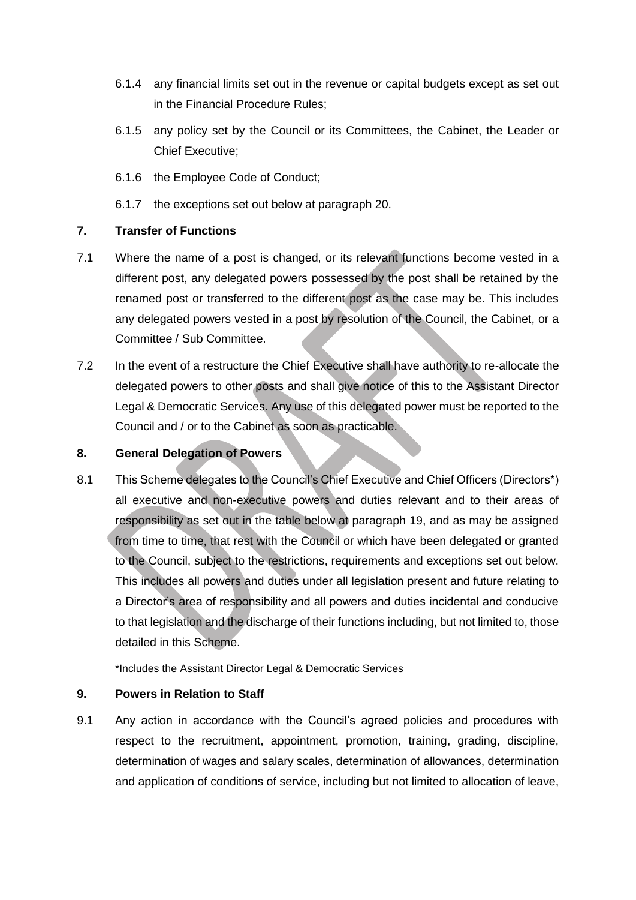- 6.1.4 any financial limits set out in the revenue or capital budgets except as set out in the Financial Procedure Rules;
- 6.1.5 any policy set by the Council or its Committees, the Cabinet, the Leader or Chief Executive;
- 6.1.6 the Employee Code of Conduct;
- 6.1.7 the exceptions set out below at paragraph 20.

#### **7. Transfer of Functions**

- 7.1 Where the name of a post is changed, or its relevant functions become vested in a different post, any delegated powers possessed by the post shall be retained by the renamed post or transferred to the different post as the case may be. This includes any delegated powers vested in a post by resolution of the Council, the Cabinet, or a Committee / Sub Committee.
- 7.2 In the event of a restructure the Chief Executive shall have authority to re-allocate the delegated powers to other posts and shall give notice of this to the Assistant Director Legal & Democratic Services. Any use of this delegated power must be reported to the Council and / or to the Cabinet as soon as practicable.

# **8. General Delegation of Powers**

8.1 This Scheme delegates to the Council's Chief Executive and Chief Officers (Directors\*) all executive and non-executive powers and duties relevant and to their areas of responsibility as set out in the table below at paragraph 19, and as may be assigned from time to time, that rest with the Council or which have been delegated or granted to the Council, subject to the restrictions, requirements and exceptions set out below. This includes all powers and duties under all legislation present and future relating to a Director's area of responsibility and all powers and duties incidental and conducive to that legislation and the discharge of their functions including, but not limited to, those detailed in this Scheme.

\*Includes the Assistant Director Legal & Democratic Services

## **9. Powers in Relation to Staff**

9.1 Any action in accordance with the Council's agreed policies and procedures with respect to the recruitment, appointment, promotion, training, grading, discipline, determination of wages and salary scales, determination of allowances, determination and application of conditions of service, including but not limited to allocation of leave,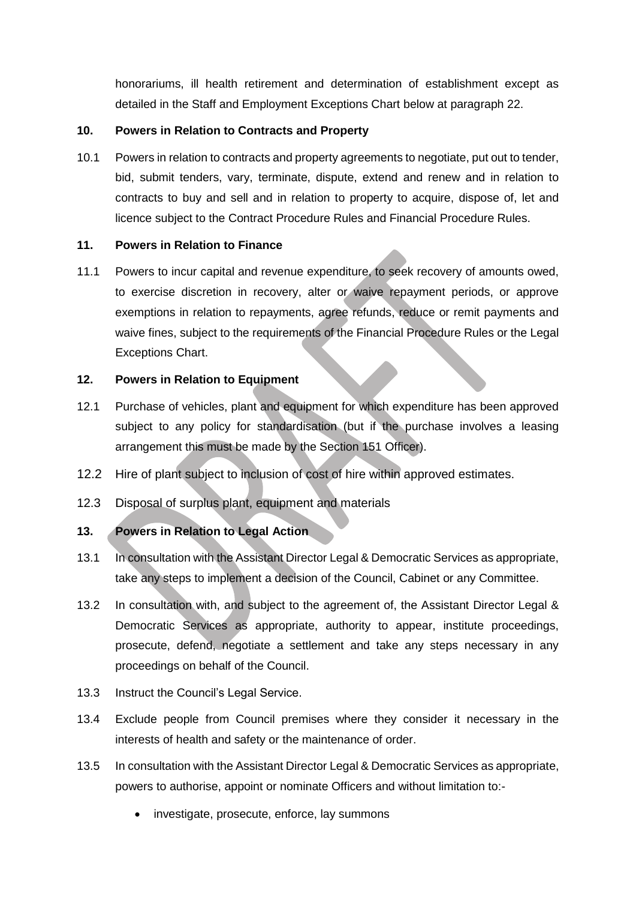honorariums, ill health retirement and determination of establishment except as detailed in the Staff and Employment Exceptions Chart below at paragraph 22.

#### **10. Powers in Relation to Contracts and Property**

10.1 Powers in relation to contracts and property agreements to negotiate, put out to tender, bid, submit tenders, vary, terminate, dispute, extend and renew and in relation to contracts to buy and sell and in relation to property to acquire, dispose of, let and licence subject to the Contract Procedure Rules and Financial Procedure Rules.

#### **11. Powers in Relation to Finance**

11.1 Powers to incur capital and revenue expenditure, to seek recovery of amounts owed, to exercise discretion in recovery, alter or waive repayment periods, or approve exemptions in relation to repayments, agree refunds, reduce or remit payments and waive fines, subject to the requirements of the Financial Procedure Rules or the Legal Exceptions Chart.

#### **12. Powers in Relation to Equipment**

- 12.1 Purchase of vehicles, plant and equipment for which expenditure has been approved subject to any policy for standardisation (but if the purchase involves a leasing arrangement this must be made by the Section 151 Officer).
- 12.2 Hire of plant subject to inclusion of cost of hire within approved estimates.
- 12.3 Disposal of surplus plant, equipment and materials

## **13. Powers in Relation to Legal Action**

- 13.1 In consultation with the Assistant Director Legal & Democratic Services as appropriate, take any steps to implement a decision of the Council, Cabinet or any Committee.
- 13.2 In consultation with, and subject to the agreement of, the Assistant Director Legal & Democratic Services as appropriate, authority to appear, institute proceedings, prosecute, defend, negotiate a settlement and take any steps necessary in any proceedings on behalf of the Council.
- 13.3 Instruct the Council's Legal Service.
- 13.4 Exclude people from Council premises where they consider it necessary in the interests of health and safety or the maintenance of order.
- 13.5 In consultation with the Assistant Director Legal & Democratic Services as appropriate, powers to authorise, appoint or nominate Officers and without limitation to:
	- investigate, prosecute, enforce, lay summons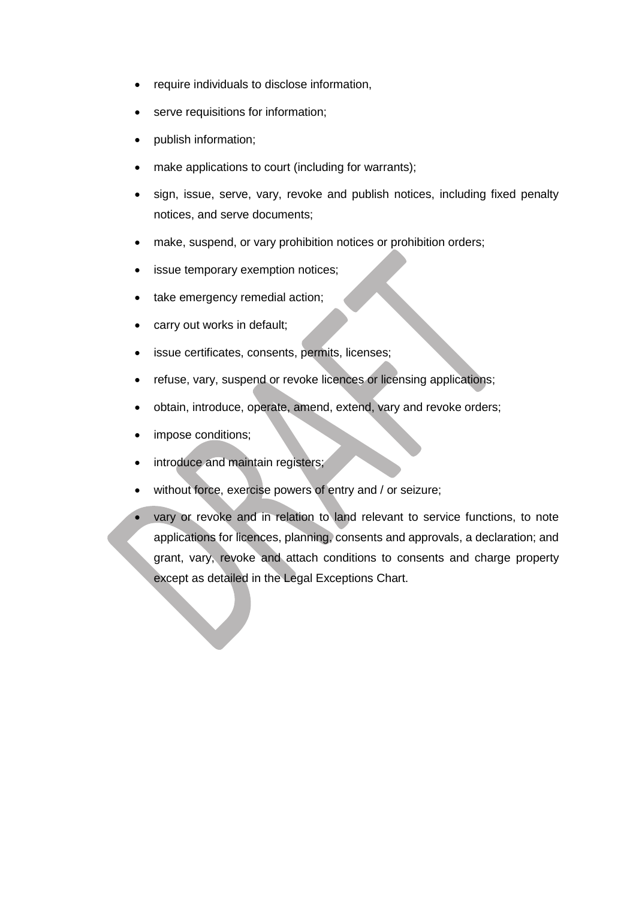- require individuals to disclose information,
- serve requisitions for information;
- publish information;
- make applications to court (including for warrants);
- sign, issue, serve, vary, revoke and publish notices, including fixed penalty notices, and serve documents;
- make, suspend, or vary prohibition notices or prohibition orders;
- issue temporary exemption notices;
- take emergency remedial action;
- carry out works in default;
- issue certificates, consents, permits, licenses;
- refuse, vary, suspend or revoke licences or licensing applications;
- obtain, introduce, operate, amend, extend, vary and revoke orders;
- impose conditions;
- introduce and maintain registers;
- without force, exercise powers of entry and / or seizure;
- vary or revoke and in relation to land relevant to service functions, to note applications for licences, planning, consents and approvals, a declaration; and grant, vary, revoke and attach conditions to consents and charge property except as detailed in the Legal Exceptions Chart.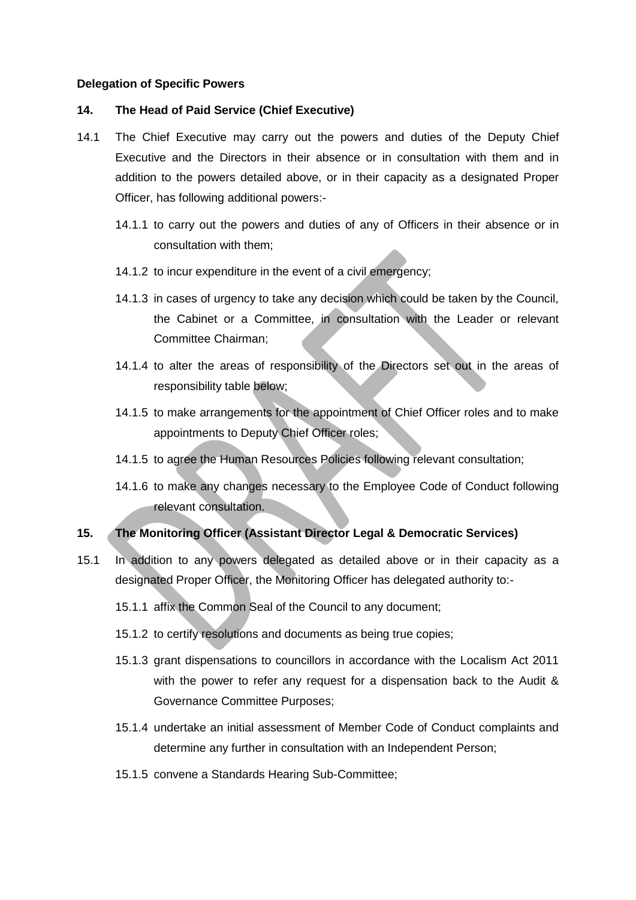#### **Delegation of Specific Powers**

#### **14. The Head of Paid Service (Chief Executive)**

- 14.1 The Chief Executive may carry out the powers and duties of the Deputy Chief Executive and the Directors in their absence or in consultation with them and in addition to the powers detailed above, or in their capacity as a designated Proper Officer, has following additional powers:-
	- 14.1.1 to carry out the powers and duties of any of Officers in their absence or in consultation with them;
	- 14.1.2 to incur expenditure in the event of a civil emergency;
	- 14.1.3 in cases of urgency to take any decision which could be taken by the Council, the Cabinet or a Committee, in consultation with the Leader or relevant Committee Chairman;
	- 14.1.4 to alter the areas of responsibility of the Directors set out in the areas of responsibility table below;
	- 14.1.5 to make arrangements for the appointment of Chief Officer roles and to make appointments to Deputy Chief Officer roles;
	- 14.1.5 to agree the Human Resources Policies following relevant consultation;
	- 14.1.6 to make any changes necessary to the Employee Code of Conduct following relevant consultation.

#### **15. The Monitoring Officer (Assistant Director Legal & Democratic Services)**

- 15.1 In addition to any powers delegated as detailed above or in their capacity as a designated Proper Officer, the Monitoring Officer has delegated authority to:-
	- 15.1.1 affix the Common Seal of the Council to any document;
	- 15.1.2 to certify resolutions and documents as being true copies;
	- 15.1.3 grant dispensations to councillors in accordance with the Localism Act 2011 with the power to refer any request for a dispensation back to the Audit & Governance Committee Purposes;
	- 15.1.4 undertake an initial assessment of Member Code of Conduct complaints and determine any further in consultation with an Independent Person;
	- 15.1.5 convene a Standards Hearing Sub-Committee;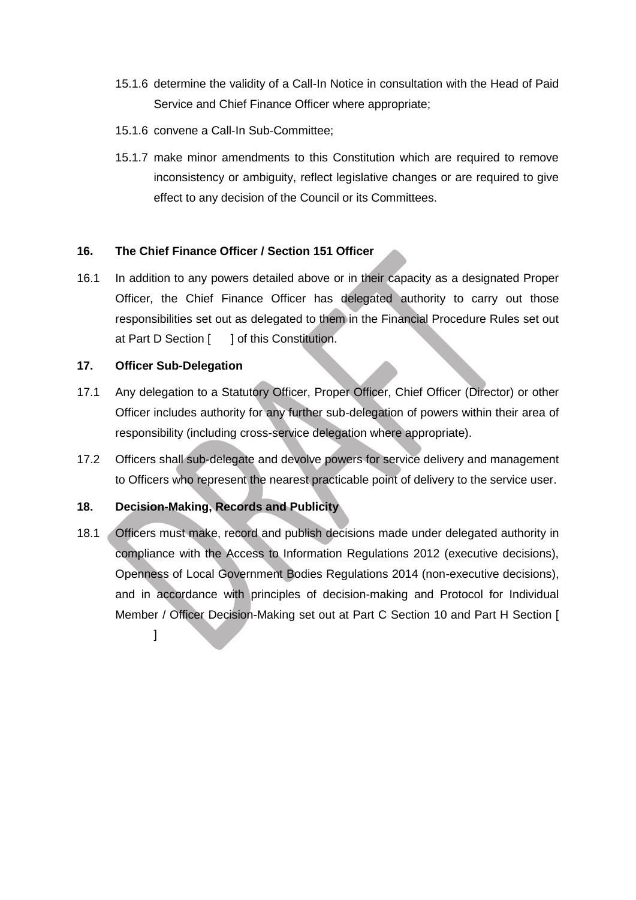- 15.1.6 determine the validity of a Call-In Notice in consultation with the Head of Paid Service and Chief Finance Officer where appropriate;
- 15.1.6 convene a Call-In Sub-Committee;
- 15.1.7 make minor amendments to this Constitution which are required to remove inconsistency or ambiguity, reflect legislative changes or are required to give effect to any decision of the Council or its Committees.

## **16. The Chief Finance Officer / Section 151 Officer**

16.1 In addition to any powers detailed above or in their capacity as a designated Proper Officer, the Chief Finance Officer has delegated authority to carry out those responsibilities set out as delegated to them in the Financial Procedure Rules set out at Part D Section [ ] of this Constitution.

#### **17. Officer Sub-Delegation**

- 17.1 Any delegation to a Statutory Officer, Proper Officer, Chief Officer (Director) or other Officer includes authority for any further sub-delegation of powers within their area of responsibility (including cross-service delegation where appropriate).
- 17.2 Officers shall sub-delegate and devolve powers for service delivery and management to Officers who represent the nearest practicable point of delivery to the service user.

## **18. Decision-Making, Records and Publicity**

18.1 Officers must make, record and publish decisions made under delegated authority in compliance with the Access to Information Regulations 2012 (executive decisions), Openness of Local Government Bodies Regulations 2014 (non-executive decisions), and in accordance with principles of decision-making and Protocol for Individual Member / Officer Decision-Making set out at Part C Section 10 and Part H Section [ ]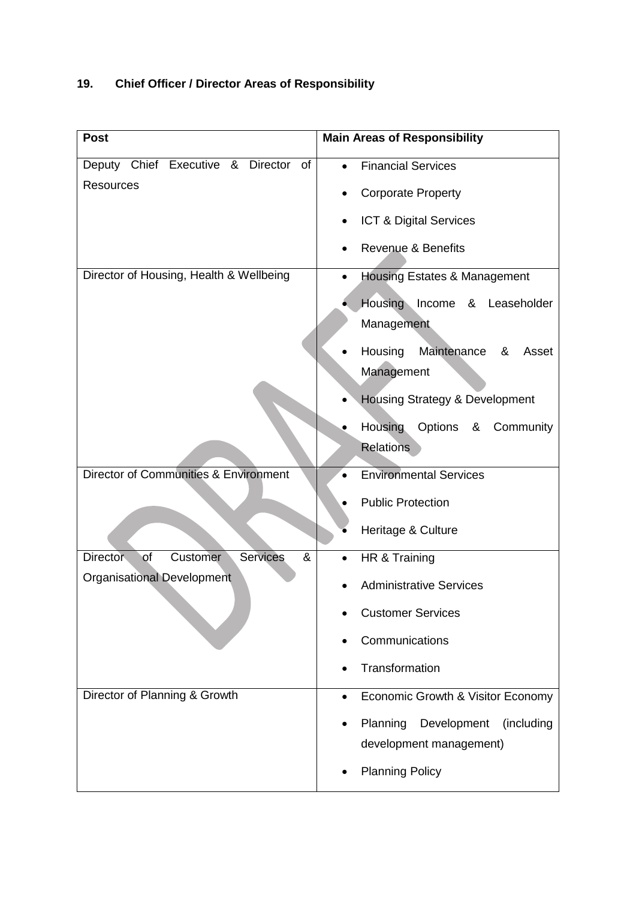# **19. Chief Officer / Director Areas of Responsibility**

| <b>Post</b>                                               | <b>Main Areas of Responsibility</b>                  |
|-----------------------------------------------------------|------------------------------------------------------|
| Deputy Chief Executive<br>&<br><b>Director</b><br>of      | <b>Financial Services</b><br>$\bullet$               |
| <b>Resources</b>                                          | <b>Corporate Property</b><br>$\bullet$               |
|                                                           | ICT & Digital Services                               |
|                                                           | <b>Revenue &amp; Benefits</b>                        |
| Director of Housing, Health & Wellbeing                   | <b>Housing Estates &amp; Management</b><br>$\bullet$ |
|                                                           | <b>Housing</b><br>Income<br>& Leaseholder            |
|                                                           | Management                                           |
|                                                           | Housing<br>Maintenance<br>Asset<br>&                 |
|                                                           | Management                                           |
|                                                           | <b>Housing Strategy &amp; Development</b>            |
|                                                           | <b>Housing</b><br>Options<br>Community<br>&          |
|                                                           | <b>Relations</b>                                     |
| <b>Director of Communities &amp; Environment</b>          | <b>Environmental Services</b><br>$\bullet$           |
|                                                           |                                                      |
|                                                           | <b>Public Protection</b><br>$\bullet$                |
|                                                           | Heritage & Culture                                   |
| <b>Director</b><br>Customer<br><b>Services</b><br>οf<br>& | HR & Training<br>$\bullet$                           |
| <b>Organisational Development</b>                         | <b>Administrative Services</b>                       |
|                                                           | <b>Customer Services</b>                             |
|                                                           | Communications                                       |
|                                                           | Transformation                                       |
| Director of Planning & Growth                             | Economic Growth & Visitor Economy<br>$\bullet$       |
|                                                           | Planning<br>Development<br>(including<br>$\bullet$   |
|                                                           | development management)                              |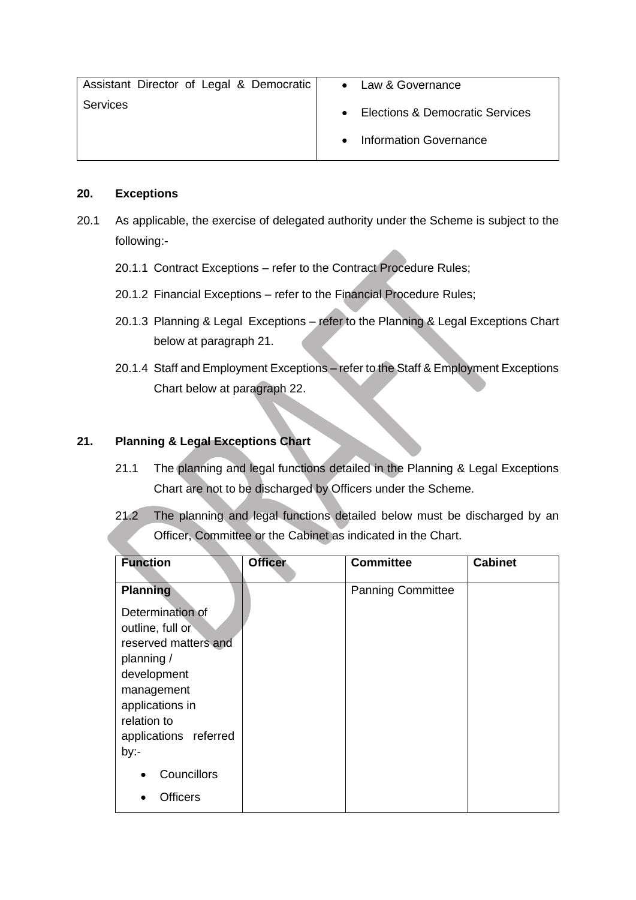| Assistant Director of Legal & Democratic | • Law & Governance              |
|------------------------------------------|---------------------------------|
| Services                                 | Elections & Democratic Services |
|                                          | Information Governance          |

#### **20. Exceptions**

- 20.1 As applicable, the exercise of delegated authority under the Scheme is subject to the following:-
	- 20.1.1 Contract Exceptions refer to the Contract Procedure Rules;
	- 20.1.2 Financial Exceptions refer to the Financial Procedure Rules;
	- 20.1.3 Planning & Legal Exceptions refer to the Planning & Legal Exceptions Chart below at paragraph 21.
	- 20.1.4 Staff and Employment Exceptions refer to the Staff & Employment Exceptions Chart below at paragraph 22.

#### **21. Planning & Legal Exceptions Chart**

- 21.1 The planning and legal functions detailed in the Planning & Legal Exceptions Chart are not to be discharged by Officers under the Scheme.
- 21.2 The planning and legal functions detailed below must be discharged by an Officer, Committee or the Cabinet as indicated in the Chart.

| <b>Function</b>       | <b>Officer</b> | <b>Committee</b>         | <b>Cabinet</b> |
|-----------------------|----------------|--------------------------|----------------|
| <b>Planning</b>       |                | <b>Panning Committee</b> |                |
| Determination of      |                |                          |                |
| outline, full or      |                |                          |                |
| reserved matters and  |                |                          |                |
| planning /            |                |                          |                |
| development           |                |                          |                |
| management            |                |                          |                |
| applications in       |                |                          |                |
| relation to           |                |                          |                |
| applications referred |                |                          |                |
| by:-                  |                |                          |                |
| Councillors           |                |                          |                |
| <b>Officers</b>       |                |                          |                |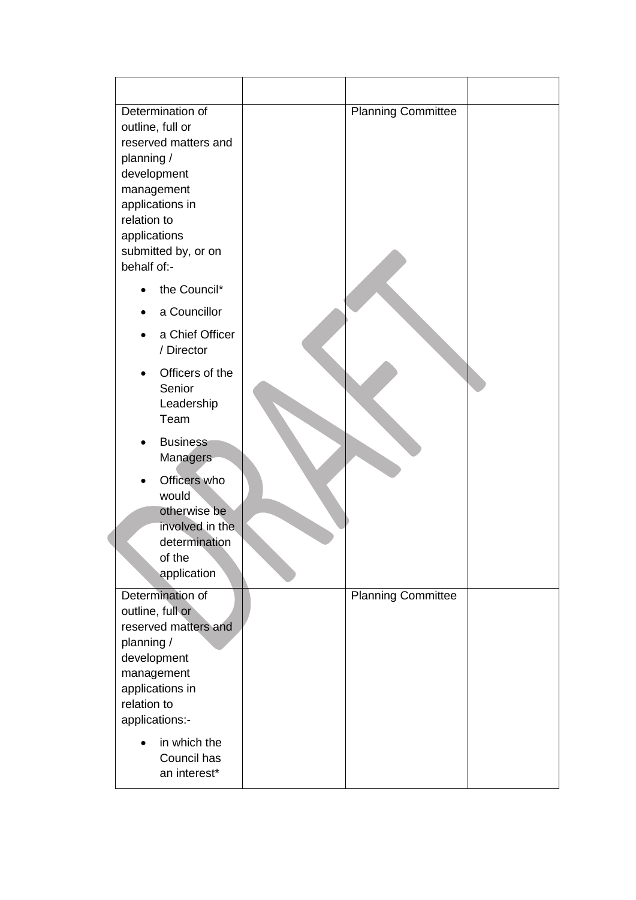| Determination of<br>outline, full or<br>reserved matters and<br>planning /<br>development<br>management<br>applications in<br>relation to<br>applications<br>submitted by, or on<br>behalf of:- | <b>Planning Committee</b> |  |
|-------------------------------------------------------------------------------------------------------------------------------------------------------------------------------------------------|---------------------------|--|
| the Council*                                                                                                                                                                                    |                           |  |
| a Councillor<br>$\bullet$                                                                                                                                                                       |                           |  |
| a Chief Officer<br>/ Director                                                                                                                                                                   |                           |  |
| Officers of the<br>Senior<br>Leadership<br>Team                                                                                                                                                 |                           |  |
| <b>Business</b><br>Managers                                                                                                                                                                     |                           |  |
| Officers who<br>would<br>otherwise be<br>involved in the<br>determination<br>of the<br>application                                                                                              |                           |  |
| Determination of<br>outline, full or<br>reserved matters and<br>planning /<br>development<br>management<br>applications in<br>relation to<br>applications:-                                     | <b>Planning Committee</b> |  |
| in which the<br>Council has<br>an interest*                                                                                                                                                     |                           |  |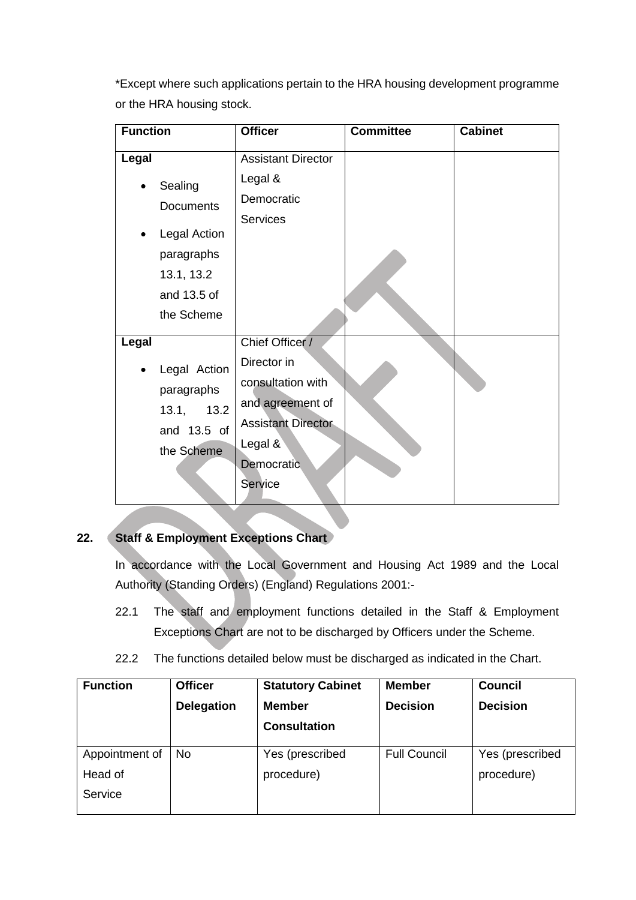\*Except where such applications pertain to the HRA housing development programme or the HRA housing stock.

| <b>Function</b> |                                                                                                             | <b>Officer</b>                                                                                                                                      | <b>Committee</b> | <b>Cabinet</b> |
|-----------------|-------------------------------------------------------------------------------------------------------------|-----------------------------------------------------------------------------------------------------------------------------------------------------|------------------|----------------|
| Legal           | Sealing<br><b>Documents</b><br><b>Legal Action</b><br>paragraphs<br>13.1, 13.2<br>and 13.5 of<br>the Scheme | <b>Assistant Director</b><br>Legal &<br>Democratic<br><b>Services</b>                                                                               |                  |                |
| Legal           | Legal Action<br>paragraphs<br>13.2<br>13.1,<br>and 13.5 of<br>the Scheme                                    | Chief Officer /<br>Director in<br>consultation with<br>and agreement of<br><b>Assistant Director</b><br>Legal $\&b$<br>Democratic<br><b>Service</b> |                  |                |

# **22. Staff & Employment Exceptions Chart**

In accordance with the Local Government and Housing Act 1989 and the Local Authority (Standing Orders) (England) Regulations 2001:-

- 22.1 The staff and employment functions detailed in the Staff & Employment Exceptions Chart are not to be discharged by Officers under the Scheme.
- 22.2 The functions detailed below must be discharged as indicated in the Chart.

| <b>Function</b> | <b>Officer</b>    | <b>Statutory Cabinet</b> | <b>Member</b>       | <b>Council</b>  |
|-----------------|-------------------|--------------------------|---------------------|-----------------|
|                 | <b>Delegation</b> | <b>Member</b>            | <b>Decision</b>     | <b>Decision</b> |
|                 |                   | <b>Consultation</b>      |                     |                 |
| Appointment of  | No.               | Yes (prescribed          | <b>Full Council</b> | Yes (prescribed |
| Head of         |                   | procedure)               |                     | procedure)      |
| Service         |                   |                          |                     |                 |
|                 |                   |                          |                     |                 |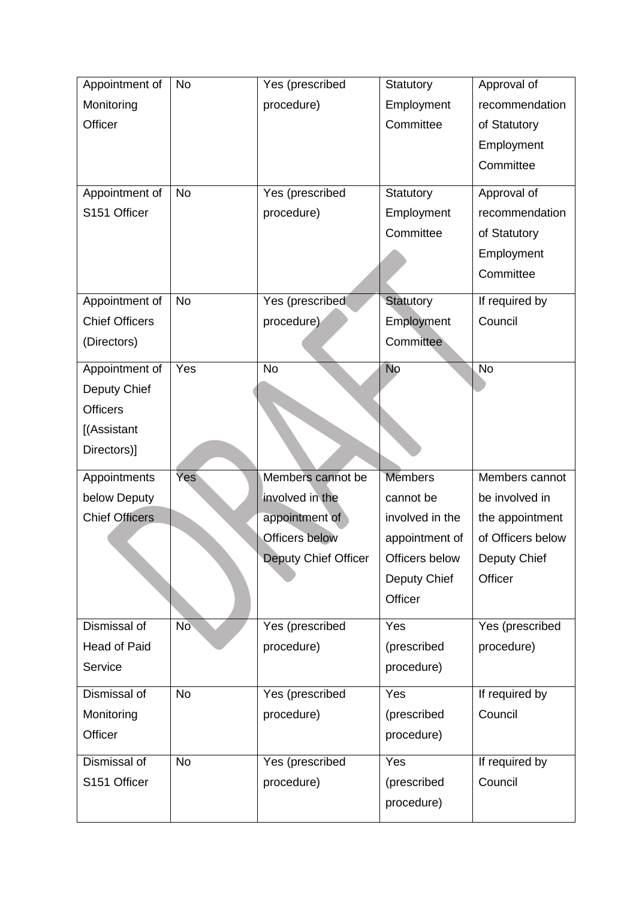| Appointment of        | No        | Yes (prescribed       | Statutory       | Approval of       |
|-----------------------|-----------|-----------------------|-----------------|-------------------|
| Monitoring            |           | procedure)            | Employment      | recommendation    |
| Officer               |           |                       | Committee       | of Statutory      |
|                       |           |                       |                 | Employment        |
|                       |           |                       |                 | Committee         |
| Appointment of        | <b>No</b> | Yes (prescribed       | Statutory       | Approval of       |
| S151 Officer          |           | procedure)            | Employment      | recommendation    |
|                       |           |                       | Committee       | of Statutory      |
|                       |           |                       |                 | Employment        |
|                       |           |                       |                 | Committee         |
| Appointment of        | No        | Yes (prescribed       | Statutory       | If required by    |
| <b>Chief Officers</b> |           | procedure)            | Employment      | Council           |
| (Directors)           |           |                       | Committee       |                   |
| Appointment of        | Yes       | <b>No</b>             | <b>No</b>       | <b>No</b>         |
| Deputy Chief          |           |                       |                 |                   |
| <b>Officers</b>       |           |                       |                 |                   |
| [(Assistant           |           |                       |                 |                   |
| Directors)]           |           |                       |                 |                   |
| Appointments          | Yes       | Members cannot be     | <b>Members</b>  | Members cannot    |
| below Deputy          |           | involved in the       | cannot be       | be involved in    |
| <b>Chief Officers</b> |           | appointment of        | involved in the | the appointment   |
|                       |           | <b>Officers below</b> | appointment of  | of Officers below |
|                       |           | Deputy Chief Officer  | Officers below  | Deputy Chief      |
|                       |           |                       | Deputy Chief    | Officer           |
|                       |           |                       | Officer         |                   |
| Dismissal of          | <b>No</b> | Yes (prescribed       | Yes             | Yes (prescribed   |
| <b>Head of Paid</b>   |           | procedure)            | (prescribed     | procedure)        |
| Service               |           |                       | procedure)      |                   |
| Dismissal of          | <b>No</b> | Yes (prescribed       | Yes             | If required by    |
| Monitoring            |           | procedure)            | (prescribed     | Council           |
| Officer               |           |                       | procedure)      |                   |
| Dismissal of          | <b>No</b> | Yes (prescribed       | Yes             | If required by    |
|                       |           |                       |                 |                   |
| S151 Officer          |           | procedure)            | (prescribed     | Council           |
|                       |           |                       | procedure)      |                   |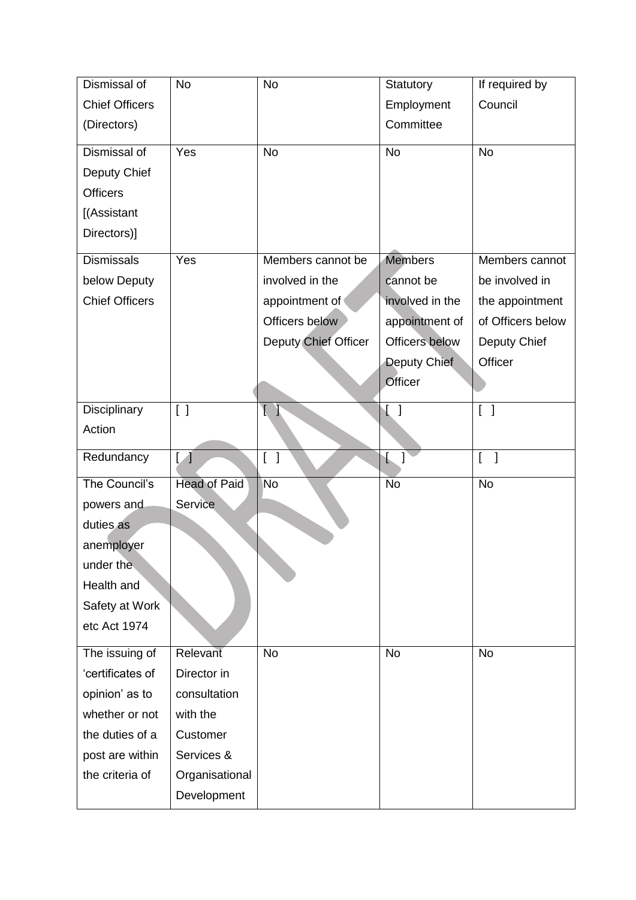| <b>Chief Officers</b><br>Council<br>Employment<br>Committee<br>(Directors)<br>Dismissal of<br>Yes<br><b>No</b><br><b>No</b><br><b>No</b><br>Deputy Chief<br><b>Officers</b><br>[(Assistant<br>Directors)]<br><b>Dismissals</b><br>Yes<br><b>Members</b><br>Members cannot be<br>Members cannot<br>below Deputy<br>involved in the<br>cannot be<br>be involved in | Dismissal of          | <b>No</b> | No             | Statutory       | If required by  |
|------------------------------------------------------------------------------------------------------------------------------------------------------------------------------------------------------------------------------------------------------------------------------------------------------------------------------------------------------------------|-----------------------|-----------|----------------|-----------------|-----------------|
|                                                                                                                                                                                                                                                                                                                                                                  |                       |           |                |                 |                 |
|                                                                                                                                                                                                                                                                                                                                                                  |                       |           |                |                 |                 |
|                                                                                                                                                                                                                                                                                                                                                                  |                       |           |                |                 |                 |
|                                                                                                                                                                                                                                                                                                                                                                  |                       |           |                |                 |                 |
|                                                                                                                                                                                                                                                                                                                                                                  |                       |           |                |                 |                 |
|                                                                                                                                                                                                                                                                                                                                                                  |                       |           |                |                 |                 |
|                                                                                                                                                                                                                                                                                                                                                                  |                       |           |                |                 |                 |
|                                                                                                                                                                                                                                                                                                                                                                  |                       |           |                |                 |                 |
|                                                                                                                                                                                                                                                                                                                                                                  |                       |           |                |                 |                 |
|                                                                                                                                                                                                                                                                                                                                                                  |                       |           |                |                 |                 |
|                                                                                                                                                                                                                                                                                                                                                                  | <b>Chief Officers</b> |           | appointment of | involved in the | the appointment |
| Officers below<br>of Officers below<br>appointment of                                                                                                                                                                                                                                                                                                            |                       |           |                |                 |                 |
| Deputy Chief Officer<br>Officers below<br>Deputy Chief                                                                                                                                                                                                                                                                                                           |                       |           |                |                 |                 |
| Officer<br>Deputy Chief                                                                                                                                                                                                                                                                                                                                          |                       |           |                |                 |                 |
| Officer                                                                                                                                                                                                                                                                                                                                                          |                       |           |                |                 |                 |
| $\begin{bmatrix} \end{bmatrix}$<br>Disciplinary<br>$\begin{bmatrix} \end{bmatrix}$<br>- 1                                                                                                                                                                                                                                                                        |                       |           |                |                 |                 |
| Action                                                                                                                                                                                                                                                                                                                                                           |                       |           |                |                 |                 |
| Redundancy<br>$\begin{bmatrix} 1 \end{bmatrix}$<br>$\lfloor \cdot \rfloor$<br>$\mathbf{I}$<br>L<br>$\mathbf{I}$<br>$\Box$                                                                                                                                                                                                                                        |                       |           |                |                 |                 |
|                                                                                                                                                                                                                                                                                                                                                                  |                       |           |                |                 |                 |
| The Council's<br><b>Head of Paid</b><br>No<br><b>No</b><br><b>No</b>                                                                                                                                                                                                                                                                                             |                       |           |                |                 |                 |
| Service<br>powers and                                                                                                                                                                                                                                                                                                                                            |                       |           |                |                 |                 |
| duties as                                                                                                                                                                                                                                                                                                                                                        |                       |           |                |                 |                 |
| anemployer                                                                                                                                                                                                                                                                                                                                                       |                       |           |                |                 |                 |
| under the                                                                                                                                                                                                                                                                                                                                                        |                       |           |                |                 |                 |
| Health and                                                                                                                                                                                                                                                                                                                                                       |                       |           |                |                 |                 |
| Safety at Work                                                                                                                                                                                                                                                                                                                                                   |                       |           |                |                 |                 |
| etc Act 1974                                                                                                                                                                                                                                                                                                                                                     |                       |           |                |                 |                 |
| The issuing of<br>Relevant<br><b>No</b><br><b>No</b><br><b>No</b>                                                                                                                                                                                                                                                                                                |                       |           |                |                 |                 |
| 'certificates of<br>Director in                                                                                                                                                                                                                                                                                                                                  |                       |           |                |                 |                 |
| consultation<br>opinion' as to                                                                                                                                                                                                                                                                                                                                   |                       |           |                |                 |                 |
| whether or not<br>with the                                                                                                                                                                                                                                                                                                                                       |                       |           |                |                 |                 |
| the duties of a<br>Customer                                                                                                                                                                                                                                                                                                                                      |                       |           |                |                 |                 |
| Services &<br>post are within                                                                                                                                                                                                                                                                                                                                    |                       |           |                |                 |                 |
| the criteria of<br>Organisational                                                                                                                                                                                                                                                                                                                                |                       |           |                |                 |                 |
| Development                                                                                                                                                                                                                                                                                                                                                      |                       |           |                |                 |                 |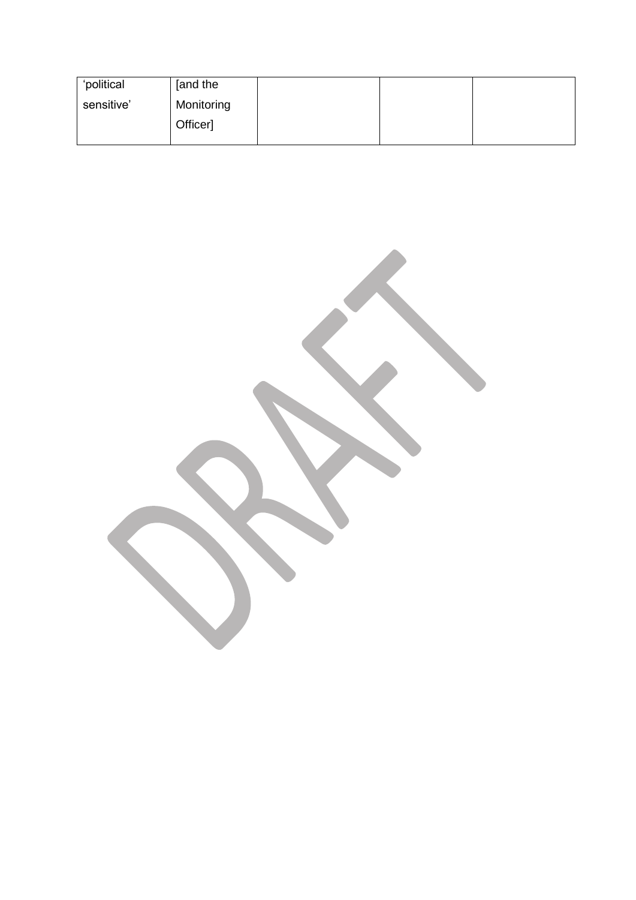| 'political | [and the   |  |  |
|------------|------------|--|--|
| sensitive' | Monitoring |  |  |
|            | Officer]   |  |  |
|            |            |  |  |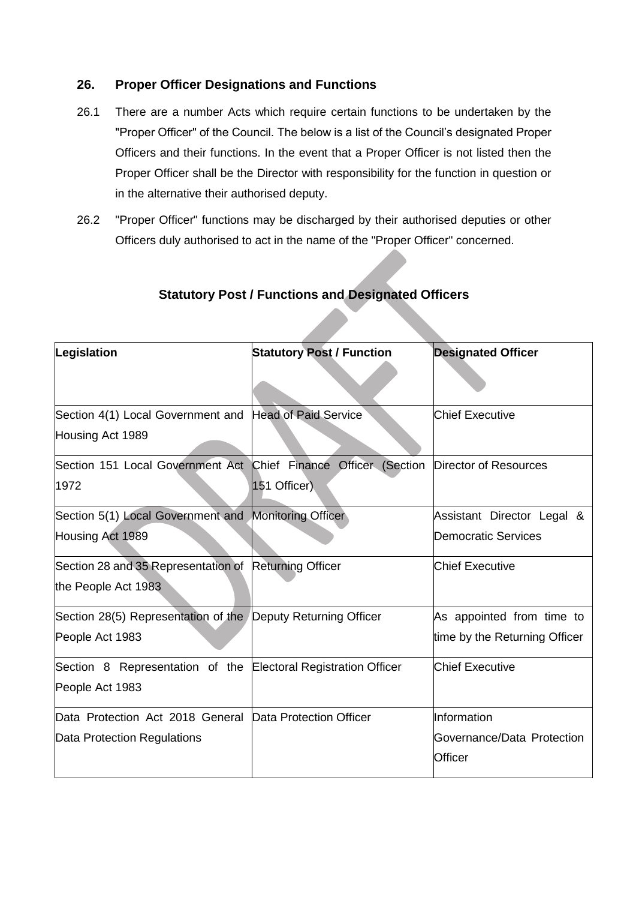# **26. Proper Officer Designations and Functions**

- 26.1 There are a number Acts which require certain functions to be undertaken by the "Proper Officer" of the Council. The below is a list of the Council's designated Proper Officers and their functions. In the event that a Proper Officer is not listed then the Proper Officer shall be the Director with responsibility for the function in question or in the alternative their authorised deputy.
- 26.2 "Proper Officer" functions may be discharged by their authorised deputies or other Officers duly authorised to act in the name of the "Proper Officer" concerned.

| Legislation                                                     | <b>Statutory Post / Function</b> | <b>Designated Officer</b>     |
|-----------------------------------------------------------------|----------------------------------|-------------------------------|
|                                                                 |                                  |                               |
| Section 4(1) Local Government and Head of Paid Service          |                                  | <b>Chief Executive</b>        |
| Housing Act 1989                                                |                                  |                               |
| Section 151 Local Government Act Chief Finance Officer (Section |                                  | <b>Director of Resources</b>  |
| 1972                                                            | 151 Officer)                     |                               |
| Section 5(1) Local Government and Monitoring Officer            |                                  | Assistant Director Legal &    |
| Housing Act 1989                                                |                                  | <b>Democratic Services</b>    |
| Section 28 and 35 Representation of Returning Officer           |                                  | <b>Chief Executive</b>        |
| the People Act 1983                                             |                                  |                               |
| Section 28(5) Representation of the Deputy Returning Officer    |                                  | As appointed from time to     |
| People Act 1983                                                 |                                  | time by the Returning Officer |
| Section 8 Representation of the Electoral Registration Officer  |                                  | <b>Chief Executive</b>        |
| People Act 1983                                                 |                                  |                               |
| Data Protection Act 2018 General Data Protection Officer        |                                  | Information                   |
| Data Protection Regulations                                     |                                  | Governance/Data Protection    |
|                                                                 |                                  | <b>Officer</b>                |

# **Statutory Post / Functions and Designated Officers**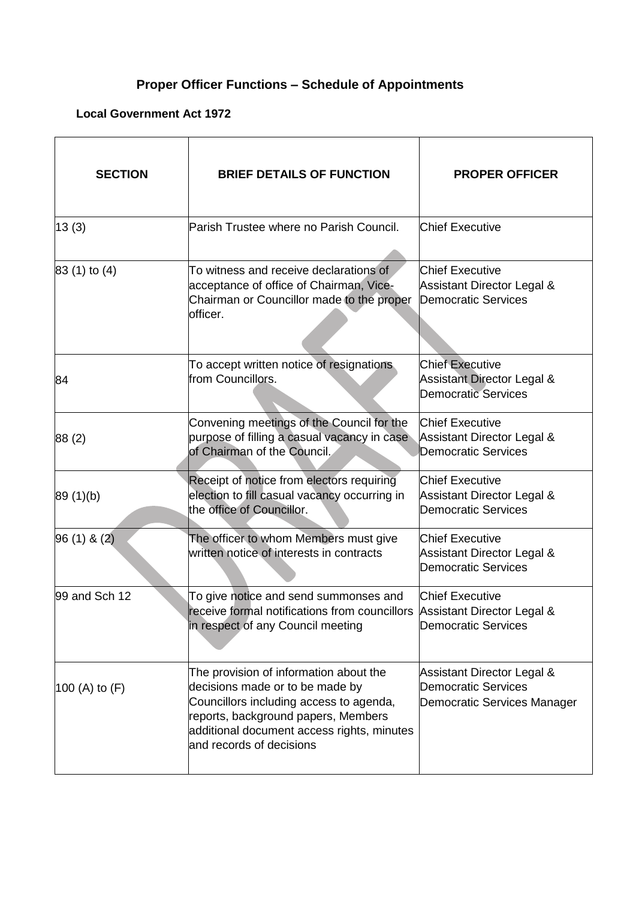# **Proper Officer Functions – Schedule of Appointments**

# **Local Government Act 1972**

| <b>SECTION</b>      | <b>BRIEF DETAILS OF FUNCTION</b>                                                                                                                                                                                                      | <b>PROPER OFFICER</b>                                                                              |
|---------------------|---------------------------------------------------------------------------------------------------------------------------------------------------------------------------------------------------------------------------------------|----------------------------------------------------------------------------------------------------|
| 13(3)               | Parish Trustee where no Parish Council.                                                                                                                                                                                               | <b>Chief Executive</b>                                                                             |
| 83 (1) to (4)       | To witness and receive declarations of<br>acceptance of office of Chairman, Vice-<br>Chairman or Councillor made to the proper<br>officer.                                                                                            | <b>Chief Executive</b><br><b>Assistant Director Legal &amp;</b><br><b>Democratic Services</b>      |
| 84                  | To accept written notice of resignations<br>from Councillors.                                                                                                                                                                         | <b>Chief Executive</b><br><b>Assistant Director Legal &amp;</b><br><b>Democratic Services</b>      |
| 88(2)               | Convening meetings of the Council for the<br>purpose of filling a casual vacancy in case<br>of Chairman of the Council.                                                                                                               | <b>Chief Executive</b><br><b>Assistant Director Legal &amp;</b><br><b>Democratic Services</b>      |
| 89(1)(b)            | Receipt of notice from electors requiring<br>election to fill casual vacancy occurring in<br>the office of Councillor.                                                                                                                | <b>Chief Executive</b><br><b>Assistant Director Legal &amp;</b><br><b>Democratic Services</b>      |
| $96(1)$ & $(2)$     | The officer to whom Members must give<br>written notice of interests in contracts                                                                                                                                                     | <b>Chief Executive</b><br><b>Assistant Director Legal &amp;</b><br><b>Democratic Services</b>      |
| 99 and Sch 12       | To give notice and send summonses and<br>receive formal notifications from councillors<br>in respect of any Council meeting                                                                                                           | <b>Chief Executive</b><br><b>Assistant Director Legal &amp;</b><br><b>Democratic Services</b>      |
| $ 100 (A)$ to $(F)$ | The provision of information about the<br>decisions made or to be made by<br>Councillors including access to agenda,<br>reports, background papers, Members<br>additional document access rights, minutes<br>and records of decisions | <b>Assistant Director Legal &amp;</b><br><b>Democratic Services</b><br>Democratic Services Manager |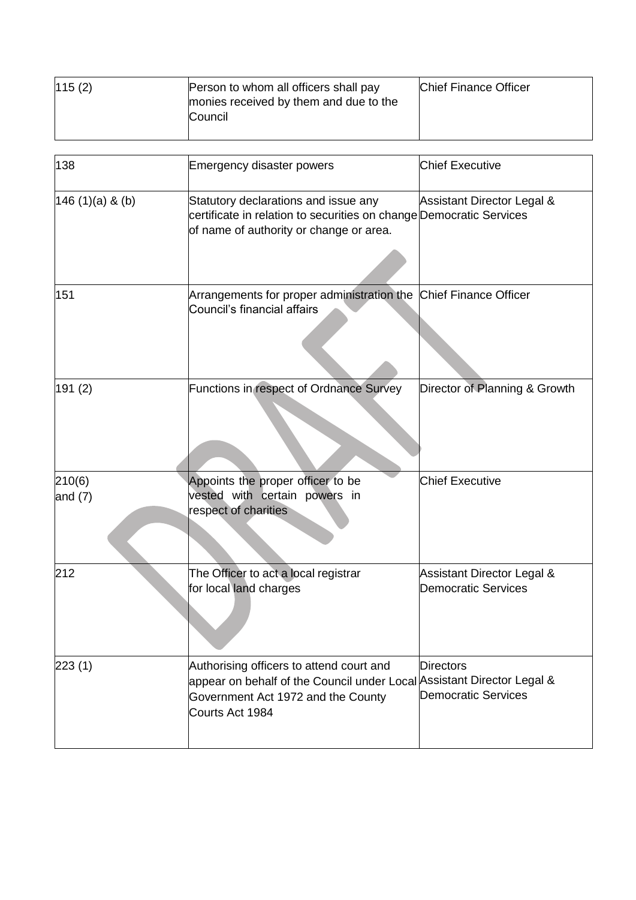| 115(2) | Person to whom all officers shall pay<br>monies received by them and due to the<br>Council | <b>Chief Finance Officer</b> |
|--------|--------------------------------------------------------------------------------------------|------------------------------|
|        |                                                                                            |                              |

| 138                 | Emergency disaster powers                                                                                                                                                   | <b>Chief Executive</b>                                              |
|---------------------|-----------------------------------------------------------------------------------------------------------------------------------------------------------------------------|---------------------------------------------------------------------|
| $146(1)(a)$ & (b)   | Statutory declarations and issue any<br>certificate in relation to securities on change Democratic Services<br>of name of authority or change or area.                      | <b>Assistant Director Legal &amp;</b>                               |
| 151                 | Arrangements for proper administration the<br>Council's financial affairs                                                                                                   | <b>Chief Finance Officer</b>                                        |
| 191(2)              | Functions in respect of Ordnance Survey                                                                                                                                     | Director of Planning & Growth                                       |
| 210(6)<br>and $(7)$ | Appoints the proper officer to be<br>vested with certain powers in<br>respect of charities                                                                                  | <b>Chief Executive</b>                                              |
| 212                 | The Officer to act a local registrar<br>for local land charges                                                                                                              | <b>Assistant Director Legal &amp;</b><br><b>Democratic Services</b> |
| 223(1)              | Authorising officers to attend court and<br>appear on behalf of the Council under Local Assistant Director Legal &<br>Government Act 1972 and the County<br>Courts Act 1984 | <b>Directors</b><br><b>Democratic Services</b>                      |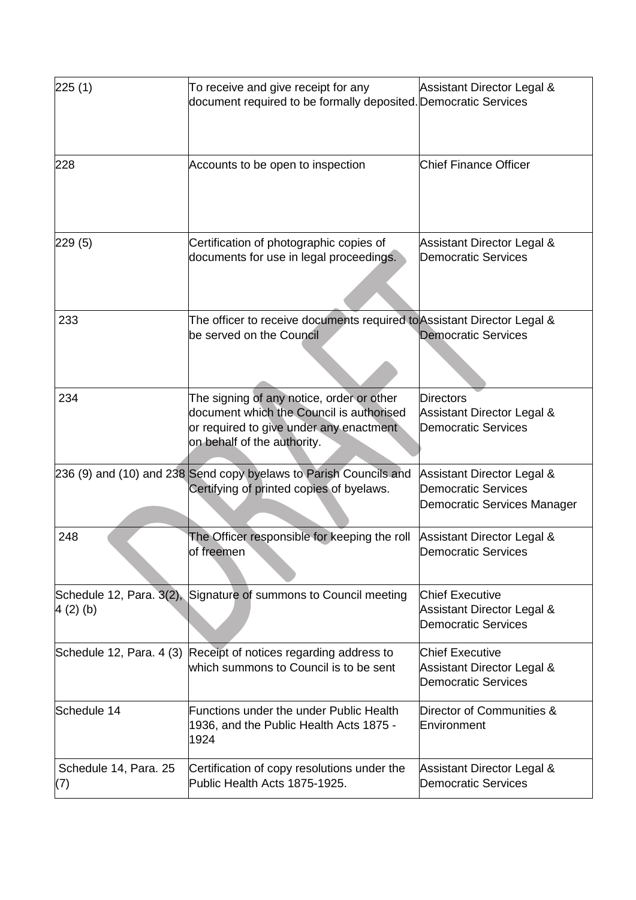| 225(1)                                | To receive and give receipt for any<br>document required to be formally deposited. Democratic Services                                                          | <b>Assistant Director Legal &amp;</b>                                                   |
|---------------------------------------|-----------------------------------------------------------------------------------------------------------------------------------------------------------------|-----------------------------------------------------------------------------------------|
| 228                                   | Accounts to be open to inspection                                                                                                                               | <b>Chief Finance Officer</b>                                                            |
| 229 (5)                               | Certification of photographic copies of<br>documents for use in legal proceedings.                                                                              | Assistant Director Legal &<br><b>Democratic Services</b>                                |
| 233                                   | The officer to receive documents required to Assistant Director Legal &<br>be served on the Council                                                             | <b>Democratic Services</b>                                                              |
| 234                                   | The signing of any notice, order or other<br>document which the Council is authorised<br>or required to give under any enactment<br>on behalf of the authority. | <b>Directors</b><br><b>Assistant Director Legal &amp;</b><br><b>Democratic Services</b> |
|                                       | 236 (9) and (10) and 238 Send copy byelaws to Parish Councils and<br>Certifying of printed copies of byelaws.                                                   | Assistant Director Legal &<br><b>Democratic Services</b><br>Democratic Services Manager |
| 248                                   | The Officer responsible for keeping the roll<br>of freemen                                                                                                      | <b>Assistant Director Legal &amp;</b><br><b>Democratic Services</b>                     |
| Schedule 12, Para. 3(2),<br>4 (2) (b) | Signature of summons to Council meeting                                                                                                                         | <b>Chief Executive</b><br>Assistant Director Legal &<br><b>Democratic Services</b>      |
| Schedule 12, Para. 4 (3)              | Receipt of notices regarding address to<br>which summons to Council is to be sent                                                                               | <b>Chief Executive</b><br>Assistant Director Legal &<br><b>Democratic Services</b>      |
| Schedule 14                           | Functions under the under Public Health<br>1936, and the Public Health Acts 1875 -<br>1924                                                                      | Director of Communities &<br>Environment                                                |
| Schedule 14, Para. 25<br>(7)          | Certification of copy resolutions under the<br>Public Health Acts 1875-1925.                                                                                    | Assistant Director Legal &<br><b>Democratic Services</b>                                |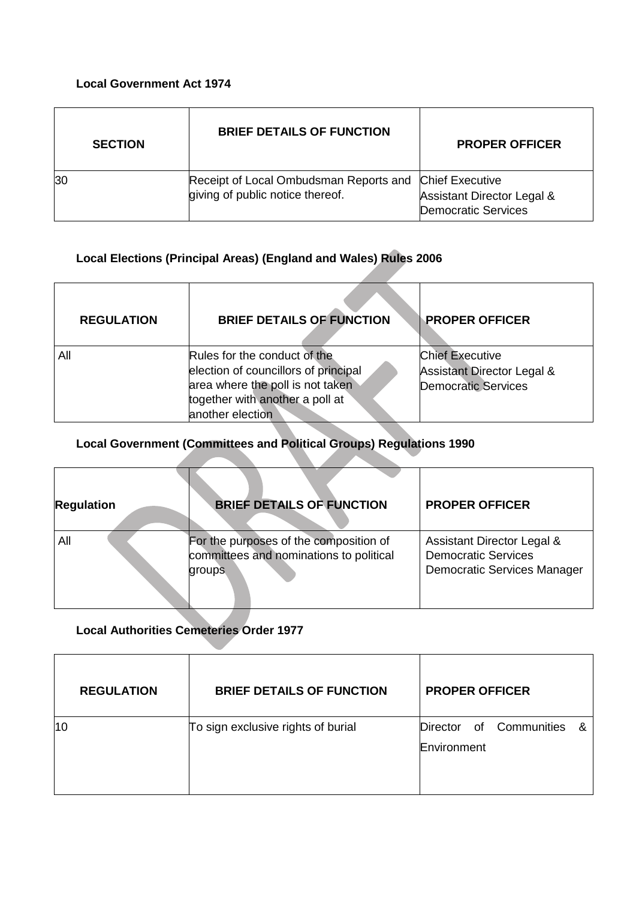#### **Local Government Act 1974**

| <b>SECTION</b> | <b>BRIEF DETAILS OF FUNCTION</b>                                           | <b>PROPER OFFICER</b>                                                                  |
|----------------|----------------------------------------------------------------------------|----------------------------------------------------------------------------------------|
| 30             | Receipt of Local Ombudsman Reports and<br>giving of public notice thereof. | <b>Chief Executive</b><br><b>Assistant Director Legal &amp;</b><br>Democratic Services |

# **Local Elections (Principal Areas) (England and Wales) Rules 2006**

| <b>REGULATION</b> | <b>BRIEF DETAILS OF FUNCTION</b>                                                                                                                                | <b>PROPER OFFICER</b>                                                                         |
|-------------------|-----------------------------------------------------------------------------------------------------------------------------------------------------------------|-----------------------------------------------------------------------------------------------|
| All               | Rules for the conduct of the<br>election of councillors of principal<br>area where the poll is not taken<br>together with another a poll at<br>another election | <b>Chief Executive</b><br><b>Assistant Director Legal &amp;</b><br><b>Democratic Services</b> |

# **Local Government (Committees and Political Groups) Regulations 1990**

| <b>Regulation</b> | <b>BRIEF DETAILS OF FUNCTION</b>                                                             | <b>PROPER OFFICER</b>                                                                          |
|-------------------|----------------------------------------------------------------------------------------------|------------------------------------------------------------------------------------------------|
| All               | For the purposes of the composition of<br>committees and nominations to political<br>groups. | Assistant Director Legal &<br><b>Democratic Services</b><br><b>Democratic Services Manager</b> |

 $\overline{\phantom{a}}$ 

# **Local Authorities Cemeteries Order 1977**

 $\overline{\phantom{a}}$ 

| <b>REGULATION</b> | <b>BRIEF DETAILS OF FUNCTION</b>   | <b>PROPER OFFICER</b>                            |
|-------------------|------------------------------------|--------------------------------------------------|
|                   | To sign exclusive rights of burial | of Communities<br>Director<br>- &<br>Environment |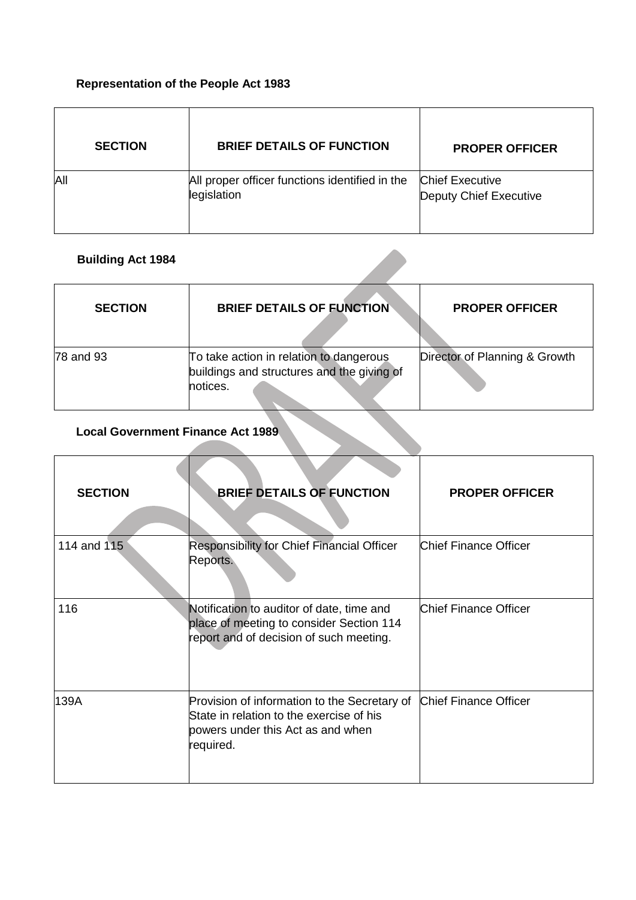# **Representation of the People Act 1983**

| <b>SECTION</b> | <b>BRIEF DETAILS OF FUNCTION</b>                              | <b>PROPER OFFICER</b>                            |
|----------------|---------------------------------------------------------------|--------------------------------------------------|
| lΑll           | All proper officer functions identified in the<br>legislation | <b>Chief Executive</b><br>Deputy Chief Executive |

# **Building Act 1984**

| <b>Building Act 1984</b> |                                                                                                   |                               |
|--------------------------|---------------------------------------------------------------------------------------------------|-------------------------------|
| <b>SECTION</b>           | <b>BRIEF DETAILS OF FUNCTION</b>                                                                  | <b>PROPER OFFICER</b>         |
| 78 and 93                | To take action in relation to dangerous<br>buildings and structures and the giving of<br>notices. | Director of Planning & Growth |

# **Local Government Finance Act 1989**

| <b>SECTION</b> | <b>BRIEF DETAILS OF FUNCTION</b>                                                                                                           | <b>PROPER OFFICER</b>        |
|----------------|--------------------------------------------------------------------------------------------------------------------------------------------|------------------------------|
| 114 and 115    | <b>Responsibility for Chief Financial Officer</b><br>Reports.                                                                              | <b>Chief Finance Officer</b> |
| 116            | Notification to auditor of date, time and<br>place of meeting to consider Section 114<br>report and of decision of such meeting.           | <b>Chief Finance Officer</b> |
| 139A           | Provision of information to the Secretary of<br>State in relation to the exercise of his<br>powers under this Act as and when<br>required. | <b>Chief Finance Officer</b> |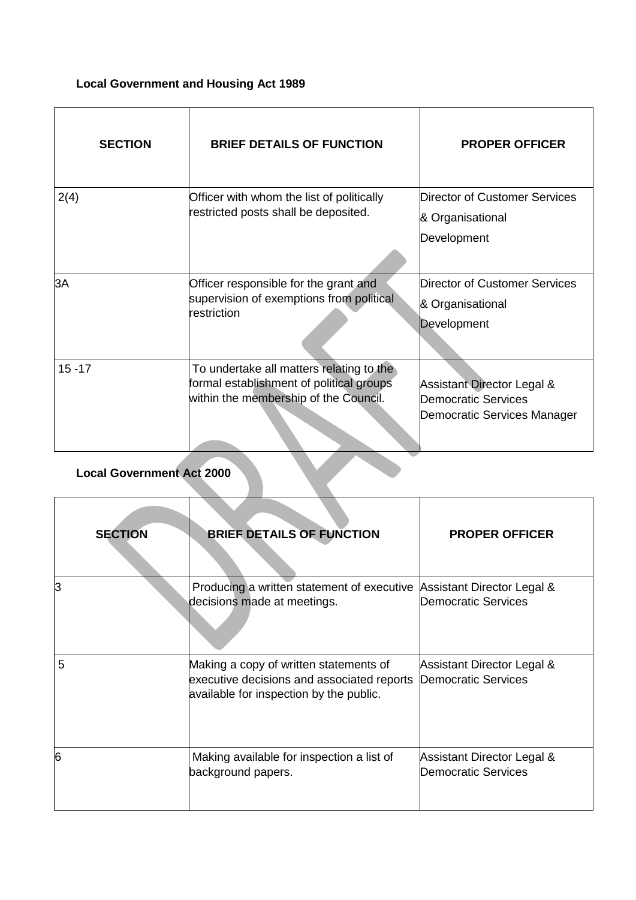# **Local Government and Housing Act 1989**

| <b>SECTION</b>            | <b>BRIEF DETAILS OF FUNCTION</b>                                                  | <b>PROPER OFFICER</b>                 |
|---------------------------|-----------------------------------------------------------------------------------|---------------------------------------|
| 2(4)                      | Officer with whom the list of politically<br>restricted posts shall be deposited. | Director of Customer Services         |
|                           |                                                                                   | & Organisational                      |
|                           |                                                                                   | Development                           |
|                           |                                                                                   |                                       |
| 3A                        | Officer responsible for the grant and<br>supervision of exemptions from political | Director of Customer Services         |
|                           |                                                                                   | & Organisational                      |
|                           | restriction                                                                       | Development                           |
|                           |                                                                                   |                                       |
| $15 - 17$                 | To undertake all matters relating to the                                          |                                       |
|                           | formal establishment of political groups                                          | <b>Assistant Director Legal &amp;</b> |
|                           | within the membership of the Council.                                             | Democratic Services                   |
|                           |                                                                                   | Democratic Services Manager           |
| Local Covernment Ast 2000 |                                                                                   |                                       |

# **Local Government Act 2000**

| <b>SECTION</b> | <b>BRIEF DETAILS OF FUNCTION</b>                                                                                                | <b>PROPER OFFICER</b>                                        |
|----------------|---------------------------------------------------------------------------------------------------------------------------------|--------------------------------------------------------------|
| З              | Producing a written statement of executive<br>decisions made at meetings.                                                       | Assistant Director Legal &<br><b>Democratic Services</b>     |
| 5              | Making a copy of written statements of<br>executive decisions and associated reports<br>available for inspection by the public. | <b>Assistant Director Legal &amp;</b><br>Democratic Services |
| 6              | Making available for inspection a list of<br>background papers.                                                                 | Assistant Director Legal &<br>Democratic Services            |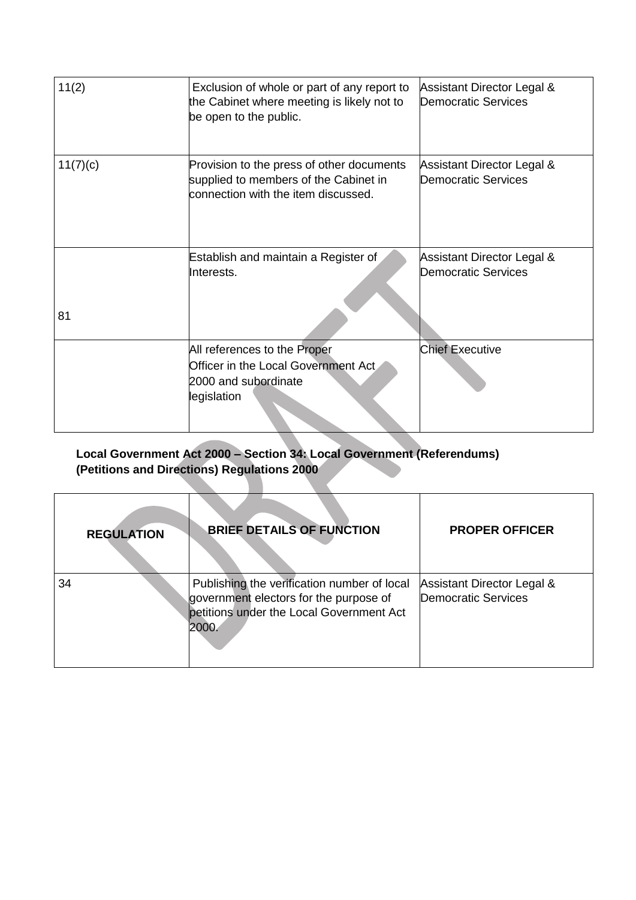| 11(2)    | Exclusion of whole or part of any report to<br>the Cabinet where meeting is likely not to<br>be open to the public.       | <b>Assistant Director Legal &amp;</b><br>Democratic Services |
|----------|---------------------------------------------------------------------------------------------------------------------------|--------------------------------------------------------------|
| 11(7)(c) | Provision to the press of other documents<br>supplied to members of the Cabinet in<br>connection with the item discussed. | Assistant Director Legal &<br>Democratic Services            |
| 81       | Establish and maintain a Register of<br>Interests.                                                                        | Assistant Director Legal &<br>Democratic Services            |
|          | All references to the Proper<br>Officer in the Local Government Act<br>2000 and subordinate<br>legislation                | <b>Chief Executive</b>                                       |

# **Local Government Act 2000 – Section 34: Local Government (Referendums) (Petitions and Directions) Regulations 2000**

|    | <b>REGULATION</b> | <b>BRIEF DETAILS OF FUNCTION</b>                                                                                                           | <b>PROPER OFFICER</b>                             |
|----|-------------------|--------------------------------------------------------------------------------------------------------------------------------------------|---------------------------------------------------|
| 34 |                   | Publishing the verification number of local<br>government electors for the purpose of<br>petitions under the Local Government Act<br>2000. | Assistant Director Legal &<br>Democratic Services |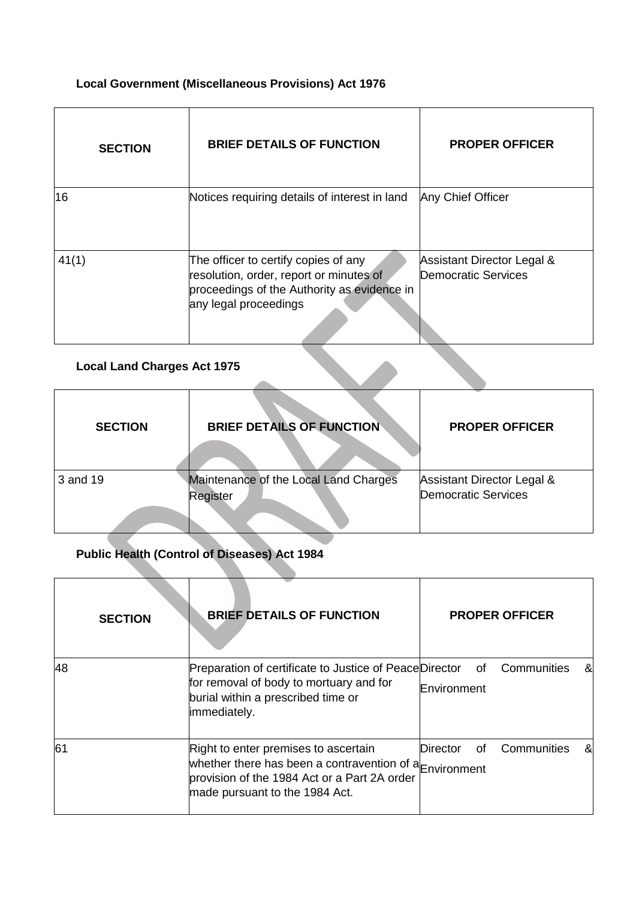# **Local Government (Miscellaneous Provisions) Act 1976**

| <b>SECTION</b> | <b>BRIEF DETAILS OF FUNCTION</b>                                                                                                                        | <b>PROPER OFFICER</b>                             |
|----------------|---------------------------------------------------------------------------------------------------------------------------------------------------------|---------------------------------------------------|
| 16             | Notices requiring details of interest in land                                                                                                           | Any Chief Officer                                 |
| 41(1)          | The officer to certify copies of any<br>resolution, order, report or minutes of<br>proceedings of the Authority as evidence in<br>any legal proceedings | Assistant Director Legal &<br>Democratic Services |

# **Local Land Charges Act 1975**

| <b>SECTION</b> | <b>BRIEF DETAILS OF FUNCTION</b>                  | <b>PROPER OFFICER</b>                             |
|----------------|---------------------------------------------------|---------------------------------------------------|
| 3 and 19       | Maintenance of the Local Land Charges<br>Register | Assistant Director Legal &<br>Democratic Services |

# **Public Health (Control of Diseases) Act 1984**

|    | <b>SECTION</b> | <b>BRIEF DETAILS OF FUNCTION</b>                                                                                                                                                  |             |    | <b>PROPER OFFICER</b> |   |
|----|----------------|-----------------------------------------------------------------------------------------------------------------------------------------------------------------------------------|-------------|----|-----------------------|---|
| 48 |                | Preparation of certificate to Justice of PeaceDirector<br>for removal of body to mortuary and for<br>burial within a prescribed time or<br>immediately.                           | Environment | of | Communities           | & |
| 61 |                | Right to enter premises to ascertain<br>whether there has been a contravention of a Environment<br>provision of the 1984 Act or a Part 2A order<br>made pursuant to the 1984 Act. | lDirector.  | of | Communities           | & |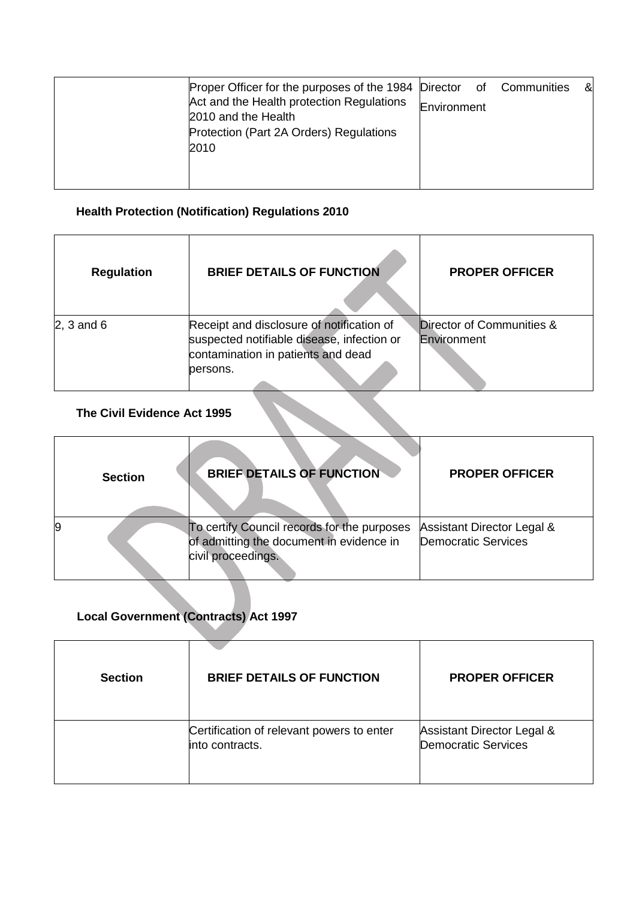| Proper Officer for the purposes of the 1984 Director of Communities<br>Act and the Health protection Regulations<br>2010 and the Health<br>Protection (Part 2A Orders) Regulations<br>2010 | Environment |  |  | & |
|--------------------------------------------------------------------------------------------------------------------------------------------------------------------------------------------|-------------|--|--|---|
|--------------------------------------------------------------------------------------------------------------------------------------------------------------------------------------------|-------------|--|--|---|

# **Health Protection (Notification) Regulations 2010**

| <b>Regulation</b>           | <b>BRIEF DETAILS OF FUNCTION</b>                                                                                                          | <b>PROPER OFFICER</b>                    |
|-----------------------------|-------------------------------------------------------------------------------------------------------------------------------------------|------------------------------------------|
| $2, 3$ and $6$              | Receipt and disclosure of notification of<br>suspected notifiable disease, infection or<br>contamination in patients and dead<br>persons. | Director of Communities &<br>Environment |
| The Civil Evidence Act 1995 |                                                                                                                                           |                                          |

# **The Civil Evidence Act 1995**

| <b>Section</b> | <b>BRIEF DETAILS OF FUNCTION</b>                                                                              | <b>PROPER OFFICER</b>                             |
|----------------|---------------------------------------------------------------------------------------------------------------|---------------------------------------------------|
| 9              | To certify Council records for the purposes<br>of admitting the document in evidence in<br>civil proceedings. | Assistant Director Legal &<br>Democratic Services |

# **Local Government (Contracts) Act 1997**

| <b>Section</b> | <b>BRIEF DETAILS OF FUNCTION</b>                              | <b>PROPER OFFICER</b>                             |
|----------------|---------------------------------------------------------------|---------------------------------------------------|
|                | Certification of relevant powers to enter<br>linto contracts. | Assistant Director Legal &<br>Democratic Services |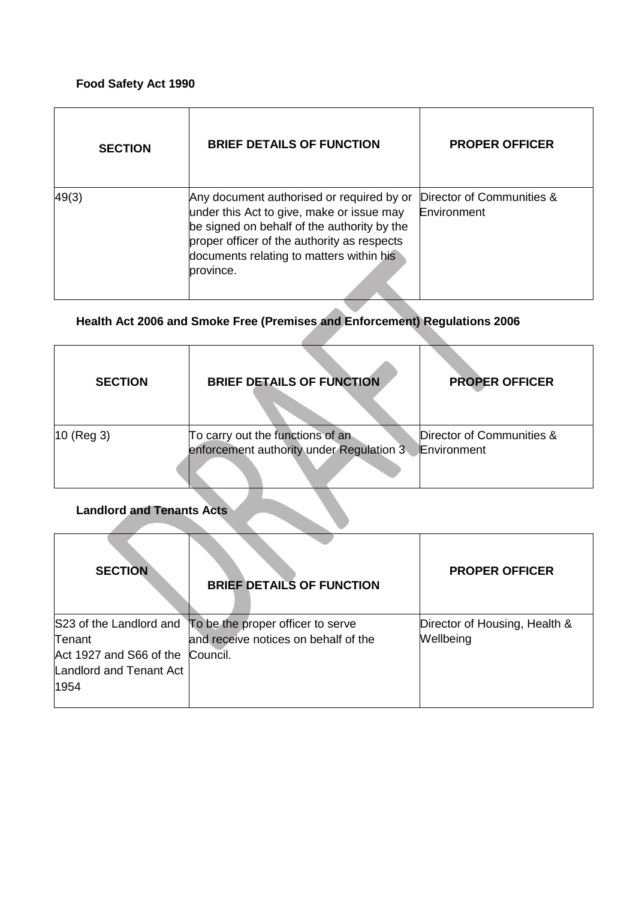# **Food Safety Act 1990**

| <b>SECTION</b> | <b>BRIEF DETAILS OF FUNCTION</b>                                                                                                                                                                                                              | <b>PROPER OFFICER</b>                    |
|----------------|-----------------------------------------------------------------------------------------------------------------------------------------------------------------------------------------------------------------------------------------------|------------------------------------------|
| 49(3)          | Any document authorised or required by or<br>under this Act to give, make or issue may<br>be signed on behalf of the authority by the<br>proper officer of the authority as respects<br>documents relating to matters within his<br>province. | Director of Communities &<br>Environment |

# **Health Act 2006 and Smoke Free (Premises and Enforcement) Regulations 2006**

| <b>SECTION</b> | <b>BRIEF DETAILS OF FUNCTION</b>                                             | <b>PROPER OFFICER</b>                    |
|----------------|------------------------------------------------------------------------------|------------------------------------------|
| $10$ (Reg 3)   | To carry out the functions of an<br>enforcement authority under Regulation 3 | Director of Communities &<br>Environment |

# **Landlord and Tenants Acts**

| <b>SECTION</b>                                                       | <b>BRIEF DETAILS OF FUNCTION</b>                                                                              | <b>PROPER OFFICER</b>                      |
|----------------------------------------------------------------------|---------------------------------------------------------------------------------------------------------------|--------------------------------------------|
| Tenant<br>Act 1927 and S66 of the<br>Landlord and Tenant Act<br>1954 | S23 of the Landlord and To be the proper officer to serve<br>and receive notices on behalf of the<br>Council. | Director of Housing, Health &<br>Wellbeing |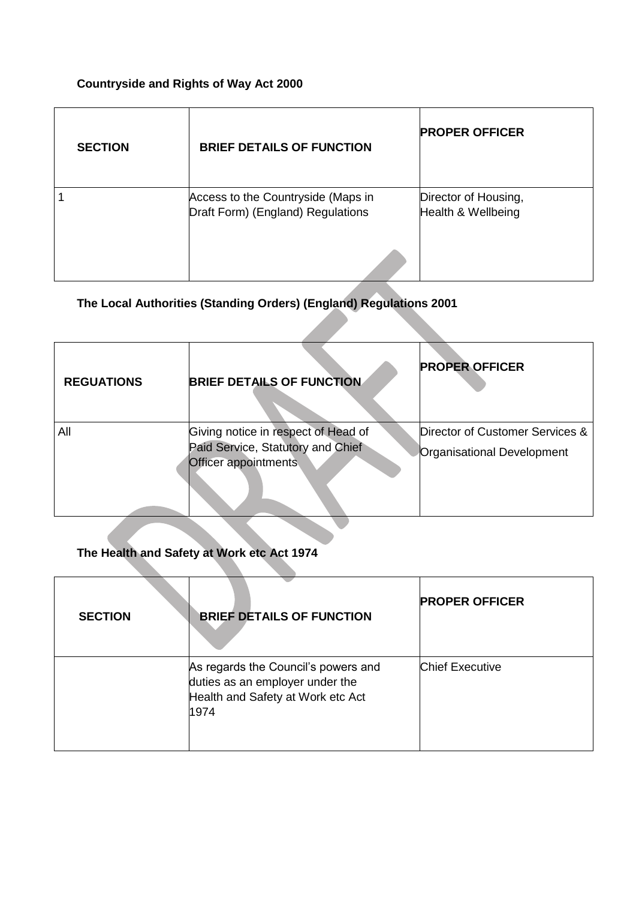## **Countryside and Rights of Way Act 2000**

| <b>SECTION</b> | <b>BRIEF DETAILS OF FUNCTION</b>                                        | <b>PROPER OFFICER</b>                      |
|----------------|-------------------------------------------------------------------------|--------------------------------------------|
|                | Access to the Countryside (Maps in<br>Draft Form) (England) Regulations | Director of Housing,<br>Health & Wellbeing |

**The Local Authorities (Standing Orders) (England) Regulations 2001**

| <b>REGUATIONS</b> | <b>BRIEF DETAILS OF FUNCTION</b>                                                                 | <b>PROPER OFFICER</b>                                         |
|-------------------|--------------------------------------------------------------------------------------------------|---------------------------------------------------------------|
| All               | Giving notice in respect of Head of<br>Paid Service, Statutory and Chief<br>Officer appointments | Director of Customer Services &<br>Organisational Development |

## **The Health and Safety at Work etc Act 1974**

| <b>SECTION</b> | <b>BRIEF DETAILS OF FUNCTION</b>                                                                                    | <b>PROPER OFFICER</b>  |
|----------------|---------------------------------------------------------------------------------------------------------------------|------------------------|
|                | As regards the Council's powers and<br>duties as an employer under the<br>Health and Safety at Work etc Act<br>1974 | <b>Chief Executive</b> |